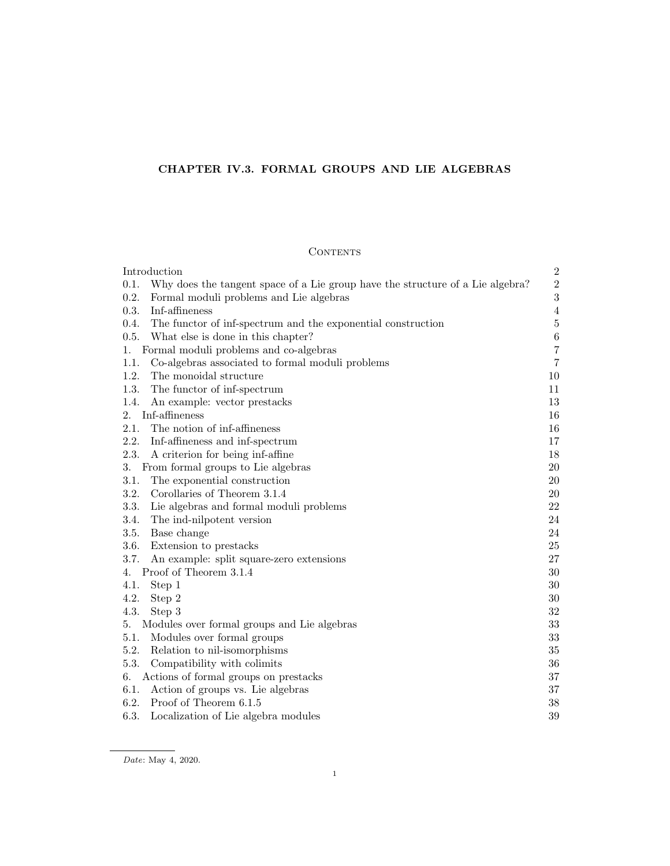# CHAPTER IV.3. FORMAL GROUPS AND LIE ALGEBRAS

# CONTENTS

| Introduction                                                                           | $\overline{2}$ |
|----------------------------------------------------------------------------------------|----------------|
| 0.1.<br>Why does the tangent space of a Lie group have the structure of a Lie algebra? | $\sqrt{2}$     |
| 0.2.<br>Formal moduli problems and Lie algebras                                        | $\sqrt{3}$     |
| Inf-affineness<br>0.3.                                                                 | $\overline{4}$ |
| 0.4.<br>The functor of inf-spectrum and the exponential construction                   | $\bf 5$        |
| 0.5.<br>What else is done in this chapter?                                             | $\,6\,$        |
| Formal moduli problems and co-algebras<br>1.                                           | $\overline{7}$ |
| 1.1.<br>Co-algebras associated to formal moduli problems                               | $\,7$          |
| 1.2.<br>The monoidal structure                                                         | 10             |
| 1.3.<br>The functor of inf-spectrum                                                    | 11             |
| 1.4.<br>An example: vector prestacks                                                   | 13             |
| Inf-affineness<br>2.                                                                   | 16             |
| The notion of inf-affineness<br>2.1.                                                   | 16             |
| 2.2.<br>Inf-affineness and inf-spectrum                                                | 17             |
| 2.3.<br>A criterion for being inf-affine                                               | 18             |
| From formal groups to Lie algebras<br>3.                                               | 20             |
| 3.1.<br>The exponential construction                                                   | 20             |
| 3.2.<br>Corollaries of Theorem 3.1.4                                                   | 20             |
| 3.3.<br>Lie algebras and formal moduli problems                                        | 22             |
| 3.4.<br>The ind-nilpotent version                                                      | 24             |
| 3.5.<br>Base change                                                                    | 24             |
| 3.6.<br>Extension to prestacks                                                         | 25             |
| 3.7.<br>An example: split square-zero extensions                                       | 27             |
| Proof of Theorem 3.1.4<br>4.                                                           | 30             |
| 4.1.<br>Step 1                                                                         | $30\,$         |
| 4.2.<br>Step 2                                                                         | 30             |
| 4.3.<br>Step 3                                                                         | 32             |
| Modules over formal groups and Lie algebras<br>5.                                      | 33             |
| 5.1.<br>Modules over formal groups                                                     | 33             |
| 5.2.<br>Relation to nil-isomorphisms                                                   | 35             |
| 5.3.<br>Compatibility with colimits                                                    | 36             |
| Actions of formal groups on prestacks<br>6.                                            | $37\,$         |
| Action of groups vs. Lie algebras<br>6.1.                                              | 37             |
| 6.2.<br>Proof of Theorem 6.1.5                                                         | 38             |
| 6.3.<br>Localization of Lie algebra modules                                            | $39\,$         |

Date: May 4, 2020.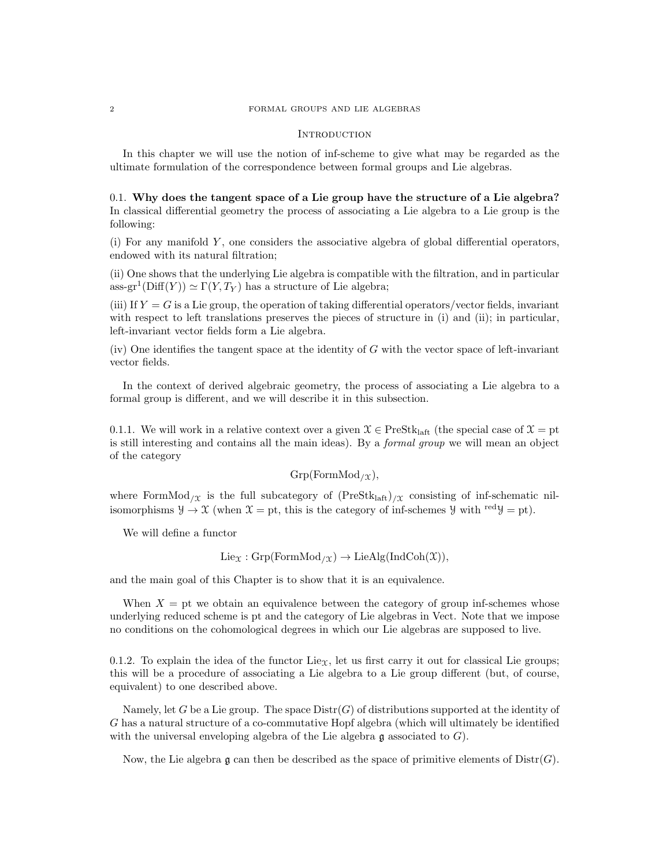#### **INTRODUCTION**

In this chapter we will use the notion of inf-scheme to give what may be regarded as the ultimate formulation of the correspondence between formal groups and Lie algebras.

0.1. Why does the tangent space of a Lie group have the structure of a Lie algebra? In classical differential geometry the process of associating a Lie algebra to a Lie group is the following:

 $(i)$  For any manifold Y, one considers the associative algebra of global differential operators, endowed with its natural filtration;

(ii) One shows that the underlying Lie algebra is compatible with the filtration, and in particular ass-gr<sup>1</sup>(Diff(Y))  $\simeq \Gamma(Y,T_Y)$  has a structure of Lie algebra;

(iii) If  $Y = G$  is a Lie group, the operation of taking differential operators/vector fields, invariant with respect to left translations preserves the pieces of structure in (i) and (ii); in particular, left-invariant vector fields form a Lie algebra.

 $(iv)$  One identifies the tangent space at the identity of G with the vector space of left-invariant vector fields.

In the context of derived algebraic geometry, the process of associating a Lie algebra to a formal group is different, and we will describe it in this subsection.

0.1.1. We will work in a relative context over a given  $\mathcal{X} \in \text{PreStk}_{\text{laff}}$  (the special case of  $\mathcal{X} = \text{pt}$ ) is still interesting and contains all the main ideas). By a formal group we will mean an object of the category

$$
Grp(FormMod_{/X}),
$$

where FormMod<sub>/X</sub> is the full subcategory of  $(PreStk<sub>laff</sub>)$ <sub>/X</sub> consisting of inf-schematic nilisomorphisms  $\mathcal{Y} \to \mathcal{X}$  (when  $\mathcal{X} = pt$ , this is the category of inf-schemes  $\mathcal{Y}$  with red $\mathcal{Y} = pt$ ).

We will define a functor

$$
Lie_{\mathfrak{X}}: Grp(FormMod_{/\mathfrak{X}}) \to LieAlg(IndCoh(\mathfrak{X})),
$$

and the main goal of this Chapter is to show that it is an equivalence.

When  $X =$  pt we obtain an equivalence between the category of group inf-schemes whose underlying reduced scheme is pt and the category of Lie algebras in Vect. Note that we impose no conditions on the cohomological degrees in which our Lie algebras are supposed to live.

0.1.2. To explain the idea of the functor Lie<sub>X</sub>, let us first carry it out for classical Lie groups; this will be a procedure of associating a Lie algebra to a Lie group different (but, of course, equivalent) to one described above.

Namely, let G be a Lie group. The space  $\text{Distr}(G)$  of distributions supported at the identity of G has a natural structure of a co-commutative Hopf algebra (which will ultimately be identified with the universal enveloping algebra of the Lie algebra  $\mathfrak g$  associated to  $G$ ).

Now, the Lie algebra q can then be described as the space of primitive elements of  $\text{Dist}(G)$ .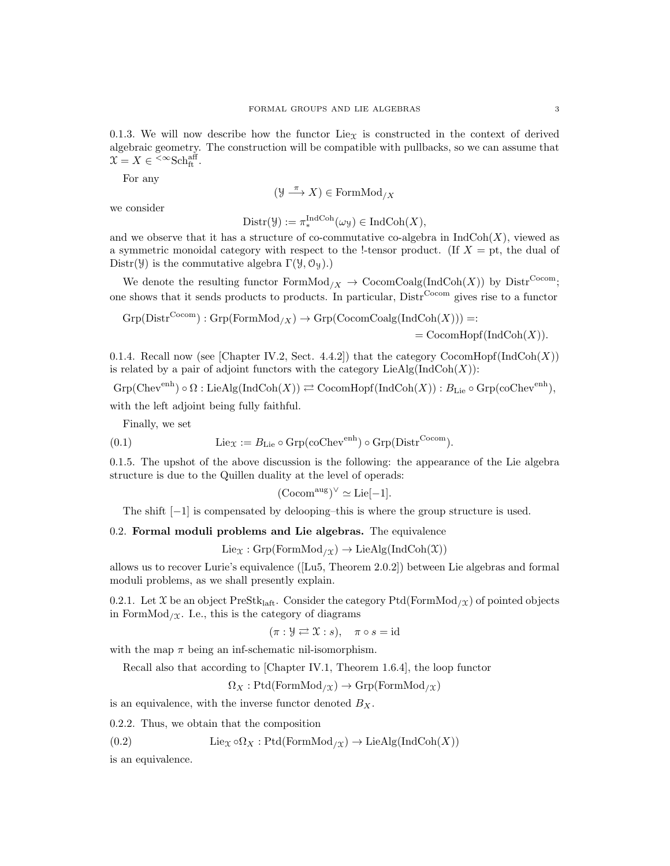0.1.3. We will now describe how the functor Lie<sub>X</sub> is constructed in the context of derived algebraic geometry. The construction will be compatible with pullbacks, so we can assume that  $\mathfrak{X} = X \in \leftarrow^{\infty} {\rm Sch}_{\rm ft}^{\rm aff}.$ 

For any

$$
(\mathcal{Y}\stackrel{\pi}{\longrightarrow}X)\in \mathrm{FormMod}_{/X}
$$

we consider

$$
Dist(\mathcal{Y}) := \pi_*^{IndCoh}(\omega_{\mathcal{Y}}) \in IndCoh(X),
$$

and we observe that it has a structure of co-commutative co-algebra in  $IndCoh(X)$ , viewed as a symmetric monoidal category with respect to the !-tensor product. (If  $X = pt$ , the dual of Distr( $\mathcal{Y}$ ) is the commutative algebra  $\Gamma(\mathcal{Y}, \mathcal{O}_{\mathcal{Y}})$ .)

We denote the resulting functor  $FormMod_{/X} \rightarrow CocomCoalg(IndCoh(X))$  by  $Dist^{Cocom}$ ; one shows that it sends products to products. In particular, Distr<sup>Cocom</sup> gives rise to a functor

$$
{\rm Grp}({\rm Distr}^{{\rm Cocom}}):{\rm Grp}({\rm FormMod}_{/X})\to{\rm Grp}({\rm CocomCoalg}({\rm IndCoh}(X)))=:
$$

 $=$  CocomHopf(IndCoh $(X)$ ).

0.1.4. Recall now (see [Chapter IV.2, Sect. 4.4.2]) that the category  $\mathrm{CocomHopf}(\mathrm{IndCoh}(X))$ is related by a pair of adjoint functors with the category  $\text{LieAlg}(\text{IndCoh}(X))$ :

$$
\mathrm{Grp}(\mathrm{Chev}^{\mathrm{enh}}) \circ \Omega : \mathrm{LieAlg}(\mathrm{IndCoh}(X)) \rightleftarrows \mathrm{CocomHopf}(\mathrm{IndCoh}(X)) : B_{\mathrm{Lie}} \circ \mathrm{Grp}(\mathrm{coChev}^{\mathrm{enh}}),
$$

with the left adjoint being fully faithful.

Finally, we set

(0.1) 
$$
\text{Lie}_{\mathfrak{X}} := B_{\text{Lie}} \circ \text{Grp}(\text{coChev}^{\text{enh}}) \circ \text{Grp}(\text{Distr}^{\text{Cocom}}).
$$

0.1.5. The upshot of the above discussion is the following: the appearance of the Lie algebra structure is due to the Quillen duality at the level of operads:

$$
(\mathrm{Cocom}^{\mathrm{aug}})^{\vee} \simeq \mathrm{Lie}[-1].
$$

The shift  $[-1]$  is compensated by delooping–this is where the group structure is used.

0.2. Formal moduli problems and Lie algebras. The equivalence

 $Lie_{\mathfrak{X}}: Grp(FormMod_{/\mathfrak{X}}) \to LieAlg(IndCoh(\mathfrak{X}))$ 

allows us to recover Lurie's equivalence ([Lu5, Theorem 2.0.2]) between Lie algebras and formal moduli problems, as we shall presently explain.

0.2.1. Let X be an object PreStk<sub>laft</sub>. Consider the category Ptd(FormMod<sub>/X</sub>) of pointed objects in FormMod<sub>/ $\chi$ </sub>. I.e., this is the category of diagrams

$$
(\pi : \mathcal{Y} \rightleftarrows \mathcal{X} : s), \quad \pi \circ s = id
$$

with the map  $\pi$  being an inf-schematic nil-isomorphism.

Recall also that according to [Chapter IV.1, Theorem 1.6.4], the loop functor

 $\Omega_X : \text{Ptd}(\text{FormMod}_{/\mathfrak{X}}) \to \text{Grp}(\text{FormMod}_{/\mathfrak{X}})$ 

is an equivalence, with the inverse functor denoted  $B_X$ .

0.2.2. Thus, we obtain that the composition

(0.2) Lie<sub>X</sub> ∘ $\Omega_X$ : Ptd(FormMod<sub>/X</sub>) → LieAlg(IndCoh(X))

is an equivalence.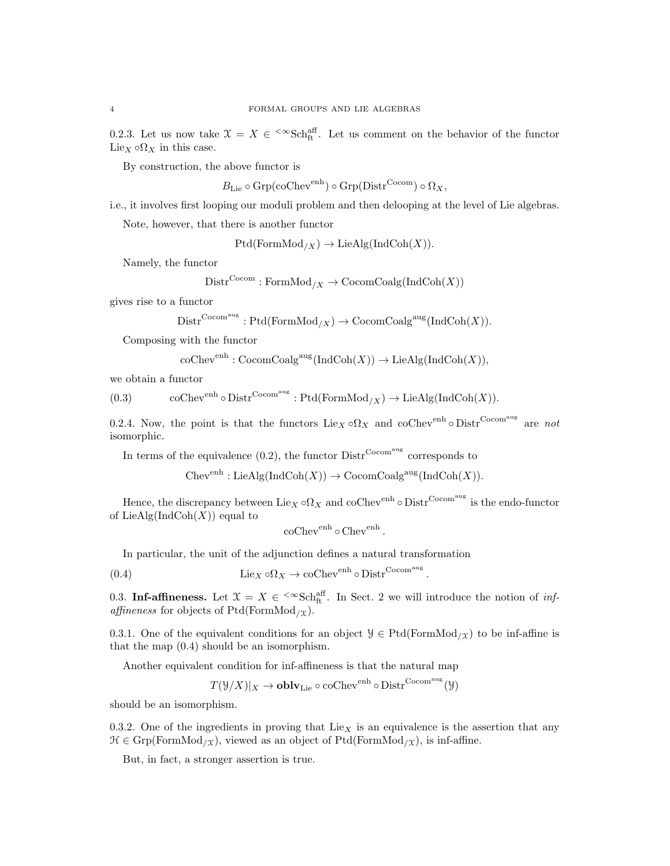0.2.3. Let us now take  $\mathfrak{X} = X \in \text{Sch}_{\text{ft}}^{\text{aff}}$ . Let us comment on the behavior of the functor Lie<sub>X</sub>  $\circ$ Q<sub>X</sub> in this case.

By construction, the above functor is

 $B_{\text{Lie}} \circ \text{Grp}(\text{coChev}^{\text{enh}}) \circ \text{Grp}(\text{Distr}^{\text{Cocom}}) \circ \Omega_X,$ 

i.e., it involves first looping our moduli problem and then delooping at the level of Lie algebras.

Note, however, that there is another functor

 $Ptd(FormMod_{/X}) \rightarrow LieAlg(IndCoh(X)).$ 

Namely, the functor

$$
Distr^{Cocom}: FormMod_{/X} \to CocomCoalg(IndCoh(X))
$$

gives rise to a functor

$$
Dist^{\mathrm{Cocom^{aug}}}: \mathrm{Ptd}(\mathrm{FormMod}_{/X}) \to \mathrm{CocomCoalg^{aug}}(\mathrm{IndCoh}(X)).
$$

Composing with the functor

$$
\operatorname{coChev}^{\operatorname{enh}}: \operatorname{CocomCoalg}^{\operatorname{aug}}(\operatorname{IndCoh}(X)) \to \operatorname{LieAlg}(\operatorname{IndCoh}(X)),
$$

we obtain a functor

(0.3) coChev<sup>enh</sup>  $\circ$  Distr<sup>Cocom<sup>aug</sup>: Ptd(FormMod<sub>/X</sub>)  $\rightarrow$  LieAlg(IndCoh(X)).</sup>

0.2.4. Now, the point is that the functors  $\text{Lie}_X \circ \Omega_X$  and  $\text{coChev}^{\text{enh}} \circ \text{Distr}^{\text{Cocom}^{\text{aug}}}$  are not isomorphic.

In terms of the equivalence  $(0.2)$ , the functor  $\text{Distr}^{\text{Cocom<sup>aug</sup>}}$  corresponds to

 $Chev<sup>enh</sup> : LieAlg(IndCoh(X)) \to CocomCoalg<sup>aug</sup>(IndCoh(X)).$ 

Hence, the discrepancy between  $\text{Lie}_X \circ \Omega_X$  and  $\text{coChev}^{\text{enh}} \circ \text{Distr}^{\text{Cocom}^{\text{aug}}}$  is the endo-functor of LieAlg(IndCoh $(X)$ ) equal to

$$
\operatorname{coChev}^{\operatorname{enh}} \circ \operatorname{Chev}^{\operatorname{enh}}.
$$

In particular, the unit of the adjunction defines a natural transformation

(0.4) Lie<sub>X</sub>  $\circ \Omega_X \to \circ \text{colve}^{\text{enh}} \circ \text{Distr}^{\text{Cocom}}$ .

0.3. Inf-affineness. Let  $\mathfrak{X} = X \in \text{Sch}_{\text{ft}}^{\text{aff}}$ . In Sect. 2 we will introduce the notion of inf*affineness* for objects of Ptd(FormMod<sub>/X</sub>).

0.3.1. One of the equivalent conditions for an object  $\mathcal{Y} \in \text{Ptd}(\text{FormMod}_{/\mathcal{X}})$  to be inf-affine is that the map (0.4) should be an isomorphism.

Another equivalent condition for inf-affineness is that the natural map

 $T(\mathcal{Y}/X)|_X \to \mathbf{oblv}_\mathbf{Lie} \circ \mathrm{coChev}^\mathrm{enh} \circ \mathrm{Distr}^\mathrm{Cocom^\mathrm{aug}}(\mathcal{Y})$ 

should be an isomorphism.

0.3.2. One of the ingredients in proving that  $Lie<sub>X</sub>$  is an equivalence is the assertion that any  $\mathcal{H} \in \text{Grp}(\text{FormMod}_{/\mathfrak{X}})$ , viewed as an object of Ptd(FormMod<sub>/X</sub>), is inf-affine.

But, in fact, a stronger assertion is true.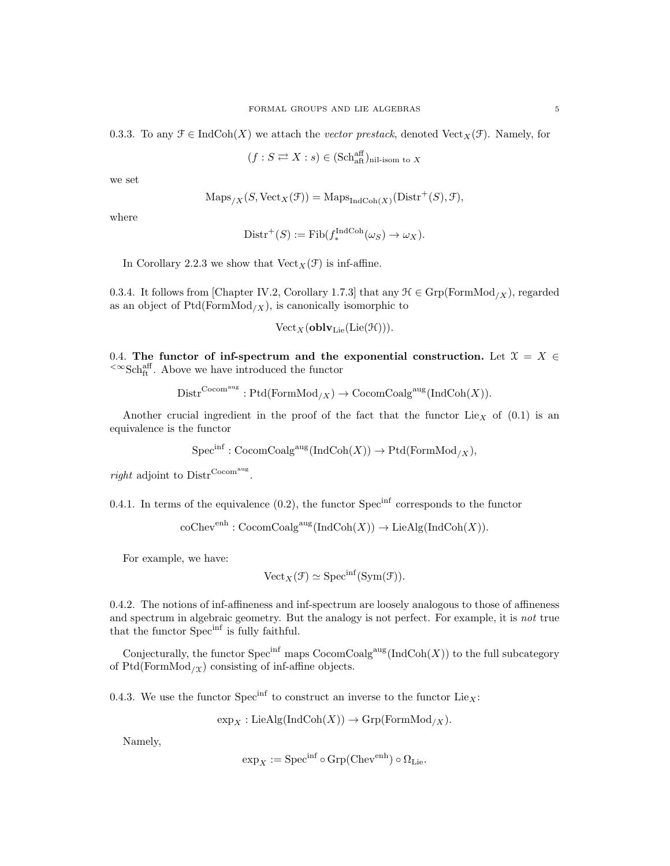0.3.3. To any  $\mathcal{F} \in \text{IndCoh}(X)$  we attach the *vector prestack*, denoted Vect<sub>X</sub>( $\mathcal{F}$ ). Namely, for

 $(f : S \rightleftarrows X : s) \in (\mathrm{Sch}^{\mathrm{aff}}_{\mathrm{aff}})_{\mathrm{nil-isom \ to \ } X}$ 

we set

$$
\operatorname{Maps}_{/X}(S, \operatorname{Vect}_X(\mathcal{F})) = \operatorname{Maps}_{\operatorname{IndCoh}(X)}(\operatorname{Distr}^+(S), \mathcal{F}),
$$

where

$$
Dist^{+}(S) := Fib(f_{*}^{IndCoh}(\omega_{S}) \to \omega_{X}).
$$

In Corollary 2.2.3 we show that  $Vect_X(\mathcal{F})$  is inf-affine.

0.3.4. It follows from [Chapter IV.2, Corollary 1.7.3] that any  $\mathcal{H} \in \text{Grp}(\text{FormMod}_X)$ , regarded as an object of  $Ptd(FormMod<sub>/X</sub>)$ , is canonically isomorphic to

$$
\text{Vect}_X(\textbf{oblv}_\text{Lie}(\text{Lie}(\mathcal{H}))).
$$

0.4. The functor of inf-spectrum and the exponential construction. Let  $\mathfrak{X} = X \in$  $\leq \infty$ Schaff. Above we have introduced the functor

$$
Distr^{Cocom^{aug}} : Ptd(FormMod_{/X}) \to CocomCoalg^{aug}(IndCoh(X)).
$$

Another crucial ingredient in the proof of the fact that the functor  $Lie<sub>X</sub>$  of  $(0.1)$  is an equivalence is the functor

$$
Spec^{inf}: \mathrm{CocomCoalg}^{\mathrm{aug}}(\mathrm{IndCoh}(X)) \to \mathrm{Ptd}(\mathrm{FormMod}_{/X}),
$$

right adjoint to  $\text{Distr}^{\text{Cocom}}$ .

0.4.1. In terms of the equivalence  $(0.2)$ , the functor Spec<sup>inf</sup> corresponds to the functor

 $\mathrm{coChev}^{\mathrm{enh}}:\mathrm{CocomCoalg}^{\mathrm{aug}}(\mathrm{IndCoh}(X))\to \mathrm{LieAlg}(\mathrm{IndCoh}(X)).$ 

For example, we have:

$$
\text{Vect}_X(\mathcal{F}) \simeq \text{Spec}^{\text{inf}}(\text{Sym}(\mathcal{F})).
$$

0.4.2. The notions of inf-affineness and inf-spectrum are loosely analogous to those of affineness and spectrum in algebraic geometry. But the analogy is not perfect. For example, it is not true that the functor Spec<sup>inf</sup> is fully faithful.

Conjecturally, the functor  $Spec^{inf}$  maps  $CocomCoalg^{aug}(\text{IndCoh}(X))$  to the full subcategory of Ptd(FormMod<sub>/X</sub>) consisting of inf-affine objects.

0.4.3. We use the functor  $\text{Spec}^{\text{inf}}$  to construct an inverse to the functor  $\text{Lie}_X$ :

 $\exp_X : \text{LieAlg}(\text{IndCoh}(X)) \to \text{Grp}(\text{FormMod}_{/X}).$ 

Namely,

$$
\exp_X := \operatorname{Spec}^{\inf} \circ \operatorname{Grp}(\operatorname{Chev}^{\text{enh}}) \circ \Omega_{\operatorname{Lie}}.
$$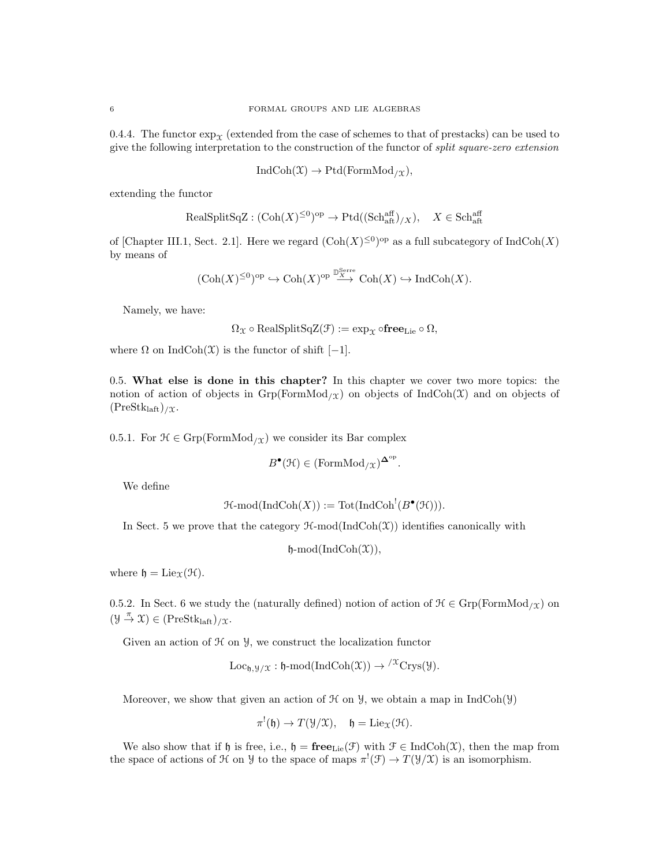0.4.4. The functor  $\exp_Y$  (extended from the case of schemes to that of prestacks) can be used to give the following interpretation to the construction of the functor of split square-zero extension

$$
IndCoh(\mathfrak{X}) \to Ptd(FormMod_{/\mathfrak{X}}),
$$

extending the functor

$$
\text{RealSplitSqZ} : (\text{Coh}(X)^{\leq 0})^{\text{op}} \to \text{Ptd}((\text{Sch}^{\text{aff}}_{\text{aff}})_{/X}), \quad X \in \text{Sch}^{\text{aff}}_{\text{aff}}
$$

of [Chapter III.1, Sect. 2.1]. Here we regard  $(\text{Coh}(X)^{\leq 0})^{\text{op}}$  as a full subcategory of IndCoh $(X)$ by means of

$$
(\mathrm{Coh}(X)^{\leq 0})^{\mathrm{op}}\hookrightarrow\mathrm{Coh}(X)^{\mathrm{op}}\xrightarrow{\mathbb{D}^{\mathrm{Serre}}_{X}}\mathrm{Coh}(X)\hookrightarrow\mathrm{Ind}\mathrm{Coh}(X).
$$

Namely, we have:

 $\Omega_{\mathfrak{X}} \circ \text{RealSplitSqZ}(\mathcal{F}) := \exp_{\mathfrak{X}} \circ \text{free}_{\text{Lie}} \circ \Omega,$ 

where  $\Omega$  on IndCoh( $\mathfrak{X}$ ) is the functor of shift [−1].

0.5. What else is done in this chapter? In this chapter we cover two more topics: the notion of action of objects in  $\mathrm{Grp}(F\mathrm{formMod}_{\ell}(\chi))$  on objects of IndCoh(X) and on objects of  $(PreStk<sub>laff</sub>)/\mathfrak{X}.$ 

0.5.1. For  $\mathcal{H} \in \text{Grp}(\text{FormMod}_{/\mathfrak{X}})$  we consider its Bar complex

$$
B^{\bullet}(\mathfrak{H}) \in (\mathrm{FormMod}_{/\mathfrak{X}})^{\mathbf{\Delta}^{\mathrm{op}}}
$$

.

We define

$$
\mathcal{H}\text{-mod}(\text{IndCoh}(X)) := \text{Tot}(\text{IndCoh}^!(B^{\bullet}(\mathcal{H}))).
$$

In Sect. 5 we prove that the category  $\mathcal{H}\text{-mod}(\text{IndCoh}(\mathcal{X}))$  identifies canonically with

 $\mathfrak{h}\text{-mod}(\text{IndCoh}(\mathfrak{X})),$ 

where  $\mathfrak{h} = \mathrm{Lie}_{\mathfrak{X}}(\mathfrak{H}).$ 

0.5.2. In Sect. 6 we study the (naturally defined) notion of action of  $\mathcal{H} \in \mathrm{Grp}(\mathrm{FormMod}_{/\mathfrak{X}})$  on  $(\mathcal{Y} \stackrel{\pi}{\to} \mathcal{X}) \in (\text{PreStk}_{\text{laft}})_{/\mathcal{X}}.$ 

Given an action of  $H$  on  $\mathcal{Y}$ , we construct the localization functor

$$
Loc_{\mathfrak{h}, \mathcal{Y}/\mathfrak{X}} : \mathfrak{h}\text{-mod}(\mathrm{IndCoh}(\mathfrak{X})) \to {}^{/\mathfrak{X}}\mathrm{Crys}(\mathcal{Y}).
$$

Moreover, we show that given an action of  $\mathcal H$  on  $\mathcal Y$ , we obtain a map in IndCoh( $\mathcal Y$ )

$$
\pi^{!}(\mathfrak{h}) \to T(\mathcal{Y}/\mathcal{X}), \quad \mathfrak{h} = \mathrm{Lie}_{\mathcal{X}}(\mathcal{H}).
$$

We also show that if h is free, i.e.,  $\mathfrak{h} = \mathbf{free}_{\text{Lie}}(\mathcal{F})$  with  $\mathcal{F} \in \text{IndCoh}(\mathcal{X})$ , then the map from the space of actions of H on Y to the space of maps  $\pi^!(\mathcal{F}) \to T(\mathcal{Y}/\mathcal{X})$  is an isomorphism.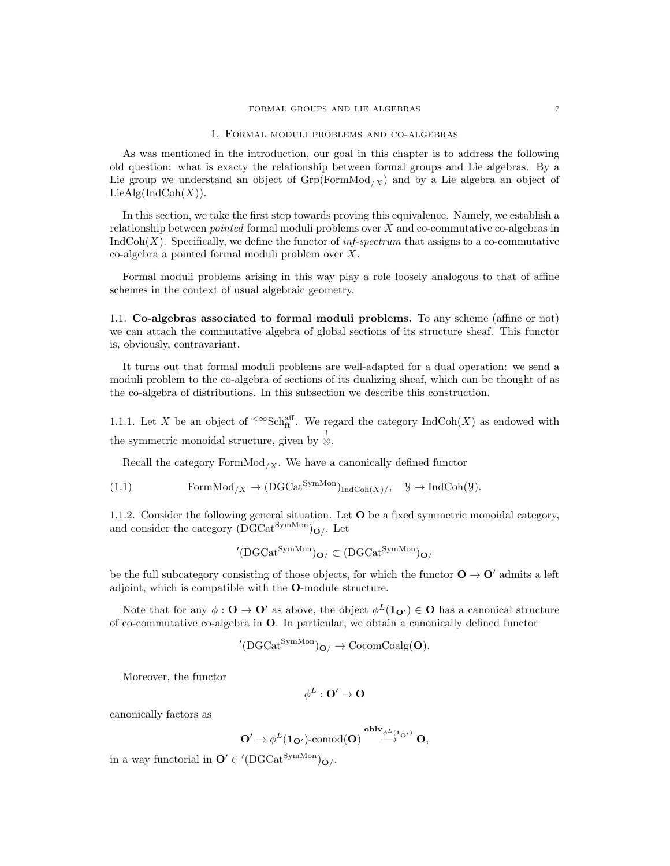#### FORMAL GROUPS AND LIE ALGEBRAS  $\hspace{0.1cm} 7$

#### 1. Formal moduli problems and co-algebras

As was mentioned in the introduction, our goal in this chapter is to address the following old question: what is exacty the relationship between formal groups and Lie algebras. By a Lie group we understand an object of  $Grp(FormMod_X)$  and by a Lie algebra an object of  $LieAlg(IndCoh(X)).$ 

In this section, we take the first step towards proving this equivalence. Namely, we establish a relationship between pointed formal moduli problems over X and co-commutative co-algebras in  $IndCoh(X)$ . Specifically, we define the functor of *inf-spectrum* that assigns to a co-commutative co-algebra a pointed formal moduli problem over X.

Formal moduli problems arising in this way play a role loosely analogous to that of affine schemes in the context of usual algebraic geometry.

1.1. Co-algebras associated to formal moduli problems. To any scheme (affine or not) we can attach the commutative algebra of global sections of its structure sheaf. This functor is, obviously, contravariant.

It turns out that formal moduli problems are well-adapted for a dual operation: we send a moduli problem to the co-algebra of sections of its dualizing sheaf, which can be thought of as the co-algebra of distributions. In this subsection we describe this construction.

1.1.1. Let X be an object of  $\leq \text{Sch}_{\text{ft}}^{\text{aff}}$ . We regard the category IndCoh(X) as endowed with the symmetric monoidal structure, given by ⊗.

Recall the category  $FormMod_{/X}$ . We have a canonically defined functor

(1.1) FormMod<sub>/X</sub> 
$$
\rightarrow
$$
 (DGCat<sup>SymMon</sup>)<sub>IndCoh(X)/</sub>,  $\mathcal{Y} \mapsto$  IndCoh( $\mathcal{Y}$ ).

1.1.2. Consider the following general situation. Let O be a fixed symmetric monoidal category, and consider the category  $(\breve{\mathbf{D} \mathbf{G}}\mathbf{Cat}^\mathbf{SymMon})_{\mathbf{O}/}.$  Let

$$
^{\prime}(\text{DGCat}^{\text{SymMon}})_{\textbf{O}/} \subset (\text{DGCat}^{\text{SymMon}})_{\textbf{O}/}
$$

be the full subcategory consisting of those objects, for which the functor  $\mathbf{O} \to \mathbf{O}'$  admits a left adjoint, which is compatible with the O-module structure.

Note that for any  $\phi: \mathbf{O} \to \mathbf{O}'$  as above, the object  $\phi^L(\mathbf{1}_{\mathbf{O}'} ) \in \mathbf{O}$  has a canonical structure of co-commutative co-algebra in O. In particular, we obtain a canonically defined functor

$$
{}^\prime(\operatorname{DGCat}^{\operatorname{SymMon}})_{\mathbf{O}/} \rightarrow \operatorname{CocomCoalg}(\mathbf{O}).
$$

Moreover, the functor

$$
\phi^L:\mathbf{O}'\to\mathbf{O}
$$

canonically factors as

$$
O' \to \phi^L(\mathbf{1}_{O'})\text{-comod}(O) \overset{{\bf oblv}_{\phi^L(\mathbf{1}_{O'})}}{\longrightarrow} O,
$$

in a way functorial in  $\mathbf{O}' \in '(\text{DGCat}^{\text{SymMon}})_{\mathbf{O}/}.$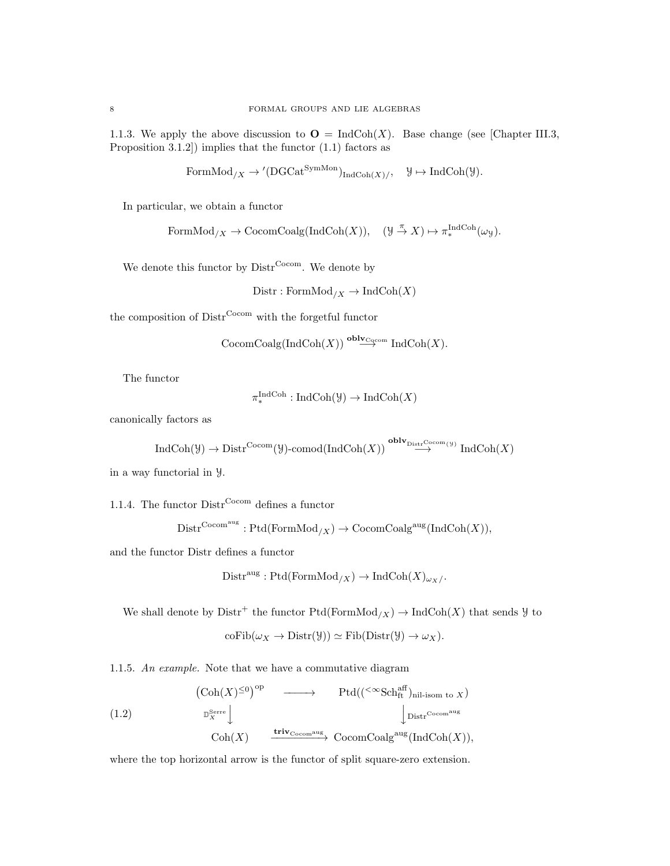1.1.3. We apply the above discussion to  $\mathbf{O} = \text{IndCoh}(X)$ . Base change (see [Chapter III.3, Proposition 3.1.2]) implies that the functor (1.1) factors as

FormMod<sub>/X</sub> 
$$
\rightarrow
$$
'(DGCat<sup>SymMon</sup>)<sub>IndCoh(X)/</sub>,  $\mathcal{Y} \mapsto$ IndCoh( $\mathcal{Y}$ ).

In particular, we obtain a functor

FormMod<sub>/X</sub> 
$$
\rightarrow
$$
 CocomCoalg(IndCoh(X)), (Y  $\stackrel{\pi}{\rightarrow}$  X)  $\mapsto \pi_*^{\text{IndCoh}}(\omega_y)$ .

We denote this functor by  $\text{Distr}^{\text{Cocom}}$ . We denote by

$$
Distr : FormMod_{/X} \to IndCoh(X)
$$

the composition of  $\text{Distr}^{\text{Cocom}}$  with the forgetful functor

$$
CocomCoalg(IndCoh(X)) \stackrel{oblv_{Cogcom}}{\longrightarrow} IndCoh(X).
$$

The functor

$$
\pi_*^{\operatorname{IndCoh}}: \operatorname{IndCoh}(\mathcal{Y}) \to \operatorname{IndCoh}(X)
$$

canonically factors as

$$
\operatorname{IndCoh}(\mathcal{Y}) \to \operatorname{Distr}^{\operatorname{Cocom}}(\mathcal{Y})\text{-comod}(\operatorname{IndCoh}(X)) \stackrel{\operatorname{oblv}_{\operatorname{Distr}^{\operatorname{Cocom}}(\mathcal{Y})}}{\longrightarrow} \operatorname{IndCoh}(X)
$$

in a way functorial in Y.

1.1.4. The functor  $\text{Distr}^{\text{Cocom}}$  defines a functor

$$
Dist^{\mathrm{Cocom}^{\mathrm{aug}}}: \mathrm{Ptd}(\mathrm{FormMod}_{/X}) \to \mathrm{CocomCoalg}^{\mathrm{aug}}(\mathrm{IndCoh}(X)),
$$

and the functor Distr defines a functor

$$
Distr^{aug}: Ptd(FormMod_{/X}) \to IndCoh(X)_{\omega_X}/.
$$

We shall denote by  $\text{Distr}^+$  the functor  $\text{Ptd}(\text{FormMod}_X) \to \text{IndCoh}(X)$  that sends  $\mathcal Y$  to

$$
\mathrm{coFib}(\omega_X \to \mathrm{Distr}(\mathcal{Y})) \simeq \mathrm{Fib}(\mathrm{Distr}(\mathcal{Y}) \to \omega_X).
$$

1.1.5. An example. Note that we have a commutative diagram

(1.2)  
\n
$$
\left(\text{Coh}(X)^{\leq 0}\right)^{\text{op}} \longrightarrow \text{Ptd}((\leq \text{Sch}_{\text{ft}}^{\text{aff}})_{\text{nil-isom to }X})
$$
\n
$$
\downarrow \text{Distr}^{\text{Cocomaug}}
$$
\n
$$
\text{Coh}(X) \longrightarrow \text{triv}_{\text{Cocomaug}}^{\text{Surre}} \longrightarrow \text{CocomCoalg}^{\text{aff}}(\text{Ind}\text{Coh}(X)),
$$

where the top horizontal arrow is the functor of split square-zero extension.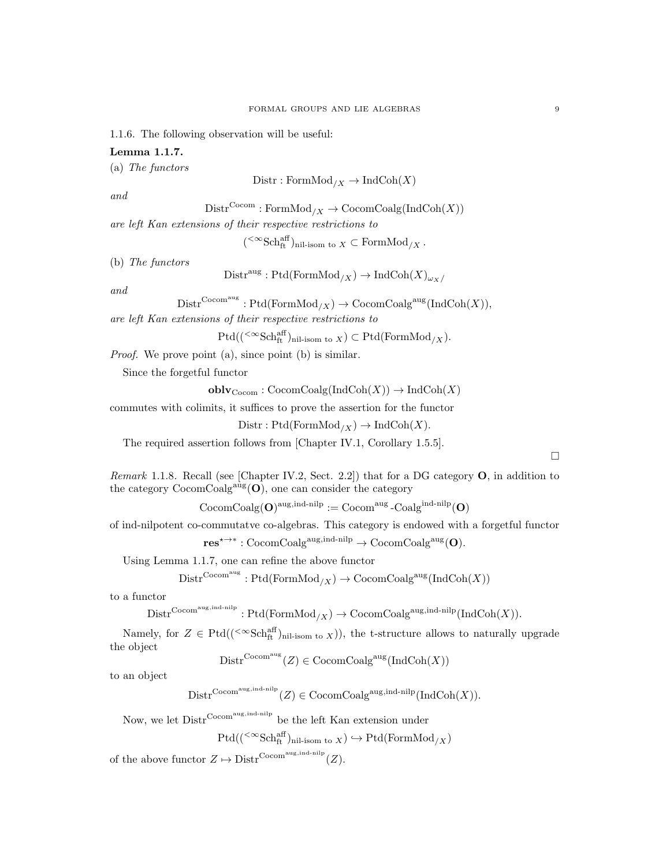1.1.6. The following observation will be useful:

# Lemma 1.1.7.

(a) The functors

$$
Distr: FormMod_{/X} \to IndCoh(X)
$$

and

 $\mathrm{Distr}^{\mathrm{Cocom}}:\mathrm{FormMod}_{/X}\to \mathrm{CocomCoalg}(\mathrm{IndCoh}(X))$ 

are left Kan extensions of their respective restrictions to

 $({}^{<\infty}{\rm Sch}^{\rm aff}_{\rm ft})_{\rm nil-isom \ to \ X} \subset {\rm FormMod}_{/X}$ .

(b) The functors

 $\text{Distr}^{\text{aug}} : \text{Ptd}(\text{FormMod}_X) \to \text{IndCoh}(X)_{\omega_X}$ 

and

 $\text{Distr}^{\text{Cocom}}$ <sup>aug</sup> : Ptd(FormMod<sub>/X</sub>)  $\rightarrow$  CocomCoalg<sup>aug</sup>(IndCoh(X)),

are left Kan extensions of their respective restrictions to

$$
\mathrm{Ptd}((\leq \infty \mathrm{Sch}_\mathrm{ft}^{\mathrm{aff}})_{\mathrm{nil\text{-}isom to }X}) \subset \mathrm{Ptd}(\mathrm{FormMod}_{/X}).
$$

Proof. We prove point (a), since point (b) is similar.

Since the forgetful functor

 $\text{oblv}_{\text{Cocom}} : \text{CocomCoalg}(\text{IndCoh}(X)) \to \text{IndCoh}(X)$ 

commutes with colimits, it suffices to prove the assertion for the functor

 $Dist: Ptd(FormMod_{/X}) \to IndCoh(X).$ 

The required assertion follows from [Chapter IV.1, Corollary 1.5.5].

 $\Box$ 

Remark 1.1.8. Recall (see [Chapter IV.2, Sect. 2.2]) that for a DG category  $O$ , in addition to the category  $CocomCoalg<sup>aug</sup>(O)$ , one can consider the category

 $\mathrm{CocomCoalg}(\mathbf{O})^{\mathrm{aug, ind-nilp}} := \mathrm{Cocom}^{\mathrm{aug}}\text{-}\mathrm{Coalg}^{\mathrm{ind-nilp}}(\mathbf{O})$ 

of ind-nilpotent co-commutatve co-algebras. This category is endowed with a forgetful functor

 $res^{\star \rightarrow *} : \mathrm{CocomCoalg}^{\mathrm{aug}, \mathrm{ind-nilp}} \rightarrow \mathrm{CocomCoalg}^{\mathrm{aug}}(\mathbf{O}).$ 

Using Lemma 1.1.7, one can refine the above functor

 $\mathrm{Distr}^{\mathrm{Cocom}^{\mathrm{aug}}}: \mathrm{Ptd}(\mathrm{FormMod}_{/X}) \to \mathrm{CocomCoalg}^{\mathrm{aug}}(\mathrm{IndCoh}(X))$ 

to a functor

 $\text{Distr}^{\text{Cocom}}$ <sup>aug,ind-nilp</sup> :  $\text{Ptd}(\text{FormMod}_X) \to \text{CocomCoalg}^{\text{aug,ind-nilp}}(\text{IndCoh}(X)).$ 

Namely, for  $Z \in \text{Ptd}((\text{&\&Sch<sub>ft</sub><sup>aff</sup>)<sub>nil-isom to X</sub>})$ , the t-structure allows to naturally upgrade the object

 $\text{Distr}^{\text{Cocom}}(Z) \in \text{CocomCoalg}^{\text{aug}}(\text{IndCoh}(X))$ 

to an object

 $\text{Distr}^{\text{Cocom}}(Z) \in \text{CocomCoalg}^{\text{aug,ind-nilp}}(\text{IndCoh}(X)).$ 

Now, we let  $\text{Distr}^{\text{Cocom}}$ <sup>aug, ind-nilp</sup> be the left Kan extension under

$$
\mathrm{Ptd}((\leq^{\infty}\mathrm{Sch}^{\mathrm{aff}}_{\mathrm{ft}})_{\mathrm{nil\text{-}isom to }X})\hookrightarrow \mathrm{Ptd}(\mathrm{FormMod}_{/X})
$$

of the above functor  $Z \mapsto \text{Distr}^{\text{Cocom}^{\text{aug,ind-nilp}}}(Z)$ .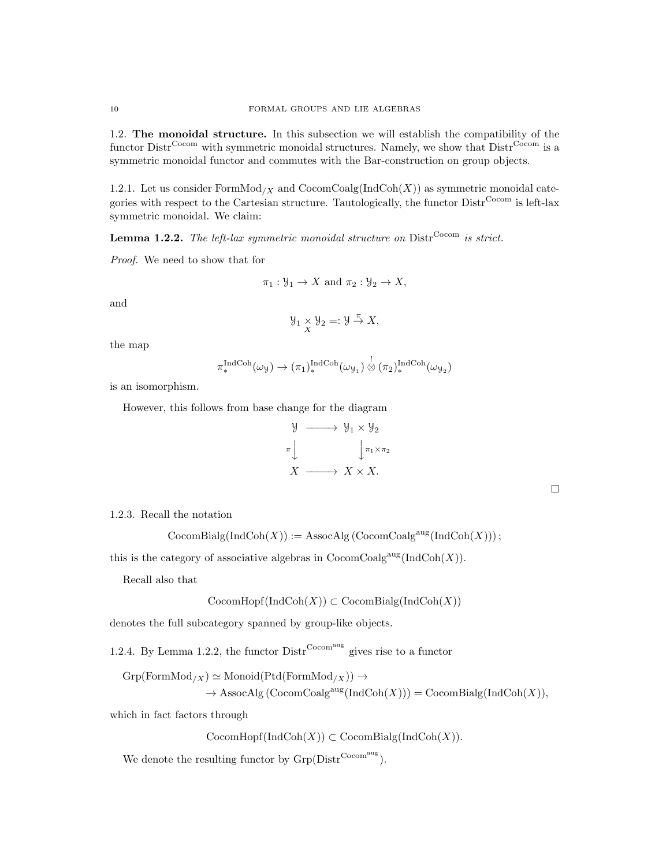1.2. The monoidal structure. In this subsection we will establish the compatibility of the functor Distr<sup>Cocom</sup> with symmetric monoidal structures. Namely, we show that Distr<sup>Cocom</sup> is a symmetric monoidal functor and commutes with the Bar-construction on group objects.

1.2.1. Let us consider  $FormMod_{/X}$  and  $CocomCoalg(IndCoh(X))$  as symmetric monoidal categories with respect to the Cartesian structure. Tautologically, the functor  $\text{Distr}^{\text{Cocom}}$  is left-lax symmetric monoidal. We claim:

**Lemma 1.2.2.** The left-lax symmetric monoidal structure on  $\text{Dist}^{\text{Cocom}}$  is strict.

Proof. We need to show that for

$$
\pi_1 : \mathcal{Y}_1 \to X
$$
 and  $\pi_2 : \mathcal{Y}_2 \to X$ ,

and

$$
\mathcal{Y}_1 \underset{X}{\times} \mathcal{Y}_2 =: \mathcal{Y} \stackrel{\pi}{\rightarrow} X,
$$

the map

$$
\pi_*^{\text{IndCoh}}(\omega_\mathcal{Y}) \to (\pi_1)^{\text{IndCoh}}_*(\omega_{\mathcal{Y}_1}) \overset{!}{\otimes} (\pi_2)^{\text{IndCoh}}_*(\omega_{\mathcal{Y}_2})
$$

is an isomorphism.

However, this follows from base change for the diagram



1.2.3. Recall the notation

 $\mathrm{CocomBialg}(\mathrm{IndCoh}(X)) := \mathrm{AssocAlg}(\mathrm{CocomCoalg}^{\mathrm{aug}}(\mathrm{IndCoh}(X)))$ ;

this is the category of associative algebras in  $\mathrm{CocomCoalg}^{\mathrm{aug}}(\mathrm{IndCoh}(X)).$ 

Recall also that

$$
CocomHopf(IndCoh(X)) \subset CocomBialg(IndCoh(X))
$$

denotes the full subcategory spanned by group-like objects.

1.2.4. By Lemma 1.2.2, the functor  $\text{Distr}^{\text{Cocom}}$  gives rise to a functor

 $Grp(FormMod_{/X}) \simeq \text{Monoid}(Ptd(FormMod_{/X})) \rightarrow$  $\rightarrow$  AssocAlg (CocomCoalg<sup>aug</sup>(IndCoh(X))) = CocomBialg(IndCoh(X)),

which in fact factors through

 $\mathrm{CocomHopf}(\mathrm{IndCoh}(X)) \subset \mathrm{CocomBialg}(\mathrm{IndCoh}(X)).$ 

We denote the resulting functor by  $G_{\text{rp}}(\text{Distr}^{\text{Cocom}^{\text{aug}}}).$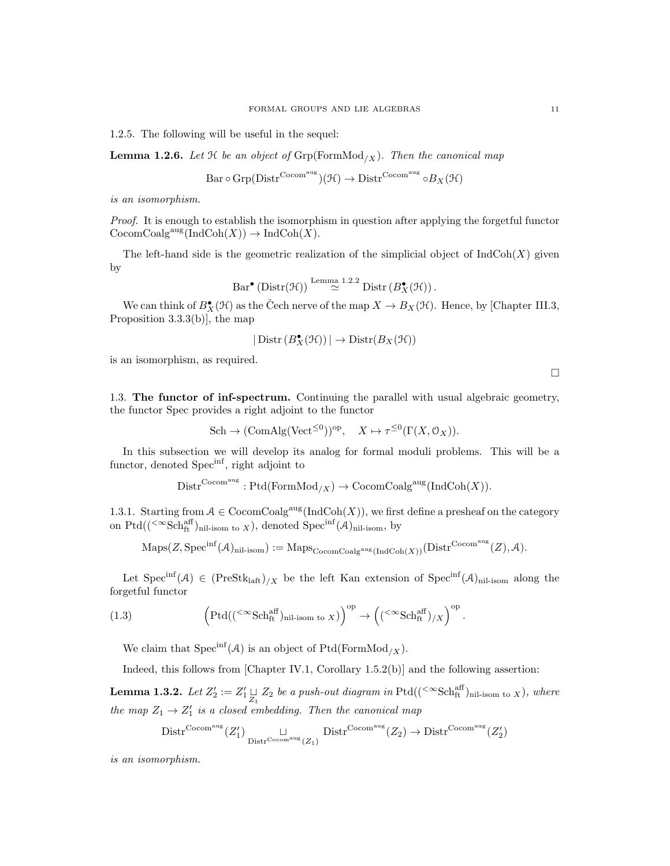1.2.5. The following will be useful in the sequel:

**Lemma 1.2.6.** Let  $H$  be an object of  $Grp(FormMod_X)$ . Then the canonical map

$$
\operatorname{Bar} \circ \operatorname{Grp}(\operatorname{Distr}^{\operatorname{Cocom^{aug}}}) (\mathcal{H}) \to \operatorname{Distr}^{\operatorname{Cocom^{aug}}} \circ B_X (\mathcal{H})
$$

is an isomorphism.

Proof. It is enough to establish the isomorphism in question after applying the forgetful functor  $\mathrm{CocomCoalg}^{\mathrm{aug}}(\mathrm{IndCoh}(X)) \to \mathrm{IndCoh}(X).$ 

The left-hand side is the geometric realization of the simplicial object of  $IndCoh(X)$  given by

$$
\mathrm{Bar}^{\bullet}\left(\mathrm{Distr}(\mathcal{H})\right) \stackrel{\mathrm{Lemma} \ 1.2.2}{\simeq} \mathrm{Distr}\left(B_{X}^{\bullet}(\mathcal{H})\right).
$$

We can think of  $B_{X}^{\bullet}(\mathcal{H})$  as the Čech nerve of the map  $X \to B_X(\mathcal{H})$ . Hence, by [Chapter III.3, Proposition 3.3.3(b)], the map

$$
|\operatorname{Distr}(B_{X}^{\bullet}(\mathcal{H}))| \to \operatorname{Distr}(B_{X}(\mathcal{H}))
$$

is an isomorphism, as required.

1.3. The functor of inf-spectrum. Continuing the parallel with usual algebraic geometry, the functor Spec provides a right adjoint to the functor

$$
\text{Sch} \to (\text{ComAlg}(\text{Vect}^{\leq 0}))^{\text{op}}, \quad X \mapsto \tau^{\leq 0}(\Gamma(X, \mathcal{O}_X)).
$$

In this subsection we will develop its analog for formal moduli problems. This will be a functor, denoted Spec<sup>inf</sup>, right adjoint to

$$
Distr^{Cocom^{aug}} : \mathrm{Ptd}(FormMod_{/X}) \to CocomCoalg^{aug}(IndCoh(X)).
$$

1.3.1. Starting from  $A \in \text{CocomCoalg}^{\text{aug}}(\text{IndCoh}(X))$ , we first define a presheaf on the category on  $Ptd((\leq \text{Sch}_{ft}^{aff})_{\text{nil-isom to } X})$ , denoted  $\text{Spec}^{\text{inf}}(\mathcal{A})_{\text{nil-isom}},$  by

$$
\mathrm{Maps}(Z, \mathrm{Spec}^{\mathrm{inf}}(\mathcal{A})_{\mathrm{nil-isom}}):=\mathrm{Maps}_{\mathrm{CocomCoalg}^{\mathrm{aug}}(\mathrm{IndCoh}(X))}(\mathrm{Distr}^{\mathrm{Cocom}^{\mathrm{aug}}}(Z), \mathcal{A}).
$$

Let  $Spec^{inf}(\mathcal{A}) \in (Prestk_{left})_{/X}$  be the left Kan extension of  $Spec^{inf}(\mathcal{A})_{nil-isom}$  along the forgetful functor

(1.3) 
$$
\left(\mathrm{Ptd}((\mathrm{<}^{\infty}\mathrm{Sch}^{\mathrm{aff}}_{\mathrm{ft}})_{\mathrm{nil-isom to }X})\right)^{\mathrm{op}} \to \left((\mathrm{<}^{\infty}\mathrm{Sch}^{\mathrm{aff}}_{\mathrm{ft}})_{/X}\right)^{\mathrm{op}}.
$$

We claim that  $Spec^{inf}(\mathcal{A})$  is an object of Ptd(FormMod<sub>/X</sub>).

Indeed, this follows from [Chapter IV.1, Corollary 1.5.2(b)] and the following assertion:

**Lemma 1.3.2.** Let  $Z'_2 := Z'_1 \sqcup Z_2$  be a push-out diagram in Ptd $((\leq \text{Sch}^{\text{aff}}_{\text{ft}})_{\text{nil-isom to } X})$ , where the map  $Z_1 \rightarrow Z'_1$  is a closed embedding. Then the canonical map

$$
Distr^{Cocomaug}(Z'_1) \underset{Distr^{Cocomaug}(Z_1)}{\sqcup} Distr^{Cocomaug}(Z_2) \to Distr^{Cocomaug}(Z'_2)
$$

is an isomorphism.

 $\Box$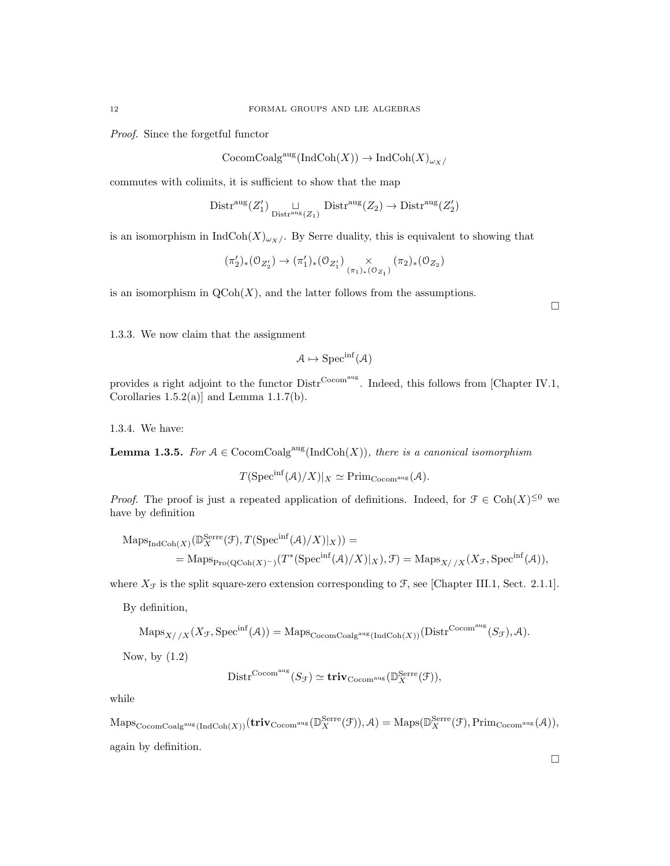Proof. Since the forgetful functor

 $\mathrm{CocomCoalg}^{\mathrm{aug}}(\mathrm{IndCoh}(X)) \to \mathrm{IndCoh}(X)_{\omega_X}$ 

commutes with colimits, it is sufficient to show that the map

$$
\mathrm{Distr}^{\mathrm{aug}}(Z'_1) \underset{\mathrm{Distr}^{\mathrm{aug}}(Z_1)}{\sqcup} \mathrm{Distr}^{\mathrm{aug}}(Z_2) \to \mathrm{Distr}^{\mathrm{aug}}(Z'_2)
$$

is an isomorphism in  $\text{IndCoh}(X)_{\omega_X}/$ . By Serre duality, this is equivalent to showing that

$$
(\pi_{2}')_{*}(\mathbb{O}_{Z'_{2}})\rightarrow(\pi_{1}')_{*}(\mathbb{O}_{Z'_{1}})\underset{(\pi_{1})_{*}(\mathbb{O}_{Z_{1}})}{\times}(\pi_{2})_{*}(\mathbb{O}_{Z_{2}})
$$

is an isomorphism in  $\mathrm{QCoh}(X)$ , and the latter follows from the assumptions.

 $\Box$ 

1.3.3. We now claim that the assignment

$$
A \mapsto \mathrm{Spec}^{\inf}(A)
$$

provides a right adjoint to the functor  $\text{Distr}^{\text{Cocom}^{\text{aug}}}$ . Indeed, this follows from [Chapter IV.1, Corollaries  $1.5.2(a)$ ] and Lemma  $1.1.7(b)$ .

1.3.4. We have:

**Lemma 1.3.5.** For  $A \in \text{CocomCoalg}^{\text{aug}}(\text{IndCoh}(X))$ , there is a canonical isomorphism

$$
T(\text{Spec}^{\text{inf}}(\mathcal{A})/X)|_X \simeq \text{Prim}_{\text{Cocom}^{\text{aug}}}(\mathcal{A}).
$$

*Proof.* The proof is just a repeated application of definitions. Indeed, for  $\mathcal{F} \in \text{Coh}(X)^{\leq 0}$  we have by definition

$$
MapsIndCoh(X)(\mathbb{D}_{X}^{Serre}(\mathcal{F}), T(Specinf(\mathcal{A})/X)|_{X})) =
$$
  
= Maps<sub>Pro(QCoh(X)^{-})</sub>(T<sup>\*</sup>(Spec<sup>inf</sup>(\mathcal{A})/X)|\_{X}),  $\mathcal{F}$ ) = Maps<sub>X//X</sub>(X<sub>F</sub>, Spec<sup>inf</sup>(\mathcal{A})),

where  $X_{\mathcal{F}}$  is the split square-zero extension corresponding to  $\mathcal{F}$ , see [Chapter III.1, Sect. 2.1.1].

By definition,

$$
\mathrm{Maps}_{X//X}(X_{\mathcal{F}}, \mathrm{Spec}^{\mathrm{inf}}(\mathcal{A})) = \mathrm{Maps}_{\mathrm{CocomCoalg}^{\mathrm{aug}}(\mathrm{IndCoh}(X))}(\mathrm{Distr}^{\mathrm{Cocom}^{\mathrm{aug}}}(S_{\mathcal{F}}), \mathcal{A}).
$$

Now, by (1.2)

$$
\mathrm{Distr}^{\mathrm{Cocom^{aug}}}(S_{\mathcal{F}}) \simeq \mathbf{triv}_{\mathrm{Cocom^{aug}}}(\mathbb{D}_{X}^{\mathrm{Serre}}(\mathcal{F})),
$$

while

 $\mathrm{Maps}_{\mathrm{CocomCoalg}^{\mathrm{aug}}(\mathrm{IndCoh}(X))}(\mathrm{\bf triv}_{\mathrm{Cocom}^{\mathrm{aug}}}(\mathbb{D}_{X}^{\mathrm{Serre}}(\mathcal{F})),\mathcal{A})=\mathrm{Maps}(\mathbb{D}_{X}^{\mathrm{Serre}}(\mathcal{F}),\mathrm{Prim}_{\mathrm{Cocom}^{\mathrm{aug}}}(\mathcal{A})),$ again by definition.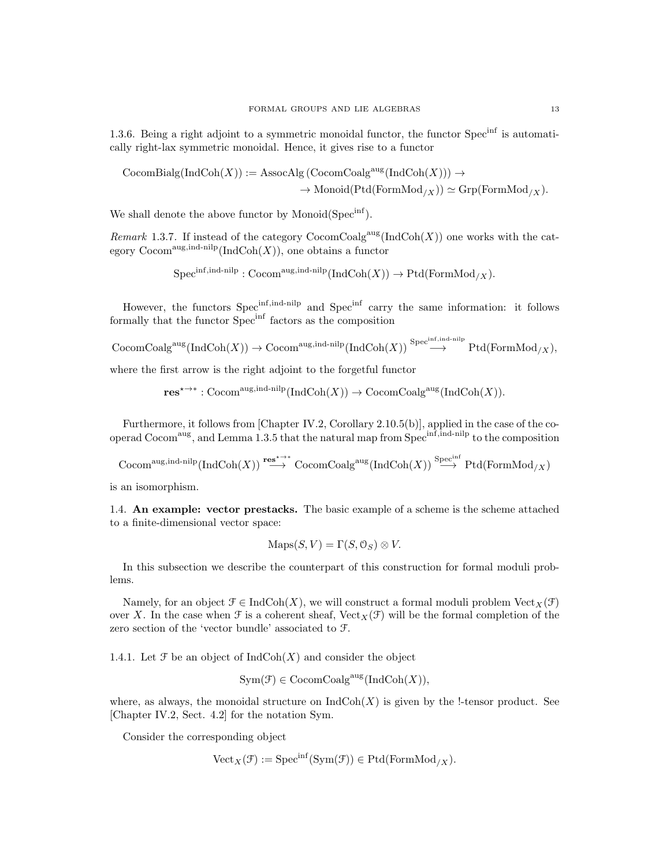1.3.6. Being a right adjoint to a symmetric monoidal functor, the functor  $Spec^{inf}$  is automatically right-lax symmetric monoidal. Hence, it gives rise to a functor

$$
CocomBialg(IndCoh(X)) := AssocAlg (CocomCoalgaug(IndCoh(X))) \rightarrow
$$

$$
\rightarrow Monoid(Prd(FormMod_{/X})) \simeq Grp(FormMod_{/X}).
$$

We shall denote the above functor by Monoid( $Spec^{inf}$ ).

Remark 1.3.7. If instead of the category  $\text{CocomCoalg}^{\text{aug}}(\text{IndCoh}(X))$  one works with the category  $\mathrm{Cocom}^{\mathrm{aug, ind-nilp}}(\mathrm{IndCoh}(X))$ , one obtains a functor

$$
Spec^{inf,ind-nilp}: \mathrm{Cocom}^{\mathrm{aug,ind-nilp}}(\mathrm{IndCoh}(X)) \to \mathrm{Ptd}(\mathrm{FormMod}_{/X}).
$$

However, the functors Spec<sup>inf,ind-nilp</sup> and Spec<sup>inf</sup> carry the same information: it follows formally that the functor Specinf factors as the composition

 $\mathrm{CocomCoalg}^\mathrm{aug}(\mathrm{IndCoh}(X)) \to \mathrm{Cocom}^\mathrm{aug,ind-nilp}(\mathrm{IndCoh}(X)) \overset{\mathrm{Spec}^\mathrm{inf,ind-nilp}}{\longrightarrow} \mathrm{Ptd}(\mathrm{FormMod}_{/X}),$ 

where the first arrow is the right adjoint to the forgetful functor

 $res^{\star \rightarrow *} : \text{Cocom}^{\text{aug}, \text{ind-nilp}}(\text{IndCoh}(X)) \rightarrow \text{CocomCoalg}^{\text{aug}}(\text{IndCoh}(X)).$ 

Furthermore, it follows from [Chapter IV.2, Corollary 2.10.5(b)], applied in the case of the cooperad Cocom<sup>aug</sup>, and Lemma 1.3.5 that the natural map from Spec<sup>inf,ind-nilp</sup> to the composition

 $\mathrm{Cocom}^\mathrm{aug,ind-nilp}(\mathrm{IndCoh}(X)) \stackrel{\mathbf{res}^{*\to *}}{\longrightarrow} \mathrm{CocomCoalg}^\mathrm{aug}(\mathrm{IndCoh}(X)) \stackrel{\mathrm{Spec}^\mathrm{inf}}{\longrightarrow} \mathrm{Ptd}(\mathrm{FormMod}_{/X})$ 

is an isomorphism.

1.4. An example: vector prestacks. The basic example of a scheme is the scheme attached to a finite-dimensional vector space:

$$
Maps(S, V) = \Gamma(S, \mathcal{O}_S) \otimes V.
$$

In this subsection we describe the counterpart of this construction for formal moduli problems.

Namely, for an object  $\mathcal{F} \in \text{IndCoh}(X)$ , we will construct a formal moduli problem  $\text{Vect}_X(\mathcal{F})$ over X. In the case when  $\mathcal F$  is a coherent sheaf, Vect<sub>X</sub>( $\mathcal F$ ) will be the formal completion of the zero section of the 'vector bundle' associated to F.

1.4.1. Let  $\mathfrak F$  be an object of  $\mathrm{IndCoh}(X)$  and consider the object

$$
Sym(\mathcal{F}) \in \mathrm{CocomCoalg}^{\mathrm{aug}}(\mathrm{IndCoh}(X)),
$$

where, as always, the monoidal structure on  $\text{IndCoh}(X)$  is given by the !-tensor product. See [Chapter IV.2, Sect. 4.2] for the notation Sym.

Consider the corresponding object

$$
\text{Vect}_X(\mathcal{F}) := \text{Spec}^{\text{inf}}(\text{Sym}(\mathcal{F})) \in \text{Ptd}(\text{FormMod}_{/X}).
$$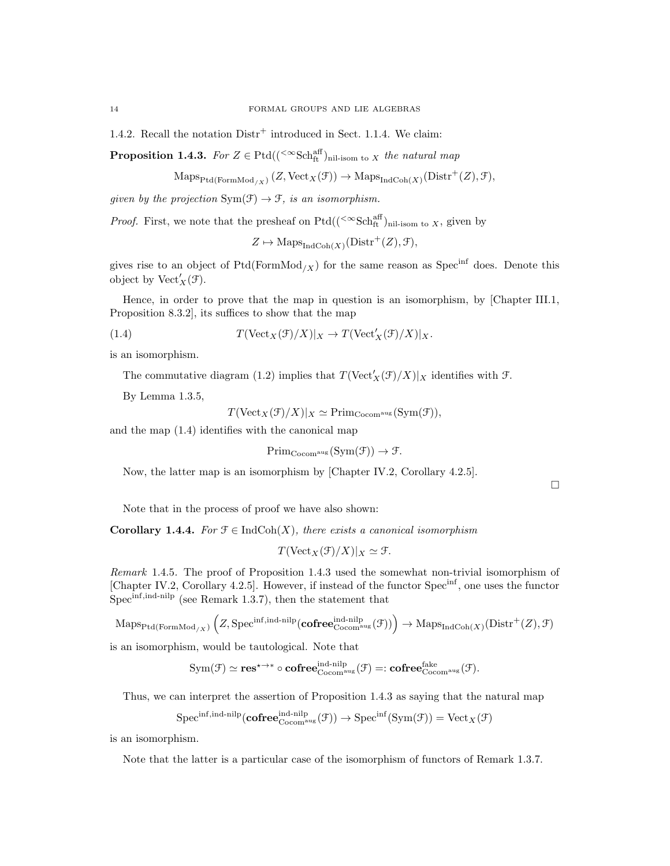1.4.2. Recall the notation  $Distr^+$  introduced in Sect. 1.1.4. We claim:

**Proposition 1.4.3.** For  $Z \in \text{Ptd}((\text{<sup>< \infty</sup>Sch<sub>ft</sub><sup>aff</sup>)<sub>nil-isom to X</sub> the natural map)$ 

$$
\mathrm{Maps}_{\mathrm{Ptd}(\mathrm{FormMod}_{/X})}(Z,\mathrm{Vect}_X(\mathcal{F})) \to \mathrm{Maps}_{\mathrm{IndCoh}(X)}(\mathrm{Distr}^+(Z),\mathcal{F}),
$$

given by the projection  $Sym(\mathcal{F}) \to \mathcal{F}$ , is an isomorphism.

*Proof.* First, we note that the presheaf on  $Ptd((\leq \text{Sch}^{\text{aff}}_{\text{ft}})_{\text{nil-isom to }X},$  given by

 $Z \mapsto \mathrm{Maps}_{\mathrm{IndCoh}(X)}(\mathrm{Distr}^+(Z), \mathcal{F}),$ 

gives rise to an object of  $Ptd(FormMod_{/X})$  for the same reason as Spec<sup>inf</sup> does. Denote this object by  $\mathrm{Vect}'_X(\mathcal{F})$ .

Hence, in order to prove that the map in question is an isomorphism, by [Chapter III.1, Proposition 8.3.2], its suffices to show that the map

(1.4) 
$$
T(\text{Vect}_X(\mathcal{F})/X)|_X \to T(\text{Vect}'_X(\mathcal{F})/X)|_X.
$$

is an isomorphism.

The commutative diagram (1.2) implies that  $T(\text{Vect}'_X(\mathcal{F})/X)|_X$  identifies with  $\mathcal{F}$ .

By Lemma 1.3.5,

 $T(\text{Vect}_X(\mathcal{F})/X)|_X \simeq \text{Prim}_{\text{Cocom}^{\text{aug}}}(\text{Sym}(\mathcal{F})),$ 

and the map (1.4) identifies with the canonical map

 $Prim_{Cocom^{aug}}(Sym(\mathcal{F})) \rightarrow \mathcal{F}.$ 

Now, the latter map is an isomorphism by [Chapter IV.2, Corollary 4.2.5].

 $\Box$ 

Note that in the process of proof we have also shown:

**Corollary 1.4.4.** For  $\mathcal{F} \in \text{IndCoh}(X)$ , there exists a canonical isomorphism

$$
T(\text{Vect}_X(\mathcal{F})/X)|_X \simeq \mathcal{F}.
$$

Remark 1.4.5. The proof of Proposition 1.4.3 used the somewhat non-trivial isomorphism of [Chapter IV.2, Corollary 4.2.5]. However, if instead of the functor Specinf, one uses the functor  $Spec<sup>inf,ind-nilp</sup>$  (see Remark 1.3.7), then the statement that

 $\mathrm{Maps}_{\mathrm{Ptd}(\mathrm{FormMod}_{/X})}\left(Z, \mathrm{Spec}^{\mathrm{inf}, \mathrm{ind\text{-}nilp}}(\mathbf{cofree}^{\mathrm{ind\text{-}nilp}}_{\mathrm{Cocom}^{\mathrm{aug}}}(\mathcal{F}))\right) \rightarrow \mathrm{Maps}_{\mathrm{IndCoh}(X)}(\mathrm{Distr}^+(Z), \mathcal{F})$ 

is an isomorphism, would be tautological. Note that

$$
\operatorname{Sym}(\mathcal{F}) \simeq \operatorname{{\bf res}}^{\star \to \ast} \circ \operatorname{{\bf cofree}}^{\operatorname{ind-nilp}}_{\operatorname{Cocomm}^{\operatorname{aug}}}(\mathcal{F}) =: \operatorname{{\bf cofree}}^{\operatorname{fake}}_{\operatorname{Cocomm}^{\operatorname{aug}}}(\mathcal{F}).
$$

Thus, we can interpret the assertion of Proposition 1.4.3 as saying that the natural map

$$
\mathrm{Spec}^{\mathrm{inf}, \mathrm{ind}\text{-nilp}}(\mathrm{\bf cofree}^{\mathrm{ind}\text{-nilp}}_{\mathrm{Cocom}^{\mathrm{aug}}}(\mathcal{F}))\rightarrow \mathrm{Spec}^{\mathrm{inf}}(\mathrm{Sym}(\mathcal{F}))=\mathrm{Vect}_X(\mathcal{F})
$$

is an isomorphism.

Note that the latter is a particular case of the isomorphism of functors of Remark 1.3.7.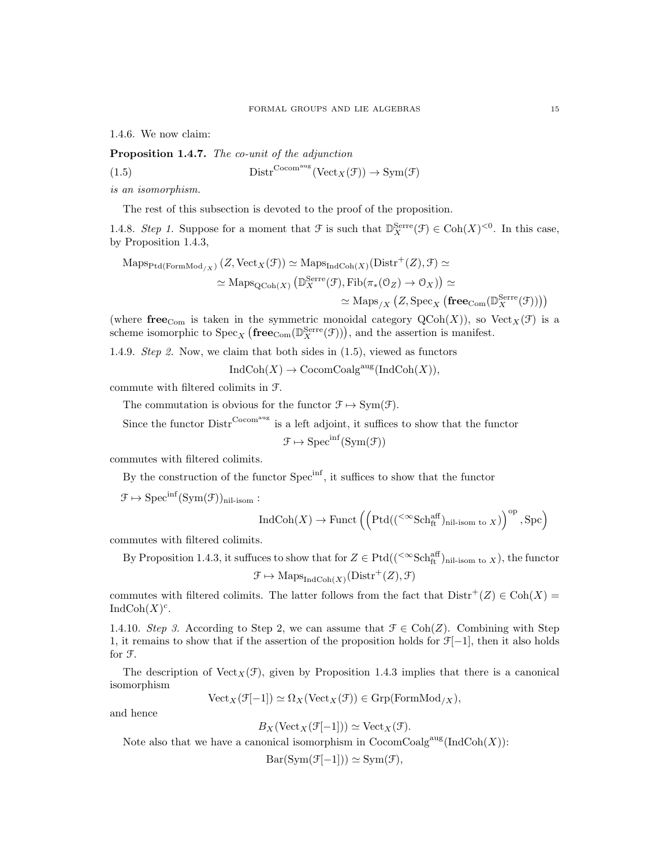1.4.6. We now claim:

Proposition 1.4.7. The co-unit of the adjunction

(1.5) 
$$
Distr^{Cocom^{aug}}(Vect_X(\mathcal{F})) \to Sym(\mathcal{F})
$$

is an isomorphism.

The rest of this subsection is devoted to the proof of the proposition.

1.4.8. Step 1. Suppose for a moment that  $\mathcal{F}$  is such that  $\mathbb{D}_{X}^{\text{Serre}}(\mathcal{F}) \in \text{Coh}(X)^{<0}$ . In this case, by Proposition 1.4.3,

$$
\mathrm{Maps}_{\mathrm{Ptd}(\mathrm{FormMod}_{/X})}(Z,\mathrm{Vect}_X(\mathcal{F})) \simeq \mathrm{Maps}_{\mathrm{IndCoh}(X)}(\mathrm{Distr}^+(Z),\mathcal{F}) \simeq
$$

$$
\simeq \mathrm{Maps}_{\mathrm{QCoh}(X)}\left(\mathbb{D}_X^{\mathrm{Serre}}(\mathcal{F}),\mathrm{Fib}(\pi_*(0_Z) \to 0_X)\right) \simeq
$$

$$
\simeq \mathrm{Maps}_{/X}\left(Z,\mathrm{Spec}_X\left(\mathbf{free}_{\mathrm{Com}}(\mathbb{D}_X^{\mathrm{Serre}}(\mathcal{F}))\right)\right)
$$

(where free<sub>Com</sub> is taken in the symmetric monoidal category  $QCoh(X)$ ), so  $Vect_X(\mathcal{F})$  is a scheme isomorphic to  $Spec_X(\mathbf{free}_{Com}(\mathbb{D}_{X}^{\text{Serre}}( \mathcal{F})))$ , and the assertion is manifest.

1.4.9. Step 2. Now, we claim that both sides in (1.5), viewed as functors

 $\text{IndCoh}(X) \to \text{CocomCoalg}^{\text{aug}}(\text{IndCoh}(X)),$ 

commute with filtered colimits in F.

The commutation is obvious for the functor  $\mathcal{F} \mapsto \text{Sym}(\mathcal{F})$ .

Since the functor  $\text{Distr}^{\text{Cocom}^{\text{aug}}}$  is a left adjoint, it suffices to show that the functor

$$
\mathcal{F} \mapsto \mathrm{Spec}^{\inf}(\mathrm{Sym}(\mathcal{F}))
$$

commutes with filtered colimits.

By the construction of the functor Spec<sup>inf</sup>, it suffices to show that the functor

 $\mathcal{F} \mapsto \mathrm{Spec}^{\mathrm{inf}}(\mathrm{Sym}(\mathcal{F}))_{\mathrm{nil-isom}}:$ 

$$
\operatorname{IndCoh}(X) \to \operatorname{Funct}\left(\left(\operatorname{Ptd}(({}^{<\infty}\operatorname{Sch}^{\operatorname{aff}}_{\operatorname{ft}})_{\operatorname{nil-isom} \operatorname{to} X})\right)^{\operatorname{op}}, \operatorname{Spc}\right)
$$

commutes with filtered colimits.

By Proposition 1.4.3, it suffuces to show that for  $Z \in \text{Ptd}((\leq \text{Sch}^{\text{aff}}_{\text{ft}})_{\text{nil-isom to } X})$ , the functor  $\mathcal{F} \mapsto \mathrm{Maps}_{\mathrm{IndCoh}(X)}(\mathrm{Distr}^+(Z), \mathcal{F})$ 

commutes with filtered colimits. The latter follows from the fact that  $\text{Distr}^+(Z) \in \text{Coh}(X)$ IndCoh $(X)^c$ .

1.4.10. Step 3. According to Step 2, we can assume that  $\mathcal{F} \in \text{Coh}(Z)$ . Combining with Step 1, it remains to show that if the assertion of the proposition holds for F[−1], then it also holds for F.

The description of  $Vect_X(\mathcal{F})$ , given by Proposition 1.4.3 implies that there is a canonical isomorphism

 $Vect_X(\mathcal{F}[-1]) \simeq \Omega_X(Vect_X(\mathcal{F})) \in Grp(FormMod_{/X}),$ 

and hence

$$
B_X(\text{Vect}_X(\mathcal{F}[-1])) \simeq \text{Vect}_X(\mathcal{F}).
$$

Note also that we have a canonical isomorphism in  $\mathrm{CocomCoalg}^{\mathrm{aug}}(\mathrm{IndCoh}(X))$ :

 $Bar(Sym(\mathcal{F}[-1])) \simeq Sym(\mathcal{F}),$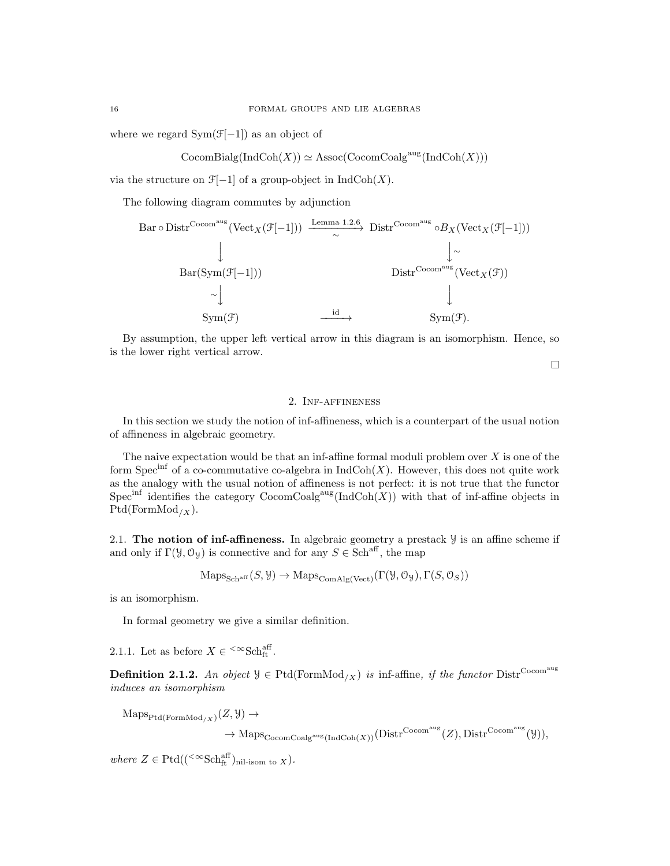where we regard  $Sym(\mathcal{F}[-1])$  as an object of

 $\mathrm{CocomBialg}(\mathrm{IndCoh}(X)) \simeq \mathrm{Assoc}(\mathrm{CocomCoalg}^{\mathrm{aug}}(\mathrm{IndCoh}(X)))$ 

via the structure on  $\mathcal{F}[-1]$  of a group-object in  $\text{IndCoh}(X)$ .

The following diagram commutes by adjunction

Bar 
$$
\circ
$$
 District  $\chi(\mathcal{F}[-1])$   $\xrightarrow{\text{Lemma 1.2.6}}$  District  $\chi(\mathcal{F}[-1])$   $\xrightarrow{\qquad \qquad}$   $\downarrow$   $\downarrow$   $\downarrow$   $\downarrow$   $\downarrow$   $\downarrow$   $\downarrow$   $\downarrow$   $\downarrow$   $\downarrow$   $\downarrow$   $\downarrow$   $\downarrow$   $\downarrow$   $\downarrow$   $\downarrow$   $\downarrow$   $\downarrow$   $\downarrow$   $\downarrow$   $\downarrow$   $\downarrow$   $\downarrow$   $\downarrow$   $\downarrow$   $\downarrow$   $\downarrow$   $\downarrow$   $\downarrow$   $\downarrow$   $\downarrow$   $\downarrow$   $\downarrow$   $\downarrow$   $\downarrow$   $\downarrow$   $\downarrow$   $\downarrow$   $\downarrow$   $\downarrow$   $\downarrow$   $\downarrow$   $\downarrow$   $\downarrow$   $\downarrow$   $\downarrow$   $\downarrow$   $\downarrow$   $\downarrow$   $\downarrow$   $\downarrow$   $\downarrow$   $\downarrow$   $\downarrow$   $\downarrow$   $\downarrow$   $\downarrow$   $\downarrow$   $\downarrow$   $\downarrow$   $\downarrow$   $\downarrow$   $\downarrow$   $\downarrow$   $\downarrow$   $\downarrow$   $\downarrow$   $\downarrow$   $\downarrow$   $\downarrow$   $\downarrow$   $\downarrow$   $\downarrow$   $\downarrow$   $\downarrow$   $\downarrow$   $\downarrow$   $\downarrow$   $\downarrow$   $\downarrow$   $\downarrow$   $\downarrow$   $\downarrow$   $\downarrow$   $\downarrow$   $\downarrow$   $\$ 

By assumption, the upper left vertical arrow in this diagram is an isomorphism. Hence, so is the lower right vertical arrow.

 $\Box$ 

# 2. Inf-affineness

In this section we study the notion of inf-affineness, which is a counterpart of the usual notion of affineness in algebraic geometry.

The naive expectation would be that an inf-affine formal moduli problem over  $X$  is one of the form Spec<sup>inf</sup> of a co-commutative co-algebra in  $\text{IndCoh}(X)$ . However, this does not quite work as the analogy with the usual notion of affineness is not perfect: it is not true that the functor Spec<sup>inf</sup> identifies the category  $\text{CocomCoalg}^{\text{aug}}(\text{IndCoh}(X))$  with that of inf-affine objects in  $Ptd(FormMod<sub>/X</sub>).$ 

2.1. The notion of inf-affineness. In algebraic geometry a prestack  $\mathcal{Y}$  is an affine scheme if and only if  $\Gamma(\mathcal{Y}, \mathcal{O}_{\mathcal{Y}})$  is connective and for any  $S \in \mathbf{Sch}^{\mathrm{aff}}$ , the map

 $\text{Maps}_{\text{Sch}^{\text{aff}}}(S, \mathcal{Y}) \to \text{Maps}_{\text{ComAlg}(\text{Vect})}(\Gamma(\mathcal{Y}, \mathcal{O}_{\mathcal{Y}}), \Gamma(S, \mathcal{O}_{S}))$ 

is an isomorphism.

In formal geometry we give a similar definition.

2.1.1. Let as before  $X \in \text{&}\text{Sch}^{\text{aff}}_{\text{ft}}$ .

**Definition 2.1.2.** An object  $\mathcal{Y} \in \text{Ptd}(\text{FormMod}_{/X})$  is inf-affine, if the functor  $\text{Distr}^{\text{Cocom}}$ <sup>aug</sup> induces an isomorphism

 $\mathrm{Maps}_{\mathrm{Ptd}(\mathrm{FormMod}_{/X})}(Z, \mathcal{Y}) \rightarrow$ 

 $\rightarrow$  Maps<sub>Cocom</sub>Coalg<sup>aug</sup>(IndCoh(X))(Distr<sup>Cocom<sup>aug</sup>(Z), Distr<sup>Cocom<sup>aug</sup>(Y)),</sup></sup>

where  $Z \in \text{Ptd}((\leq \infty \text{Sch}_{\text{ft}}^{\text{aff}})_{\text{nil-isom to } X}).$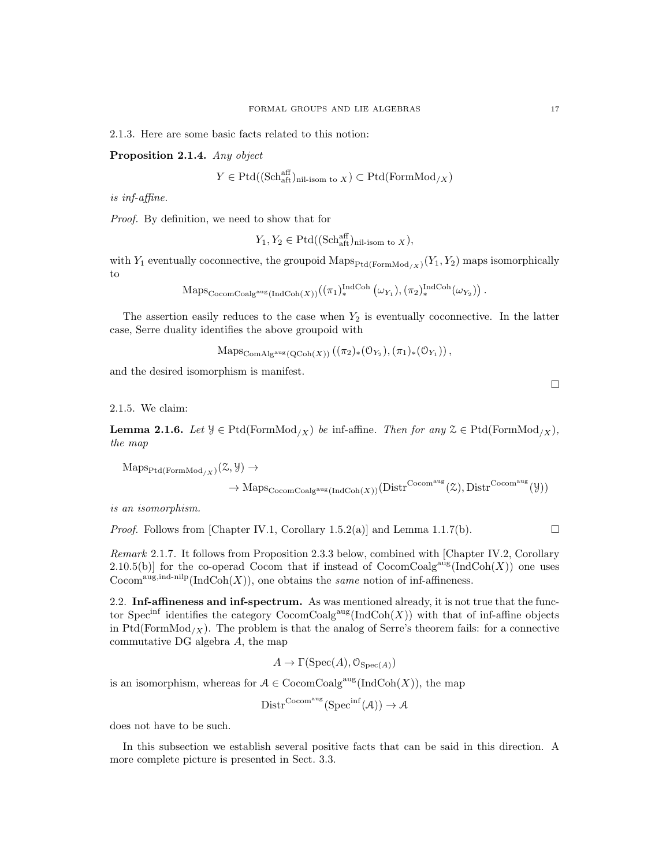2.1.3. Here are some basic facts related to this notion:

Proposition 2.1.4. Any object

$$
Y \in \mathrm{Ptd}((\mathrm{Sch}^{\mathrm{aff}}_{\mathrm{aff}})_{\mathrm{nil\text{-}isom to } X}) \subset \mathrm{Ptd}(\mathrm{FormMod}_{/X})
$$

is inf-affine.

Proof. By definition, we need to show that for

$$
Y_1, Y_2 \in \mathrm{Ptd}((\mathrm{Sch}^{\mathrm{aff}}_{\mathrm{alt}})_{\mathrm{nil-isom \ to \ } X}),
$$

with  $Y_1$  eventually coconnective, the groupoid  $\mathrm{Maps}_{\mathrm{Ptd}(\mathrm{FormMod}_{/X})}(Y_1, Y_2)$  maps isomorphically to

$$
\mathrm{Maps}_{\mathrm{CocomCoalg}^{\mathrm{aug}}(\mathrm{IndCoh}(X))}((\pi_1)_*^{\mathrm{IndCoh}}(\omega_{Y_1}), (\pi_2)_*^{\mathrm{IndCoh}}(\omega_{Y_2})) .
$$

The assertion easily reduces to the case when  $Y_2$  is eventually coconnective. In the latter case, Serre duality identifies the above groupoid with

 $\mathrm{Maps}_{\mathrm{ComAlg}^{\mathrm{aug}}(\mathrm{QCoh}(X))}((\pi_2)_*(\mathfrak{O}_{Y_2}),(\pi_1)_*(\mathfrak{O}_{Y_1})),$ 

and the desired isomorphism is manifest.

2.1.5. We claim:

**Lemma 2.1.6.** Let  $\mathcal{Y} \in \text{Ptd}(\text{FormMod}_X)$  be inf-affine. Then for any  $\mathcal{Z} \in \text{Ptd}(\text{FormMod}_X)$ , the map

 $\mathrm{Maps}_{\mathrm{Ptd}(\mathrm{FormMod}_{/X})}(\mathcal{Z}, \mathcal{Y}) \rightarrow$ 

$$
\rightarrow \mathrm{Maps}_{\mathrm{CocomCoalg}^{\mathrm{aug}}(\mathrm{IndCoh}(X))}(\mathrm{Distr}^{\mathrm{Cocom}^{\mathrm{aug}}}(\mathcal{Z}),\mathrm{Distr}^{\mathrm{Cocom}^{\mathrm{aug}}}(\mathcal{Y}))
$$

is an isomorphism.

*Proof.* Follows from [Chapter IV.1, Corollary 1.5.2(a)] and Lemma 1.1.7(b).

Remark 2.1.7. It follows from Proposition 2.3.3 below, combined with [Chapter IV.2, Corollary 2.10.5(b)] for the co-operad Cocom that if instead of  $\operatorname{CocomCoalg}^{\operatorname{aug}}(\operatorname{IndCoh}(X))$  one uses  $\mathrm{Cocom}^{\mathrm{aug, ind-nilp}}(\mathrm{IndCoh}(X)),$  one obtains the same notion of inf-affineness.

2.2. Inf-affineness and inf-spectrum. As was mentioned already, it is not true that the functor Spec<sup>inf</sup> identifies the category  $\text{CocomCoalg}^{\text{aug}}(\text{IndCoh}(X))$  with that of inf-affine objects in Ptd(FormMod<sub>/X</sub>). The problem is that the analog of Serre's theorem fails: for a connective commutative DG algebra A, the map

$$
A \to \Gamma(\operatorname{Spec}(A), \mathcal{O}_{\operatorname{Spec}(A)})
$$

is an isomorphism, whereas for  $A \in \text{CocomCoalg}^{\text{aug}}(\text{IndCoh}(X))$ , the map

$$
Dist^{\mathrm{Cocom}^{\mathrm{aug}}}(\mathrm{Spec}^{\inf}(\mathcal{A})) \to \mathcal{A}
$$

does not have to be such.

In this subsection we establish several positive facts that can be said in this direction. A more complete picture is presented in Sect. 3.3.

 $\Box$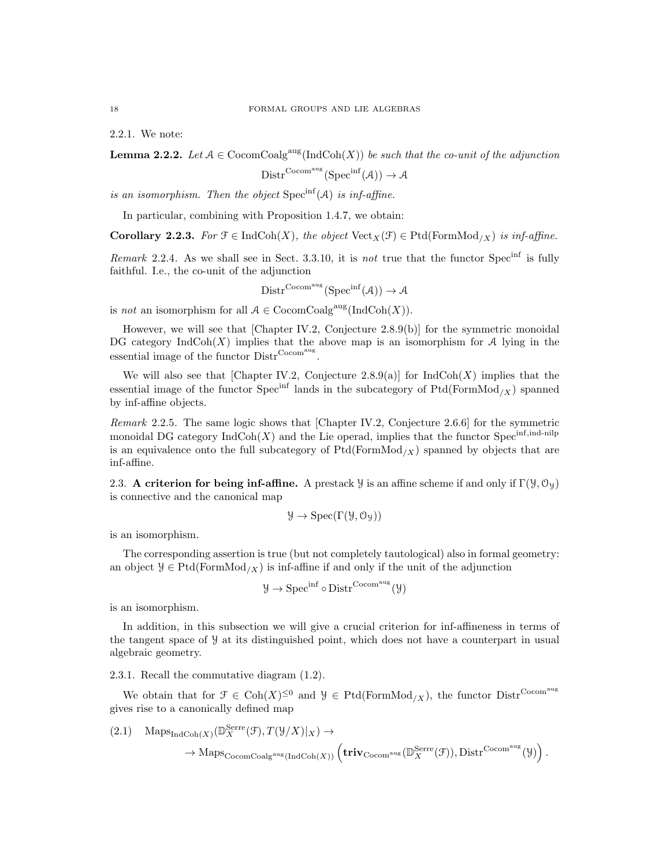2.2.1. We note:

**Lemma 2.2.2.** Let  $A \in \text{CocomCoalg}^{\text{aug}}(\text{IndCoh}(X))$  be such that the co-unit of the adjunction

$$
Distr^{Cocom^{aug}}(Spec^{inf}(\mathcal{A})) \to \mathcal{A}
$$

is an isomorphism. Then the object  $Spec^{inf}(A)$  is inf-affine.

In particular, combining with Proposition 1.4.7, we obtain:

Corollary 2.2.3. For  $\mathcal{F} \in \text{IndCoh}(X)$ , the object  $\text{Vect}_X(\mathcal{F}) \in \text{Ptd}(\text{FormMod}_{X})$  is inf-affine.

Remark 2.2.4. As we shall see in Sect. 3.3.10, it is not true that the functor Spec<sup>inf</sup> is fully faithful. I.e., the co-unit of the adjunction

$$
Distr^{Cocom^{aug}}(Spec^{inf}(\mathcal{A})) \to \mathcal{A}
$$

is not an isomorphism for all  $A \in \mathrm{CocomCoalg}^{\mathrm{aug}}(\mathrm{IndCoh}(X)).$ 

However, we will see that [Chapter IV.2, Conjecture 2.8.9(b)] for the symmetric monoidal DG category  $\text{IndCoh}(X)$  implies that the above map is an isomorphism for A lying in the essential image of the functor  $\text{Distr}^{\text{Cocom}}$ .

We will also see that [Chapter IV.2, Conjecture  $2.8.9(a)$ ] for IndCoh(X) implies that the essential image of the functor Spec<sup>inf</sup> lands in the subcategory of  $Ptd(FormMod<sub>/X</sub>)$  spanned by inf-affine objects.

Remark 2.2.5. The same logic shows that [Chapter IV.2, Conjecture 2.6.6] for the symmetric monoidal DG category  $\text{IndCoh}(X)$  and the Lie operad, implies that the functor Spec<sup>inf,ind-nilp</sup> is an equivalence onto the full subcategory of  $Ptd(FormMod<sub>/X</sub>)$  spanned by objects that are inf-affine.

2.3. A criterion for being inf-affine. A prestack *y* is an affine scheme if and only if  $\Gamma(\mathcal{Y}, \mathcal{O}_{\mathcal{Y}})$ is connective and the canonical map

$$
\mathcal{Y} \to \mathrm{Spec}(\Gamma(\mathcal{Y}, \mathcal{O}_{\mathcal{Y}}))
$$

is an isomorphism.

The corresponding assertion is true (but not completely tautological) also in formal geometry: an object  $\mathcal{Y} \in \text{Ptd}(\text{FormMod}_X)$  is inf-affine if and only if the unit of the adjunction

$$
\mathcal{Y} \to \mathrm{Spec}^{\mathrm{inf}} \circ \mathrm{Distr}^{\mathrm{Cocom}^{\mathrm{aug}}}(\mathcal{Y})
$$

is an isomorphism.

In addition, in this subsection we will give a crucial criterion for inf-affineness in terms of the tangent space of Y at its distinguished point, which does not have a counterpart in usual algebraic geometry.

2.3.1. Recall the commutative diagram (1.2).

We obtain that for  $\mathfrak{F} \in \text{Coh}(X)^{\leq 0}$  and  $\mathcal{Y} \in \text{Ptd}(\text{FormMod}_{X})$ , the functor  $\text{Distr}^{\text{Cocom<sup>aug</sup>}}$ gives rise to a canonically defined map

$$
(2.1) \quad \mathrm{Maps}_{\mathrm{IndCoh}(X)}(\mathbb{D}_{X}^{\mathrm{Serre}}(\mathcal{F}), T(\mathcal{Y}/X)|_{X}) \to
$$

$$
\rightarrow \mathrm{Maps}_{\mathrm{CocomCoalg}^{\mathrm{aug}}(\mathrm{IndCoh}(X))}(\mathbf{triv}_{\mathrm{Cocom}^{\mathrm{aug}}}(\mathbb{D}_{X}^{\mathrm{Serre}}(\mathcal{F})), \mathrm{Distr}^{\mathrm{Cocom}^{\mathrm{aug}}}(\mathcal{Y})) .
$$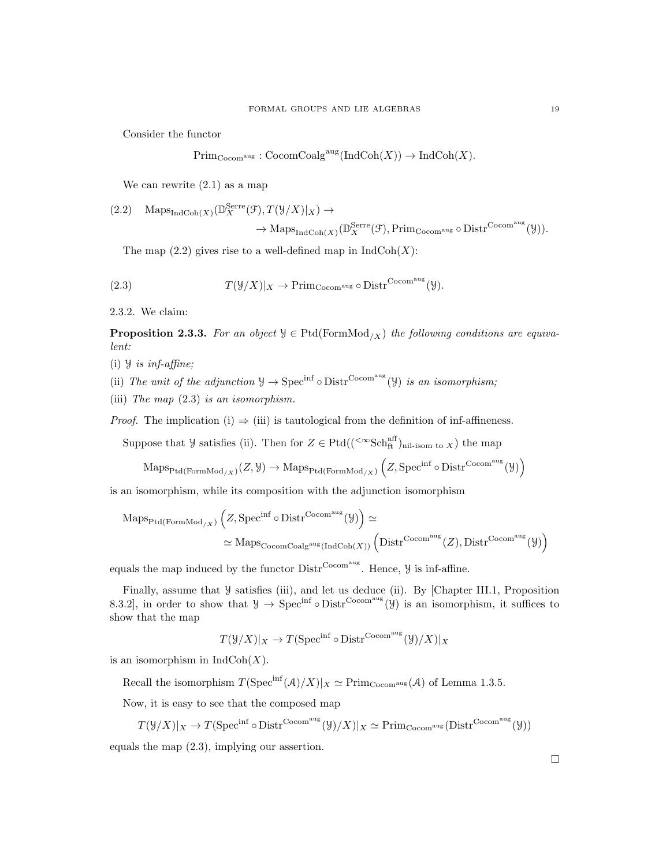Consider the functor

$$
\text{Prim}_{\text{Cocom}^{\text{aug}}} : \text{CocomCoalg}^{\text{aug}}(\text{IndCoh}(X)) \to \text{IndCoh}(X).
$$

We can rewrite (2.1) as a map

$$
(2.2) \quad \text{Maps}_{\text{IndCoh}(X)}(\mathbb{D}_{X}^{\text{Serre}}(\mathcal{F}), T(\mathcal{Y}/X)|_{X}) \to
$$

$$
\to \mathrm{Maps}_{\mathrm{IndCoh}(X)}(\mathbb{D}_{X}^{\mathrm{Serre}}(\mathcal{F}), \mathrm{Prim}_{\mathrm{Cocom}^{\mathrm{aug}}}\circ \mathrm{Distr}^{\mathrm{Cocom}^{\mathrm{aug}}}(\mathcal{Y})).
$$

The map  $(2.2)$  gives rise to a well-defined map in  $IndCoh(X)$ :

(2.3) 
$$
T(\mathcal{Y}/X)|_X \to \text{Prim}_{\text{Cocom}^{\text{aug}}} \circ \text{Distr}^{\text{Cocom}^{\text{aug}}}(\mathcal{Y}).
$$

2.3.2. We claim:

**Proposition 2.3.3.** For an object  $\mathcal{Y} \in \text{Ptd}(\text{FormMod}_{X})$  the following conditions are equivalent:

- (i)  $\forall$  is inf-affine;
- (ii) The unit of the adjunction  $\mathcal{Y} \to \text{Spec}^{\text{inf}} \circ \text{Distr}^{\text{Cocom}^{\text{aug}}}(\mathcal{Y})$  is an isomorphism;
- (iii) The map (2.3) is an isomorphism.

*Proof.* The implication (i)  $\Rightarrow$  (iii) is tautological from the definition of inf-affineness.

Suppose that  $\mathcal{Y}$  satisfies (ii). Then for  $Z \in \text{Ptd}((\text{&Sch<sub>ft</sub><sup>aff</sup>)<sub>nil-isom to X</sub>)$  the map

 $\mathrm{Maps}_{\mathrm{Ptd}(\mathrm{FormMod}_{/X})}(Z, \mathcal{Y}) \to \mathrm{Maps}_{\mathrm{Ptd}(\mathrm{FormMod}_{/X})}\left(Z, \mathrm{Spec}^{\inf} \circ \mathrm{Distr}^{\mathrm{Cocom}^{\mathrm{aug}}}( \mathcal{Y})\right)$ 

is an isomorphism, while its composition with the adjunction isomorphism

$$
\begin{aligned} \mathrm{Maps}_{\mathrm{Ptd}(\mathrm{FormMod}_{/X})}\left(Z, \mathrm{Spec}^{\mathrm{inf}} \circ \mathrm{Distr}^{\mathrm{Cocom^{aug}}}(Y)\right) &\simeq \\ &\simeq \mathrm{Maps}_{\mathrm{CocomCoalg^{aug}}(\mathrm{IndCoh}(X))}\left(\mathrm{Distr}^{\mathrm{Cocom^{aug}}}(Z), \mathrm{Distr}^{\mathrm{Cocom^{aug}}}(Y)\right) \end{aligned}
$$

equals the map induced by the functor  $\text{Distr}^{\text{Cocom}^{\text{aug}}}$ . Hence,  $\mathcal{Y}$  is inf-affine.

Finally, assume that  $\mathcal Y$  satisfies (iii), and let us deduce (ii). By [Chapter III.1, Proposition 8.3.2], in order to show that  $\mathcal{Y} \to \text{Spec}^{\text{inf}} \circ \text{Distr}^{\text{Cocom}^{\text{aug}}}(\mathcal{Y})$  is an isomorphism, it suffices to show that the map

$$
T(\mathcal{Y}/X)|_X \to T(\operatorname{Spec}^{\inf} \circ \operatorname{Distr}^{\operatorname{Cocom}^{\operatorname{aug}}}(\mathcal{Y})/X)|_X
$$

is an isomorphism in  $IndCoh(X)$ .

Recall the isomorphism  $T(\text{Spec}^{\text{inf}}(\mathcal{A})/X)|_X \simeq \text{Prim}_{\text{Cocom}^{\text{aug}}}(\mathcal{A})$  of Lemma 1.3.5.

Now, it is easy to see that the composed map

$$
T(\mathcal{Y}/X)|_X \to T(\operatorname{Spec}^{\inf} \circ \operatorname{Distr}^{\operatorname{Cocom^{aug}}}(\mathcal{Y})/X)|_X \simeq \operatorname{Prim}_{\operatorname{Cocom^{aug}}}(\operatorname{Distr}^{\operatorname{Cocom^{aug}}}(\mathcal{Y}))
$$

equals the map (2.3), implying our assertion.

 $\Box$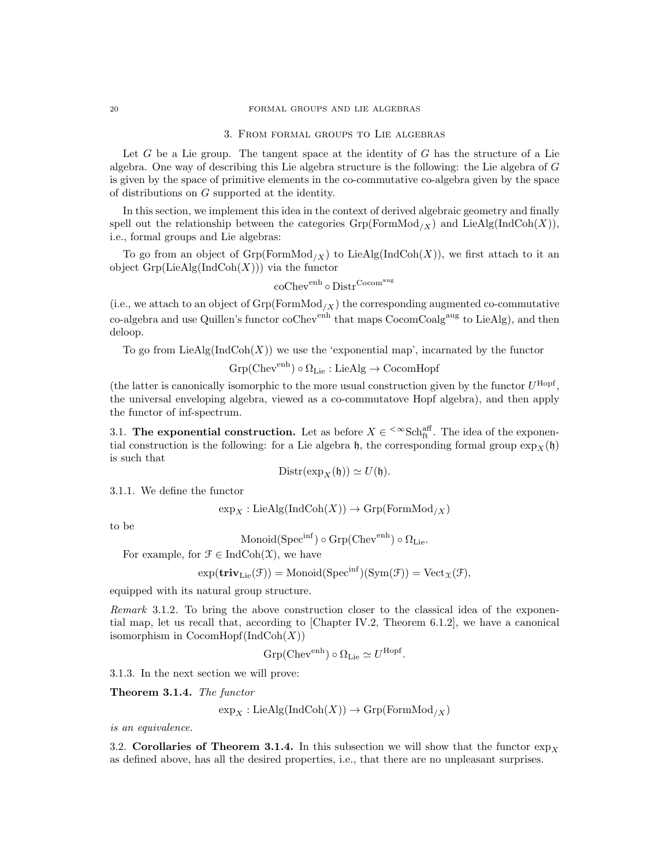#### 3. From formal groups to Lie algebras

Let  $G$  be a Lie group. The tangent space at the identity of  $G$  has the structure of a Lie algebra. One way of describing this Lie algebra structure is the following: the Lie algebra of G is given by the space of primitive elements in the co-commutative co-algebra given by the space of distributions on G supported at the identity.

In this section, we implement this idea in the context of derived algebraic geometry and finally spell out the relationship between the categories  $Grp(FormMod_X)$  and LieAlg(IndCoh(X)), i.e., formal groups and Lie algebras:

To go from an object of  $Grp(FormMod_{X})$  to LieAlg(IndCoh(X)), we first attach to it an object  $Grp(LieAlg(IndCoh(X)))$  via the functor

$$
\operatorname{coChev}^{\operatorname{enh}}\circ\operatorname{Distr}^{\operatorname{Cocom}^{\operatorname{aug}}}
$$

(i.e., we attach to an object of  $Grp(FormMod_X)$  the corresponding augmented co-commutative co-algebra and use Quillen's functor coChev<sup>enh</sup> that maps CocomCoalg<sup>aug</sup> to LieAlg), and then deloop.

To go from  $LieAlg(IndCoh(X))$  we use the 'exponential map', incarnated by the functor

 $Grp(Chev<sup>enh</sup>) \circ \Omega_{Lie} : LieAlg \to CocomHopf$ 

(the latter is canonically isomorphic to the more usual construction given by the functor  $U^{\text{Hopf}}$ , the universal enveloping algebra, viewed as a co-commutatove Hopf algebra), and then apply the functor of inf-spectrum.

3.1. The exponential construction. Let as before  $X \in \text{Sch}_{\text{ft}}^{\text{aff}}$ . The idea of the exponential construction is the following: for a Lie algebra  $\mathfrak{h}$ , the corresponding formal group  $\exp_X(\mathfrak{h})$ is such that

$$
Distr(\exp_X(\mathfrak{h})) \simeq U(\mathfrak{h}).
$$

3.1.1. We define the functor

$$
\exp_X: \text{LieAlg}(\text{IndCoh}(X)) \to \text{Grp}(\text{FormMod}_{/X})
$$

to be

$$
\mathrm{Monoid}(\mathrm{Spec}^{\mathrm{inf}}) \circ \mathrm{Grp}(\mathrm{Chev}^{\mathrm{enh}}) \circ \Omega_{\mathrm{Lie}}.
$$

For example, for  $\mathcal{F} \in \text{IndCoh}(\mathcal{X})$ , we have

$$
\exp(\mathbf{triv}_{\mathrm{Lie}}(\mathcal{F})) = \mathrm{Monoid}(\mathrm{Spec}^{\mathrm{inf}})(\mathrm{Sym}(\mathcal{F})) = \mathrm{Vect}_{\mathfrak{X}}(\mathcal{F}),
$$

equipped with its natural group structure.

Remark 3.1.2. To bring the above construction closer to the classical idea of the exponential map, let us recall that, according to [Chapter IV.2, Theorem 6.1.2], we have a canonical isomorphism in  $CocomHopf(IndCoh(X))$ 

$$
Grp(Chev^{enh}) \circ \Omega_{Lie} \simeq U^{Hopf}.
$$

3.1.3. In the next section we will prove:

Theorem 3.1.4. The functor

$$
\exp_X: \mathrm{LieAlg}(\mathrm{IndCoh}(X)) \to \mathrm{Grp}(\mathrm{FormMod}_{/X})
$$

is an equivalence.

3.2. Corollaries of Theorem 3.1.4. In this subsection we will show that the functor  $\exp_Y$ as defined above, has all the desired properties, i.e., that there are no unpleasant surprises.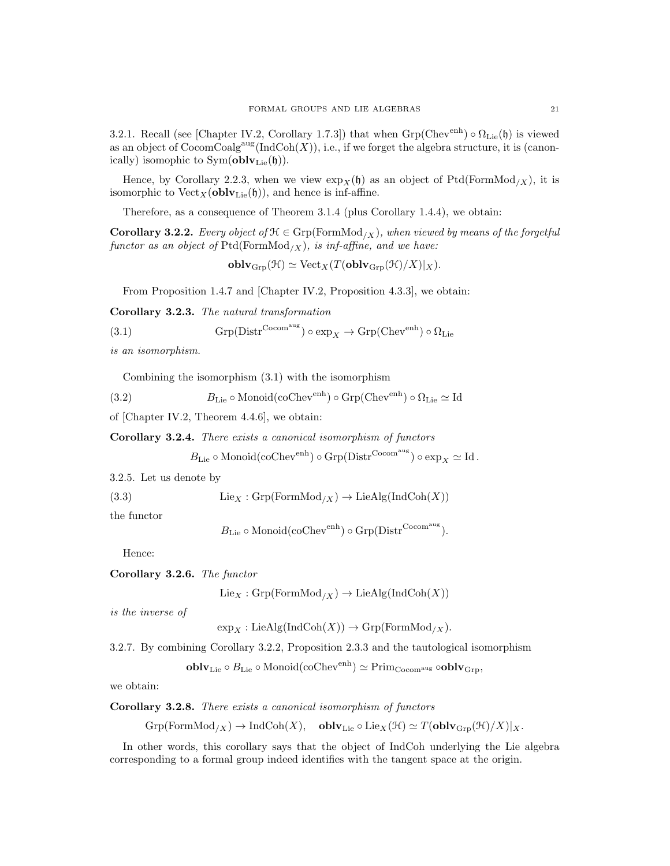3.2.1. Recall (see [Chapter IV.2, Corollary 1.7.3]) that when  $Grp(Chev<sup>enh</sup>) \circ \Omega_{Lie}(\mathfrak{h})$  is viewed as an object of  $\text{CocomCoalg}^{\text{aug}}(\text{IndCoh}(X)),$  i.e., if we forget the algebra structure, it is (canonically) isomophic to  $Sym(\textbf{oblv}_{Lie}(\mathfrak{h}))$ .

Hence, by Corollary 2.2.3, when we view  $\exp_X(\mathfrak{h})$  as an object of Ptd(FormMod<sub>/X</sub>), it is isomorphic to  $Vect_X(oblv_{Lie}(\mathfrak{h}))$ , and hence is inf-affine.

Therefore, as a consequence of Theorem 3.1.4 (plus Corollary 1.4.4), we obtain:

**Corollary 3.2.2.** Every object of  $\mathcal{H} \in \text{Grp}(\text{FormMod}_X)$ , when viewed by means of the forgetful functor as an object of  $Ptd(FormMod_{/X})$ , is inf-affine, and we have:

 $\textbf{oblv}_{\text{Grp}}(\mathcal{H}) \simeq \text{Vect}_X(T(\textbf{oblv}_{\text{Grp}}(\mathcal{H})/X)|_X).$ 

From Proposition 1.4.7 and [Chapter IV.2, Proposition 4.3.3], we obtain:

Corollary 3.2.3. The natural transformation

(3.1) 
$$
Grp(Distr^{Cocom^{aug}}) \circ exp_X \to Grp(Chev^{enh}) \circ \Omega_{Lie}
$$

is an isomorphism.

Combining the isomorphism (3.1) with the isomorphism

(3.2) 
$$
B_{\text{Lie}} \circ \text{Monoid}(\text{coChev}^{\text{enh}}) \circ \text{Grp}(\text{Chev}^{\text{enh}}) \circ \Omega_{\text{Lie}} \simeq \text{Id}
$$

of [Chapter IV.2, Theorem 4.4.6], we obtain:

Corollary 3.2.4. There exists a canonical isomorphism of functors

$$
B_{\mathrm{Lie}} \circ \mathrm{Monoid}(\mathrm{coChev}^{\mathrm{enh}}) \circ \mathrm{Grp}(\mathrm{Distr}^{\mathrm{Cocom}^{\mathrm{aug}}}) \circ \mathrm{exp}_X \simeq \mathrm{Id}\,.
$$

3.2.5. Let us denote by

(3.3)  $\text{Lie}_X : \text{Grp}(\text{FormMod}_{/X}) \to \text{LieAlg}(\text{IndCoh}(X))$ 

the functor

 $B_{\text{Lie}} \circ \text{Monoid}(\text{coChev}^{\text{enh}}) \circ \text{Grp}(\text{Distr}^{\text{Cocom}^{\text{aug}}}).$ 

Hence:

Corollary 3.2.6. The functor

 $Lie_X : \text{Grp}(\text{FormMod}_{/X}) \to \text{LieAlg}(\text{IndCoh}(X))$ 

is the inverse of

 $\exp_X : \text{LieAlg}(\text{IndCoh}(X)) \to \text{Grp}(\text{FormMod}_{/X}).$ 

3.2.7. By combining Corollary 3.2.2, Proposition 2.3.3 and the tautological isomorphism

 ${\bf oblv}_{{\rm Lie}}\circ B_{{\rm Lie}}\circ {\rm Monoid}(\mathrm{coChev}^{\rm enh})\simeq {\rm Prim}_{\rm Cocom^{aug}}\circ {\bf oblv}_{{\rm Grp}},$ 

we obtain:

Corollary 3.2.8. There exists a canonical isomorphism of functors

 $Grp(FormMod_{/X}) \to IndCoh(X)$ , obl $\mathbf{v}_{Lie} \circ Lie_X(\mathcal{H}) \simeq T(\mathbf{oblv}_{Grp}(\mathcal{H})/X)|_X.$ 

In other words, this corollary says that the object of IndCoh underlying the Lie algebra corresponding to a formal group indeed identifies with the tangent space at the origin.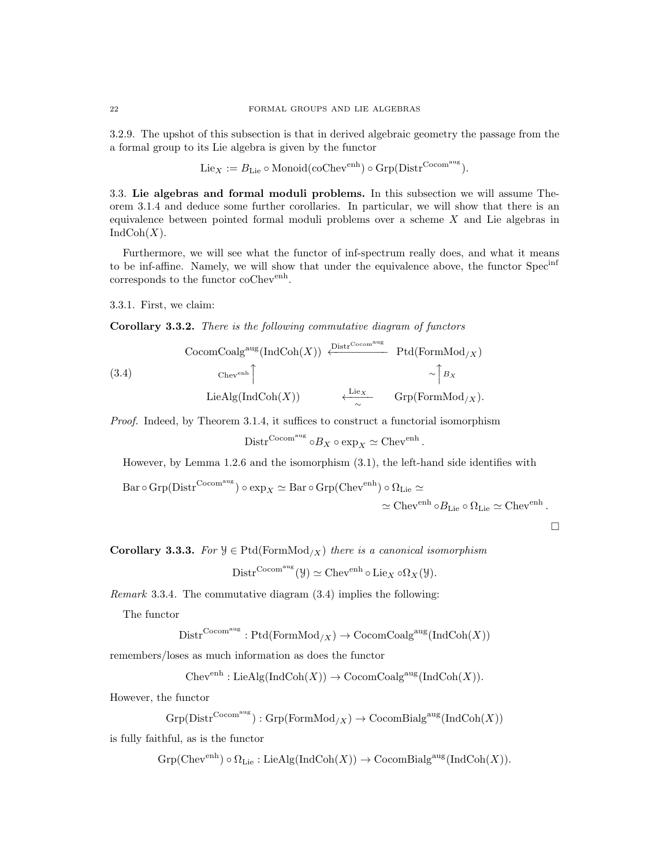3.2.9. The upshot of this subsection is that in derived algebraic geometry the passage from the a formal group to its Lie algebra is given by the functor

$$
\mathrm{Lie}_X := B_{\mathrm{Lie}} \circ \mathrm{Monoid}(\mathrm{coChev}^{\mathrm{enh}}) \circ \mathrm{Grp}(\mathrm{Distr}^{\mathrm{Cocom}^{\mathrm{aug}}}).
$$

3.3. Lie algebras and formal moduli problems. In this subsection we will assume Theorem 3.1.4 and deduce some further corollaries. In particular, we will show that there is an equivalence between pointed formal moduli problems over a scheme X and Lie algebras in  $IndCoh(X).$ 

Furthermore, we will see what the functor of inf-spectrum really does, and what it means to be inf-affine. Namely, we will show that under the equivalence above, the functor Specinf corresponds to the functor coChev<sup>enh</sup>.

3.3.1. First, we claim:

Corollary 3.3.2. There is the following commutative diagram of functors

(3.4)  
\n
$$
\begin{array}{ccc}\n\text{CocomCoalg}^{\text{aug}}(\text{IndCoh}(X)) & \xleftarrow{\text{Distr}^{\text{Cocomaug}}}& \text{Ptd}(\text{FormMod}_{/X}) \\
&\xrightarrow{\text{Chev}^{\text{enh}}}\uparrow & & \nearrow \uparrow B_X \\
\text{LieAlg}(\text{IndCoh}(X)) & \xleftarrow{\text{Lie}_X}& \text{Grp}(\text{FormMod}_{/X}).\n\end{array}
$$

Proof. Indeed, by Theorem 3.1.4, it suffices to construct a functorial isomorphism

$$
\mathrm{Distr}^{\mathrm{Cocom^{aug}}}\circ B_X\circ \exp_X \simeq \mathrm{Chev}^{\mathrm{enh}}\,.
$$

However, by Lemma 1.2.6 and the isomorphism (3.1), the left-hand side identifies with

$$
\operatorname{Bar} \circ \operatorname{Grp}(\operatorname{Distr}^{\operatorname{Cocom^{aug}}}) \circ \exp_X \simeq \operatorname{Bar} \circ \operatorname{Grp}(\operatorname{Chev}^{\operatorname{enh}}) \circ \Omega_{\operatorname{Lie}} \simeq
$$

 $\simeq \mathrm{Chev}^{\mathrm{enh}}\circ B_{\mathrm{Lie}}\circ \Omega_{\mathrm{Lie}}\simeq \mathrm{Chev}^{\mathrm{enh}}$ .

 $\Box$ 

Corollary 3.3.3. For  $\mathcal{Y} \in \text{Ptd}(\text{FormMod}_X)$  there is a canonical isomorphism

$$
\mathrm{Distr}^{\mathrm{Cocom}^{\mathrm{aug}}}(\mathcal{Y}) \simeq \mathrm{Chev}^{\mathrm{enh}} \circ \mathrm{Lie}_X \circ \Omega_X(\mathcal{Y}).
$$

Remark 3.3.4. The commutative diagram (3.4) implies the following:

The functor

$$
Dist^{\mathrm{Cocom^{aug}}}: \mathrm{Ptd}(\mathrm{FormMod}_{/X}) \to \mathrm{CocomCoalg^{aug}}(\mathrm{IndCoh}(X))
$$

remembers/loses as much information as does the functor

 $Chev<sup>enh</sup> : LieAlg(IndCoh(X)) \rightarrow CocomCoalg<sup>aug</sup>(IndCoh(X)).$ 

However, the functor

$$
{\rm Grp}({\rm Distr}^{{\rm Cocom}^{\rm aug}}):{\rm Grp}({\rm FormMod}_{/X})\to {\rm CocomBialg}^{\rm aug}({\rm IndCoh}(X))
$$

is fully faithful, as is the functor

 $Grp(Chev<sup>enh</sup>) \circ \Omega_{Lie} : LieAlg(IndCoh(X)) \to CocomBialg<sup>aug</sup>(IndCoh(X)).$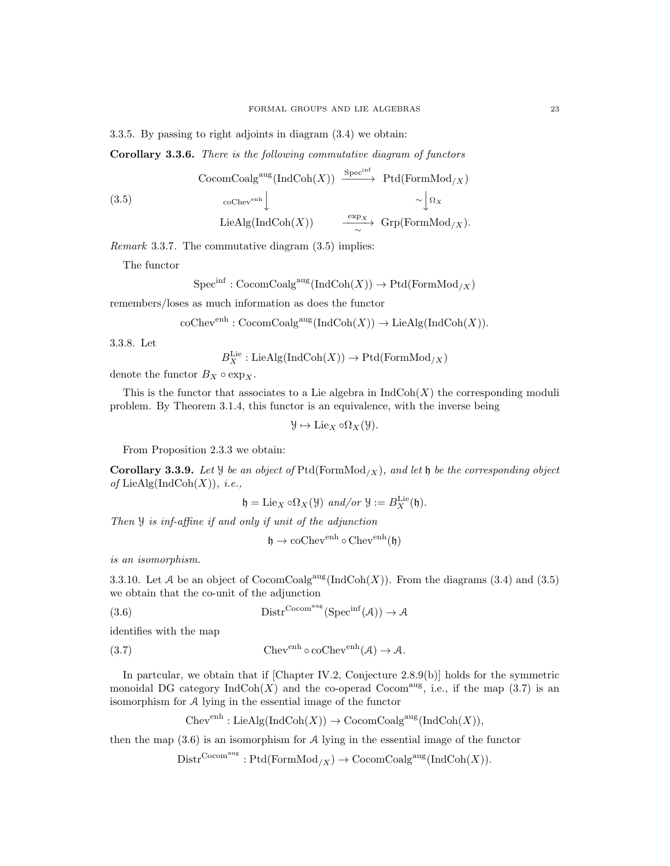3.3.5. By passing to right adjoints in diagram (3.4) we obtain:

Corollary 3.3.6. There is the following commutative diagram of functors

(3.5)  
\n
$$
\begin{array}{ccc}\n \text{CocomCoalg}^{\text{aug}}(\text{IndCoh}(X)) & \xrightarrow{\text{Spec}^{\text{inf}}} & \text{Ptd}(\text{FormMod}_{/X}) \\
 & \circ \circ^{\text{Chev}^{\text{enh}}} \downarrow & \sim \downarrow^{\Omega_X} \\
 \text{LieAlg}(\text{IndCoh}(X)) & \xrightarrow{\exp_X} & \text{Grp}(\text{FormMod}_{/X}).\n \end{array}
$$

Remark 3.3.7. The commutative diagram (3.5) implies:

The functor

 $Spec^{inf}: CocomCoalg^{aug}(\text{IndCoh}(X)) \to \text{Ptd}(\text{FormMod}_X)$ 

remembers/loses as much information as does the functor

coChev<sup>enh</sup> : CocomCoalg<sup>aug</sup>(IndCoh(X)) 
$$
\rightarrow
$$
 LieAlg(IndCoh(X)).

3.3.8. Let

 $B_X^{\text{Lie}}:\text{LieAlg}(\text{IndCoh}(X))\to \text{Ptd}(\text{FormMod}_{/X})$ 

denote the functor  $B_X \circ \exp_X$ .

This is the functor that associates to a Lie algebra in  $IndCoh(X)$  the corresponding moduli problem. By Theorem 3.1.4, this functor is an equivalence, with the inverse being

 $\mathcal{Y} \mapsto \text{Lie}_X \circ \Omega_X(\mathcal{Y}).$ 

From Proposition 2.3.3 we obtain:

**Corollary 3.3.9.** Let  $\mathcal{Y}$  be an object of Ptd(FormMod<sub>/X</sub>), and let  $\mathfrak{h}$  be the corresponding object of LieAlg(IndCoh $(X)$ ), *i.e.*,

$$
\mathfrak{h}=\mathrm{Lie}_X\circ\Omega_X(\mathfrak{Y})\ \text{and/or}\ \mathfrak{Y}:=B_X^{\mathrm{Lie}}(\mathfrak{h}).
$$

Then Y is inf-affine if and only if unit of the adjunction

$$
\mathfrak{h} \to \mathrm{coChev}^{\mathrm{enh}} \circ \mathrm{Chev}^{\mathrm{enh}}(\mathfrak{h})
$$

is an isomorphism.

3.3.10. Let A be an object of  $\text{CocomCoalg}^{\text{aug}}(\text{IndCoh}(X))$ . From the diagrams (3.4) and (3.5) we obtain that the co-unit of the adjunction

(3.6)  $\mathrm{Distr}^{\mathrm{Cocom^{aug}}}(\mathrm{Spec}^{\mathrm{inf}}(\mathcal{A})) \to \mathcal{A}$ 

identifies with the map

(3.7) Chev<sup>enh</sup>  $\circ$  coChev<sup>enh</sup>(A)  $\rightarrow$  A.

In partcular, we obtain that if [Chapter IV.2, Conjecture 2.8.9(b)] holds for the symmetric monoidal DG category  $\text{IndCoh}(X)$  and the co-operad Cocom<sup>aug</sup>, i.e., if the map (3.7) is an isomorphism for A lying in the essential image of the functor

 $Chev<sup>enh</sup> : LieAlg(IndCoh(X)) \rightarrow CocomCoalg<sup>aug</sup>(IndCoh(X)),$ 

then the map  $(3.6)$  is an isomorphism for  $A$  lying in the essential image of the functor

 $\mathrm{Distr}^{\mathrm{Cocom^{aug}}}: \mathrm{Ptd}(\mathrm{FormMod}_{/X}) \to \mathrm{CocomCoalg^{aug}}(\mathrm{IndCoh}(X)).$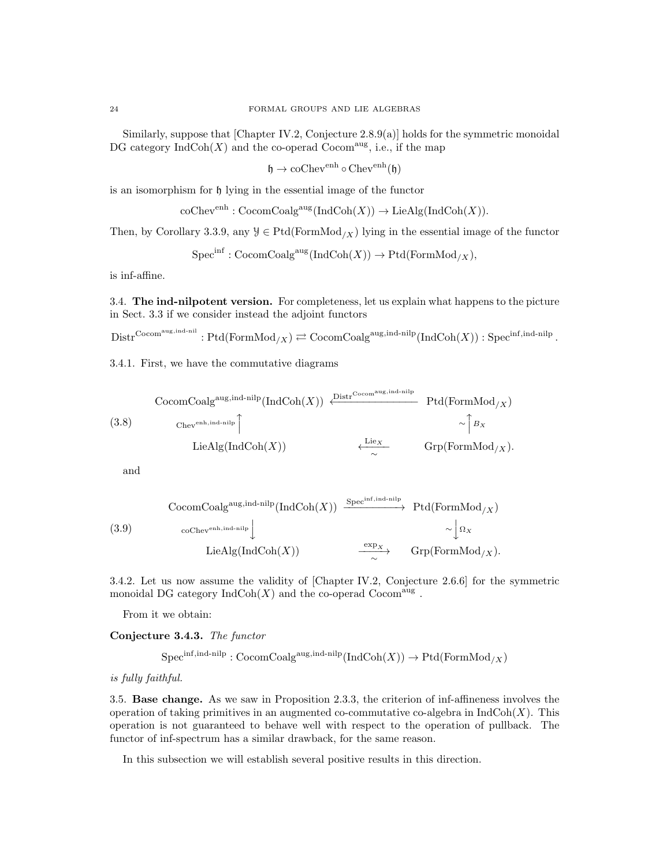Similarly, suppose that [Chapter IV.2, Conjecture 2.8.9(a)] holds for the symmetric monoidal DG category  $\text{IndCoh}(X)$  and the co-operad  $\text{Cocom}^{\text{aug}}$ , i.e., if the map

 $\mathfrak{h} \to \mathrm{coChev}^{\mathrm{enh}} \circ \mathrm{Chev}^{\mathrm{enh}}(\mathfrak{h})$ 

is an isomorphism for h lying in the essential image of the functor

 $\operatorname{coChev}^{\operatorname{enh}}: \operatorname{CocomCoalg}^{\operatorname{aug}}(\operatorname{IndCoh}(X)) \to \operatorname{LieAlg}(\operatorname{IndCoh}(X)).$ 

Then, by Corollary 3.3.9, any  $\mathcal{Y} \in \text{Ptd}(\text{FormMod}_X)$  lying in the essential image of the functor

 $Spec^{inf}: CocomCoalg^{aug}(IndCoh(X)) \to Ptd(FormMod_X),$ 

is inf-affine.

3.4. The ind-nilpotent version. For completeness, let us explain what happens to the picture in Sect. 3.3 if we consider instead the adjoint functors

 ${\rm Distr}^{{\rm Cocom}^{\rm aug, ind-nil}}: {\rm Ptd}({\rm FormMod}_{/X})\rightleftarrows {\rm CocomCoalg}^{{\rm aug, ind-nilp}}({\rm IndCoh}(X)): {\rm Spec}^{{\rm inf, ind-nilp}}\,.$ 

3.4.1. First, we have the commutative diagrams

(3.8) CocomCoalg<sup>aug,ind-nilp</sup> (IndCoh(X)) 
$$
\xleftarrow{\text{Distr}^{Cocom^{aug,ind-nilp}}}
$$
 Ptd(FormMod<sub>/X</sub>)  
\n $\xleftarrow{\text{Chev}^{enh,ind-nilp}}$   $\xleftarrow{\text{LieX}}$   $\xrightarrow{\text{LieX}}$   $\xrightarrow{\text{Grp}(\text{FormMod}_{/X})}$ .

and

(3.9)  
\n
$$
\begin{array}{ccc}\n \text{CocomCoalg}^{\text{aug,ind-nilp}}(\text{IndCoh}(X)) & \xrightarrow{\text{Spec}^{\text{inf,ind-nilp}}} \text{Ptd}(\text{FormMod}_{/X}) \\
 &\downarrow^{\text{coChev}} \\
 \text{LieAlg}(\text{IndCoh}(X)) & \xrightarrow{\text{exp}_{X}} \text{Grp}(\text{FormMod}_{/X}).\n \end{array}
$$

3.4.2. Let us now assume the validity of [Chapter IV.2, Conjecture 2.6.6] for the symmetric monoidal DG category  $\text{IndCoh}(X)$  and the co-operad  $\text{Cocom}^{\text{aug}}$ .

From it we obtain:

Conjecture 3.4.3. The functor

$$
\mathrm{Spec}^{\mathrm{inf}, \mathrm{ind}\text{-nilp}}: \mathrm{CocomCoalg}^{\mathrm{aug}, \mathrm{ind}\text{-nilp}}(\mathrm{Ind}\mathrm{Coh}(X))\to \mathrm{Ptd}(\mathrm{FormMod}_{/X})
$$

is fully faithful.

3.5. Base change. As we saw in Proposition 2.3.3, the criterion of inf-affineness involves the operation of taking primitives in an augmented co-commutative co-algebra in  $IndCoh(X)$ . This operation is not guaranteed to behave well with respect to the operation of pullback. The functor of inf-spectrum has a similar drawback, for the same reason.

In this subsection we will establish several positive results in this direction.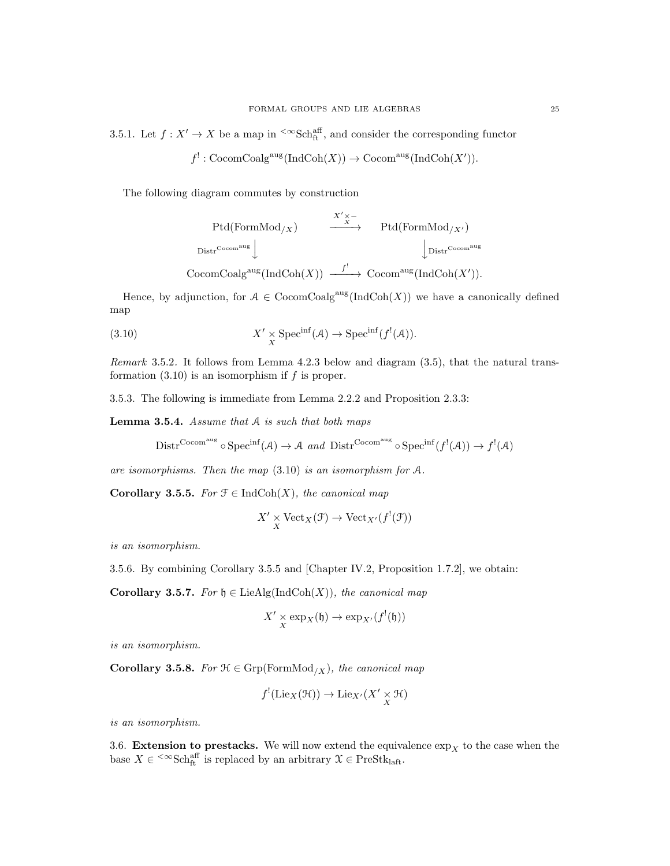3.5.1. Let  $f: X' \to X$  be a map in <sup><∞</sup>Sch<sub>aff</sub><sup>aff</sup>, and consider the corresponding functor

$$
f^! : \text{CocomCoalg}^{\text{aug}}(\text{IndCoh}(X)) \to \text{Cocom}^{\text{aug}}(\text{IndCoh}(X')).
$$

The following diagram commutes by construction

$$
\begin{array}{ccc}\n\text{Ptd}(\text{FormMod}_{/X}) & \xrightarrow{\quad \quad & X' \times - \\
\text{Dist}^{\text{Cocomaug}} & & \text{Ptd}(\text{FormMod}_{/X'}) \\
\downarrow \text{Distr}^{\text{Cocomaug}} & & \downarrow \text{Distr}^{\text{Cocomaug}} \\
\text{CocomCoalg}^{\text{aug}}(\text{IndCoh}(X)) & \xrightarrow{f'} & \text{Cocom}^{\text{aug}}(\text{IndCoh}(X')).\n\end{array}
$$

Hence, by adjunction, for  $A \in \text{CocomCoalg}^{\text{aug}}(\text{IndCoh}(X))$  we have a canonically defined map

(3.10) 
$$
X' \underset{X}{\times} \text{Spec}^{\text{inf}}(\mathcal{A}) \to \text{Spec}^{\text{inf}}(f^{!}(\mathcal{A})).
$$

Remark 3.5.2. It follows from Lemma 4.2.3 below and diagram (3.5), that the natural transformation  $(3.10)$  is an isomorphism if f is proper.

3.5.3. The following is immediate from Lemma 2.2.2 and Proposition 2.3.3:

Lemma 3.5.4. Assume that A is such that both maps

$$
\mathrm{Distr}^{\mathrm{Cocom^{aug}}}\circ \mathrm{Spec}^{\mathrm{inf}}(\mathcal{A})\to \mathcal{A} \ \ and \ \ \mathrm{Distr}^{\mathrm{Cocom^{aug}}}\circ \mathrm{Spec}^{\mathrm{inf}}(f^{!}(\mathcal{A}))\to f^{!}(\mathcal{A})
$$

are isomorphisms. Then the map (3.10) is an isomorphism for A.

Corollary 3.5.5. For  $\mathcal{F} \in \text{IndCoh}(X)$ , the canonical map

$$
X' \underset{X}{\times} \mathrm{Vect}_X(\mathcal{F}) \to \mathrm{Vect}_{X'}(f^{!}(\mathcal{F}))
$$

is an isomorphism.

3.5.6. By combining Corollary 3.5.5 and [Chapter IV.2, Proposition 1.7.2], we obtain:

Corollary 3.5.7. For  $\mathfrak{h} \in \text{LieAlg}(\text{IndCoh}(X))$ , the canonical map

$$
X' \underset{X}{\times} \exp_X(\mathfrak{h}) \to \exp_{X'}(f^{!}(\mathfrak{h}))
$$

is an isomorphism.

Corollary 3.5.8. For  $\mathcal{H} \in \text{Grp}(\text{FormMod}_{/X})$ , the canonical map

$$
f^{!}(\mathrm{Lie}_X(\mathcal{H})) \to \mathrm{Lie}_{X'}(X' \underset{X}{\times} \mathcal{H})
$$

is an isomorphism.

3.6. Extension to prestacks. We will now extend the equivalence  $\exp_X$  to the case when the base  $X \in \langle \infty \text{Sch}_{\text{ft}}^{\text{aff}}$  is replaced by an arbitrary  $\mathfrak{X} \in \text{PreStk}_{\text{laff}}$ .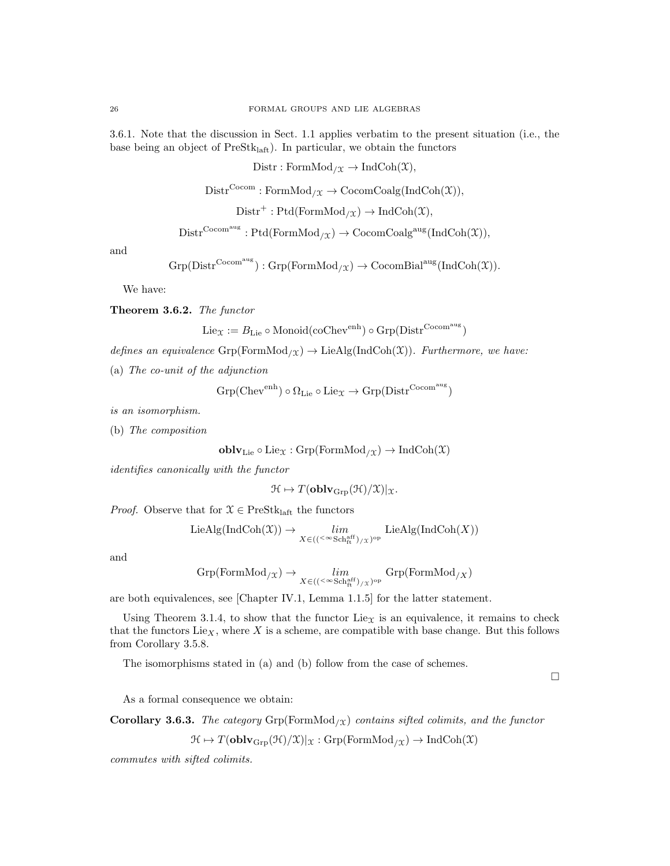3.6.1. Note that the discussion in Sect. 1.1 applies verbatim to the present situation (i.e., the base being an object of  $PreStk<sub>laff</sub>$ ). In particular, we obtain the functors

 $\text{Distr}: \text{FormMod}_{/\mathfrak{X}} \to \text{IndCoh}(\mathfrak{X}),$ 

 $\text{Distr}^{\text{Cocom}} : \text{FormMod}_{/\mathfrak{X}} \to \text{CocomCoalg}(\text{IndCoh}(\mathfrak{X})),$ 

 $Dist<sup>+</sup>: Ptd(FormMod<sub>/X</sub>) \rightarrow IndCoh(\mathfrak{X}),$ 

 $\mathrm{Distr}^{\mathrm{Cocom^{aug}}}: \mathrm{Ptd}(\mathrm{FormMod}_{/\mathfrak{X}}) \to \mathrm{CocomCoalg^{aug}}(\mathrm{IndCoh}(\mathfrak{X})),$ 

and

$$
{\rm Grp}({\rm Distr}^{{\rm Cocom}^{\rm aug}}):{\rm Grp}({\rm FormMod}_{{}/\mathfrak{X}})\to {\rm CocomBial}^{\rm aug}({\rm IndCoh}(\mathfrak{X})).
$$

We have:

Theorem 3.6.2. The functor

$$
\mathrm{Lie}_\mathfrak{X}:=B_{\mathrm{Lie}}\circ\mathrm{Monoid}(\mathrm{coChev}^{\mathrm{enh}})\circ\mathrm{Grp}(\mathrm{Distr}^{\mathrm{Cocom}})
$$

defines an equivalence  $\text{Grp}(\text{FormMod}_{\chi}) \to \text{LieAlg}(\text{IndCoh}(\chi))$ . Furthermore, we have:

(a) The co-unit of the adjunction

$$
\mathrm{Grp}(\mathrm{Chev}^\mathrm{enh})\circ\Omega_{\mathrm{Lie}}\circ\mathrm{Lie}_\mathfrak{X}\rightarrow\mathrm{Grp}(\mathrm{Distr}^{\mathrm{Cocom}^{\mathrm{aug}}})
$$

is an isomorphism.

(b) The composition

$$
\mathbf{oblv}_{\mathrm{Lie}} \circ \mathrm{Lie}_{\mathfrak{X}} : \mathrm{Grp}(\mathrm{FormMod}_{/\mathfrak{X}}) \to \mathrm{IndCoh}(\mathfrak{X})
$$

identifies canonically with the functor

$$
\mathcal{H} \mapsto T(\mathbf{oblv}_{\mathrm{Grp}}(\mathcal{H})/\mathcal{X})|_{\mathcal{X}}.
$$

*Proof.* Observe that for  $X \in \text{PreStk}_{\text{laff}}$  the functors

$$
\operatorname{LieAlg}(\operatorname{IndCoh}(\mathfrak{X})) \to \lim_{X \in (({}^{\ltimes} \operatorname{Sch}_{\operatorname{ft}}^{\operatorname{aff}})_{/\mathfrak{X}})^{\operatorname{op}}} \operatorname{LieAlg}(\operatorname{IndCoh}(X))
$$

and

$$
\mathrm{Grp}(\mathrm{FormMod}_{/\mathfrak{X}})\rightarrow \lim_{X\in (({}^{<\infty}\mathrm{Sch}^{\mathrm{aff}}_{\mathrm{ft}})_{/\mathfrak{X}})^{\mathrm{op}}}\mathrm{Grp}(\mathrm{FormMod}_{/\mathfrak{X}})
$$

are both equivalences, see [Chapter IV.1, Lemma 1.1.5] for the latter statement.

Using Theorem 3.1.4, to show that the functor Lie<sub> $\chi$ </sub> is an equivalence, it remains to check that the functors  $Lie_X$ , where X is a scheme, are compatible with base change. But this follows from Corollary 3.5.8.

The isomorphisms stated in (a) and (b) follow from the case of schemes.

 $\Box$ 

As a formal consequence we obtain:

Corollary 3.6.3. The category  $\mathrm{Grp}(\mathrm{FormMod}_{/\mathfrak{X}})$  contains sifted colimits, and the functor

 $\mathcal{H} \mapsto T(\mathbf{oblv}_{\text{Grp}}(\mathcal{H})/\mathcal{X})|_{\mathcal{X}} : \text{Grp}(\text{FormMod}_{/\mathcal{X}}) \to \text{IndCoh}(\mathcal{X})$ 

commutes with sifted colimits.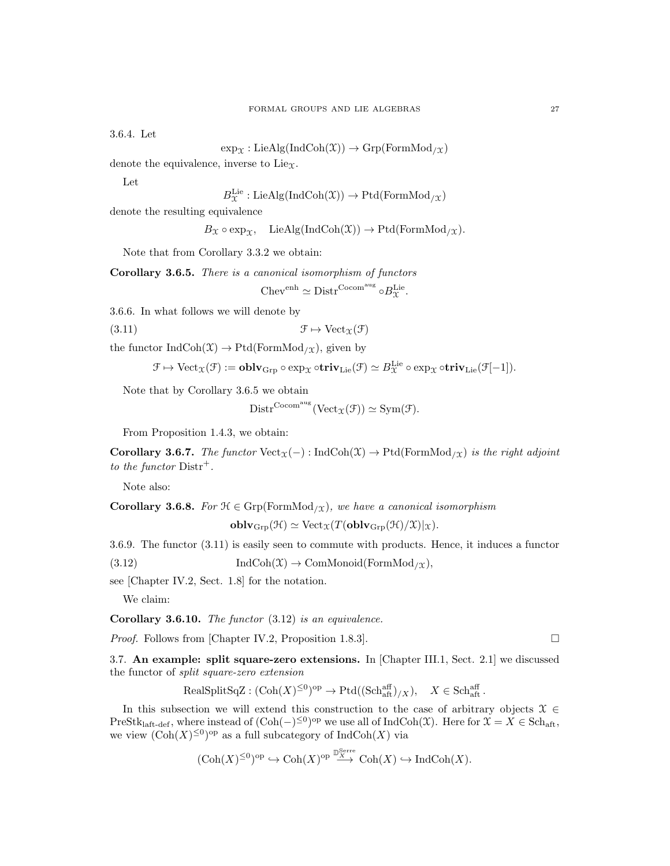3.6.4. Let

$$
\exp_{\mathfrak{X}}: \mathrm{LieAlg}(\mathrm{IndCoh}(\mathfrak{X})) \to \mathrm{Grp}(\mathrm{FormMod}_{/\mathfrak{X}})
$$

denote the equivalence, inverse to  $Lie_{\Upsilon}$ .

Let

$$
B_{\mathfrak{X}}^{\text{Lie}}:\text{LieAlg}(\text{IndCoh}(\mathfrak{X})) \to \text{Ptd}(\text{FormMod}_{/\mathfrak{X}})
$$

denote the resulting equivalence

 $B_{\mathfrak{X}} \circ \exp_{\mathfrak{X}}$ , LieAlg(IndCoh(X))  $\to$  Ptd(FormMod<sub>/X</sub>).

Note that from Corollary 3.3.2 we obtain:

Lie

Corollary 3.6.5. There is a canonical isomorphism of functors

$$
Chev^{enh} \simeq \text{Distr}^{\text{Cocom}^{\text{aug}}} \circ B_{\mathcal{X}}^{\text{Lie}}.
$$

3.6.6. In what follows we will denote by

$$
(\text{3.11}) \qquad \qquad \mathfrak{F} \mapsto \text{Vect}_{\mathfrak{X}}(\mathfrak{F})
$$

the functor  $IndCoh(\mathfrak{X}) \to Ptd(FormMod_{/\mathfrak{X}})$ , given by

$$
\mathcal{F} \mapsto \mathrm{Vect}_{\mathfrak{X}}(\mathcal{F}):=\mathbf{oblv}_{\mathrm{Grp}}\circ \mathrm{exp}_{\mathfrak{X}}\circ \mathbf{triv}_{\mathrm{Lie}}(\mathcal{F})\simeq B_{\mathfrak{X}}^{\mathrm{Lie}}\circ \mathrm{exp}_{\mathfrak{X}}\circ \mathbf{triv}_{\mathrm{Lie}}(\mathcal{F}[-1]).
$$

Note that by Corollary 3.6.5 we obtain

$$
Dist^{\mathrm{Cocom}^{\mathrm{aug}}}(\mathrm{Vect}_{\mathfrak{X}}(\mathcal{F})) \simeq \mathrm{Sym}(\mathcal{F}).
$$

From Proposition 1.4.3, we obtain:

Corollary 3.6.7. The functor  $Vect_{\mathfrak{X}}(-)$ : IndCoh(X)  $\rightarrow$  Ptd(FormMod<sub>/X</sub>) is the right adjoint to the functor  $\text{Distr}^+$ .

Note also:

**Corollary 3.6.8.** For  $\mathcal{H} \in \text{Grp}(\text{FormMod}_{/\mathcal{X}})$ , we have a canonical isomorphism

 $\textbf{oblv}_{\text{Grp}}(\mathcal{H}) \simeq \text{Vect}_{\mathfrak{X}}(T(\textbf{oblv}_{\text{Grp}}(\mathcal{H})/\mathfrak{X})|_{\mathfrak{X}}).$ 

3.6.9. The functor (3.11) is easily seen to commute with products. Hence, it induces a functor

(3.12)  $\text{IndCoh}(\mathfrak{X}) \to \text{ComMonoid}(\text{FormMod}_{/\mathfrak{X}}),$ 

see [Chapter IV.2, Sect. 1.8] for the notation.

We claim:

**Corollary 3.6.10.** The functor  $(3.12)$  is an equivalence.

*Proof.* Follows from [Chapter IV.2, Proposition 1.8.3].  $\Box$ 

3.7. An example: split square-zero extensions. In [Chapter III.1, Sect. 2.1] we discussed the functor of split square-zero extension

$$
\text{RealSplitSqZ} : (\text{Coh}(X)^{\leq 0})^{\text{op}} \to \text{Ptd}((\text{Sch}_{\text{aft}}^{\text{aff}})/X), \quad X \in \text{Sch}_{\text{aft}}^{\text{aff}}.
$$

In this subsection we will extend this construction to the case of arbitrary objects  $\mathcal{X} \in$ PreStk<sub>laft-def</sub>, where instead of  $(\text{Coh}(-)^{\leq 0})^{\text{op}}$  we use all of IndCoh(X). Here for  $\mathfrak{X} = X \in \text{Sch}_{\text{aff}},$ we view  $(\text{Coh}(X)^{\leq 0})^{\text{op}}$  as a full subcategory of  $\text{IndCoh}(X)$  via

$$
(\mathrm{Coh}(X)^{\leq 0})^{\mathrm{op}}\hookrightarrow\mathrm{Coh}(X)^{\mathrm{op}}\xrightarrow{\mathbb{D}^{\mathrm{Serre}}_{X}}\mathrm{Coh}(X)\hookrightarrow\mathrm{Ind}\mathrm{Coh}(X).
$$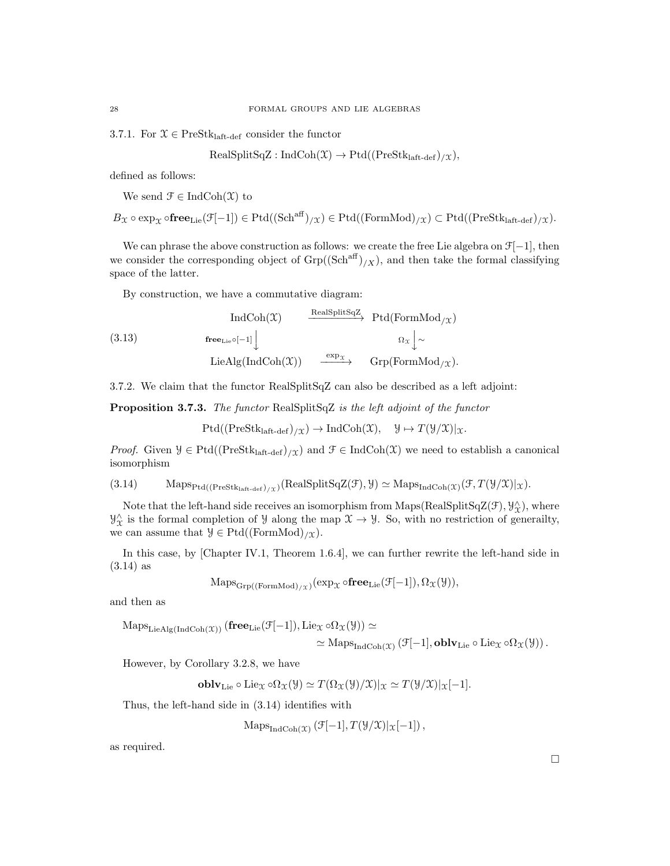3.7.1. For  $\mathfrak{X} \in \mathrm{PreStk}_{\mathrm{laft}\text{-}\mathrm{def}}$  consider the functor

$$
\text{RealSplitSqZ}: \text{IndCoh}(\mathfrak{X}) \to \text{Ptd}((\text{PreStk}_{\text{laft-def}})_{/\mathfrak{X}}),
$$

defined as follows:

We send  $\mathcal{F} \in \text{IndCoh}(\mathcal{X})$  to

 $B_{\mathfrak{X}} \circ \exp_{\mathfrak{X}} \circ \mathbf{free}_{\mathrm{Lie}}(\mathcal{F}[-1]) \in \mathrm{Ptd}((\mathrm{Sch}^{\mathrm{aff}})_{\mathcal{X}}) \in \mathrm{Ptd}((\mathrm{FormMod})_{\mathcal{X}}) \subset \mathrm{Ptd}((\mathrm{PreStk}_{\mathrm{laft-def}})_{\mathcal{X}}).$ 

We can phrase the above construction as follows: we create the free Lie algebra on  $\mathcal{F}[-1]$ , then we consider the corresponding object of  $Grp((Sch<sup>aff</sup>)_{/X})$ , and then take the formal classifying space of the latter.

By construction, we have a commutative diagram:

$$
\text{(3.13)} \quad \text{IndCoh}(\mathfrak{X}) \quad \xrightarrow{\text{RealSplitSqZ}} \text{Ptd}(\text{FormMod}_{/\mathfrak{X}})
$$
\n
$$
\text{free}_{\text{Lie}} \circ [-1] \downarrow \quad \text{LieAlg}(\text{IndCoh}(\mathfrak{X})) \quad \xrightarrow{\exp_{\mathfrak{X}}} \quad \text{Grp}(\text{FormMod}_{/\mathfrak{X}}).
$$

3.7.2. We claim that the functor RealSplitSqZ can also be described as a left adjoint:

Proposition 3.7.3. The functor RealSplitSqZ is the left adjoint of the functor

 $Ptd((PreStk<sub>laff-def</sub>)<sub>/X</sub>) \rightarrow IndCoh(X), \quad \mathcal{Y} \mapsto T(\mathcal{Y}/X)|_X.$ 

*Proof.* Given  $\mathcal{Y} \in \text{Ptd}((\text{PreStk}_{\text{laff-def}})_{\mathcal{X}})$  and  $\mathcal{F} \in \text{IndCoh}(\mathcal{X})$  we need to establish a canonical isomorphism

$$
(3.14) \qquad \text{Maps}_{\text{Ptd}((\text{PreStk}_{\text{laff-def}})_{\mathcal{X}})}(\text{RealSplitSqZ}(\mathcal{F}), \mathcal{Y}) \simeq \text{Maps}_{\text{IndCoh}(\mathcal{X})}(\mathcal{F}, T(\mathcal{Y}/\mathcal{X})|_{\mathcal{X}}).
$$

Note that the left-hand side receives an isomorphism from Maps(RealSplitSqZ(F),  $\mathcal{Y}^{\wedge}_{\chi}$ ), where  $\mathcal{Y}_{\mathcal{X}}^{\wedge}$  is the formal completion of  $\mathcal{Y}$  along the map  $\mathcal{X} \to \mathcal{Y}$ . So, with no restriction of generality, we can assume that  $\mathcal{Y} \in \text{Ptd}((\text{FormMod})_{/\mathcal{X}}).$ 

In this case, by [Chapter IV.1, Theorem 1.6.4], we can further rewrite the left-hand side in (3.14) as

$$
\mathrm{Maps}_{\mathrm{Grp}((\mathrm{FormMod})_{/\mathfrak{X}})}(\exp_{\mathfrak{X}} \circ \mathbf{free}_{\mathrm{Lie}}(\mathcal{F}[-1]), \Omega_{\mathfrak{X}}(\mathcal{Y})),
$$

and then as

$$
\mathrm{Maps}_{\mathrm{LieAlg}(\mathrm{IndCoh}(\mathfrak{X}))}(\mathbf{free}_{\mathrm{Lie}}(\mathcal{F}[-1]), \mathrm{Lie}_{\mathfrak{X}} \circ \Omega_{\mathfrak{X}}(\mathcal{Y})) \simeq \\ \simeq \mathrm{Maps}_{\mathrm{IndCoh}(\mathfrak{X})}(\mathcal{F}[-1], \mathbf{oblv}_{\mathrm{Lie}} \circ \mathrm{Lie}_{\mathfrak{X}} \circ \Omega_{\mathfrak{X}}(\mathcal{Y})) .
$$

However, by Corollary 3.2.8, we have

**oblv**<sub>Lie</sub> 
$$
\circ
$$
 Lie<sub>x</sub>  $\circ \Omega_x(\mathcal{Y}) \simeq T(\Omega_x(\mathcal{Y})/\mathcal{X})|_x \simeq T(\mathcal{Y}/\mathcal{X})|_x[-1].$ 

Thus, the left-hand side in (3.14) identifies with

$$
\mathrm{Maps}_{\mathrm{IndCoh}(\mathfrak{X})}\left(\mathcal{F}[-1], T(\mathcal{Y}/\mathfrak{X})|_{\mathfrak{X}}[-1]\right),
$$

as required.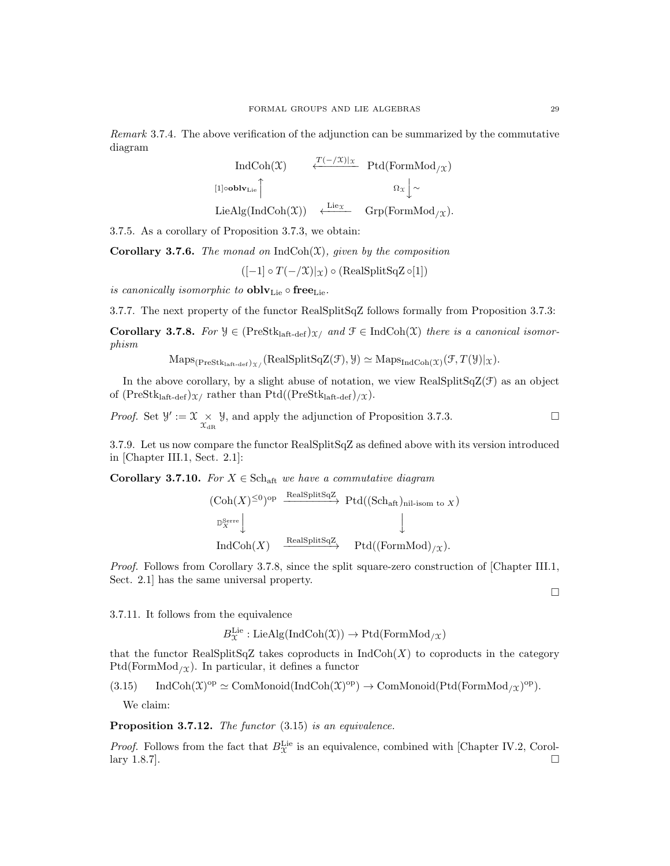Remark 3.7.4. The above verification of the adjunction can be summarized by the commutative diagram

$$
\text{IndCoh}(\mathfrak{X}) \qquad \xleftarrow{\mathcal{T}(-/\mathfrak{X})|_{\mathfrak{X}}} \text{Ptd}(\text{FormMod}_{/\mathfrak{X}})
$$
\n
$$
\text{[1]ooblv}_{\text{Lie}} \qquad \qquad \Omega_{\mathfrak{X}} \downarrow \sim
$$
\n
$$
\text{LieAlg}(\text{IndCoh}(\mathfrak{X})) \qquad \xleftarrow{\text{Lie}_{\mathfrak{X}}} \text{Grp}(\text{FormMod}_{/\mathfrak{X}}).
$$

3.7.5. As a corollary of Proposition 3.7.3, we obtain:

**Corollary 3.7.6.** The monad on  $IndCoh(\mathfrak{X})$ , given by the composition

 $([-1] \circ T(-\mathcal{X})|_{\mathcal{X}}) \circ (\text{RealSplitSqZ} \circ [1])$ 

is canonically isomorphic to  $\textbf{oblv}_{\text{Lie}} \circ \textbf{free}_{\text{Lie}}$ .

3.7.7. The next property of the functor RealSplitSqZ follows formally from Proposition 3.7.3:

Corollary 3.7.8. For  $\mathcal{Y} \in (\text{PreStk}_{\text{left-def}})_{\mathcal{X}}$  and  $\mathcal{F} \in \text{IndCoh}(\mathcal{X})$  there is a canonical isomorphism

 $\mathrm{Maps}_{(\mathrm{PreStk}_{\mathrm{laft}\text{-}\mathrm{def}})_{\mathcal{X}/}}(\mathrm{RealSplitSqZ}(\mathcal{F}), \mathcal{Y}) \simeq \mathrm{Maps}_{\mathrm{IndCoh}(\mathcal{X})}(\mathcal{F}, T(\mathcal{Y})|_{\mathcal{X}}).$ 

In the above corollary, by a slight abuse of notation, we view RealSplitSqZ(F) as an object of  $(PreStk<sub>laff-def</sub>)_{\mathcal{X}}$  rather than Ptd $((PreStk<sub>laff-def</sub>)_{\mathcal{X}})$ .

*Proof.* Set  $\mathcal{Y} := \mathcal{X} \underset{\mathcal{X}_{\text{dR}}}{\times} \mathcal{Y}$ , and apply the adjunction of Proposition 3.7.3.

3.7.9. Let us now compare the functor RealSplitSqZ as defined above with its version introduced in [Chapter III.1, Sect. 2.1]:

Corollary 3.7.10. For  $X \in \text{Sch}_{\text{aff}}$  we have a commutative diagram

$$
\begin{array}{ccc}\n(\text{Coh}(X)^{\leq 0})^{\text{op}} & \xrightarrow{\text{RealSplitSqZ}} \text{Ptd}((\text{Sch}_{\text{aft}})_{\text{nil-isom to } X}) \\
\downarrow^{\mathbb{S}^{\text{Serre}}}_{X} \downarrow & & \downarrow^{\text{Res}} \\
\text{IndCoh}(X) & \xrightarrow{\text{RealSplitSqZ}} & \text{Ptd}((\text{FormMod})_{/X}).\n\end{array}
$$

Proof. Follows from Corollary 3.7.8, since the split square-zero construction of [Chapter III.1, Sect. 2.1] has the same universal property.

 $\Box$ 

3.7.11. It follows from the equivalence

 $B_{\mathfrak{X}}^{\operatorname{Lie}}: \operatorname{LieAlg}(\operatorname{IndCoh}(\mathfrak{X})) \rightarrow \operatorname{Ptd}(\operatorname{FormMod}_{/\mathfrak{X}})$ 

that the functor RealSplitSqZ takes coproducts in  $\text{IndCoh}(X)$  to coproducts in the category  $Ptd(FormMod<sub>/X</sub>)$ . In particular, it defines a functor

 $(3.15)$  IndCoh $(\mathfrak{X})^{\mathrm{op}} \simeq \mathrm{ComMonoid}(\mathrm{IndCoh}(\mathfrak{X})^{\mathrm{op}}) \to \mathrm{ComMonoid}(\mathrm{Ptd}(\mathrm{FormMod}_{/\mathfrak{X}})^{\mathrm{op}}).$ 

We claim:

Proposition 3.7.12. The functor  $(3.15)$  is an equivalence.

*Proof.* Follows from the fact that  $B_{\mathcal{X}}^{\text{Lie}}$  is an equivalence, combined with [Chapter IV.2, Corollary 1.8.7].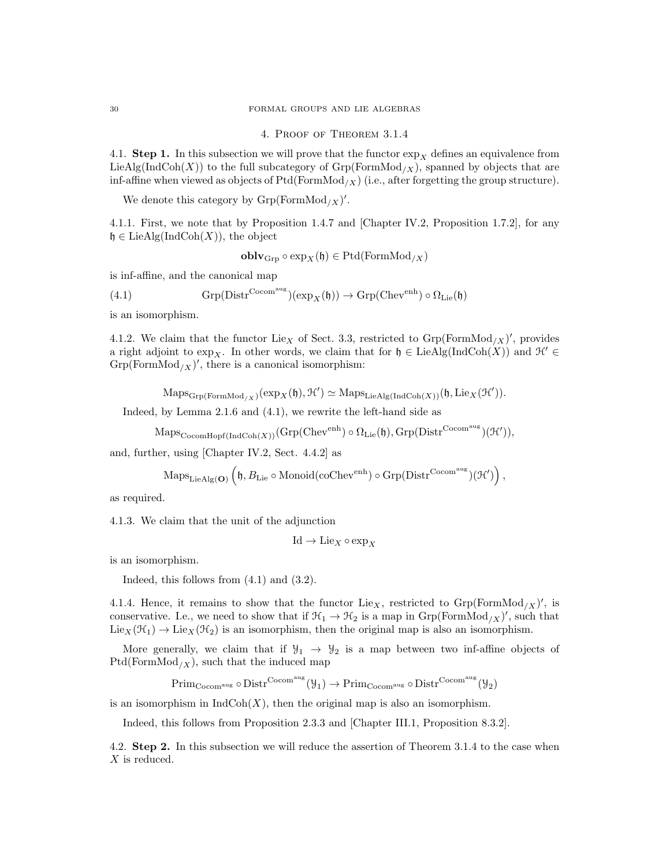### 4. Proof of Theorem 3.1.4

4.1. Step 1. In this subsection we will prove that the functor  $\exp_X$  defines an equivalence from LieAlg(IndCoh(X)) to the full subcategory of  $Grp(FormMod<sub>/X</sub>)$ , spanned by objects that are inf-affine when viewed as objects of  $Ptd(FormMod<sub>/X</sub>)$  (i.e., after forgetting the group structure).

We denote this category by  $Grp(FormMod_X)'$ .

4.1.1. First, we note that by Proposition 1.4.7 and [Chapter IV.2, Proposition 1.7.2], for any  $\mathfrak{h} \in \text{LieAlg}(\text{IndCoh}(X))$ , the object

$$
\mathbf{oblv}_{\mathrm{Grp}} \circ \exp_X(\mathfrak{h}) \in \mathrm{Ptd}(\mathrm{FormMod}_{/X})
$$

is inf-affine, and the canonical map

(4.1) 
$$
\mathrm{Grp}(\mathrm{Distr}^{\mathrm{Cocom^{aug}}})(\exp_{X}(\mathfrak{h})) \to \mathrm{Grp}(\mathrm{Chev}^{\mathrm{enh}}) \circ \Omega_{\mathrm{Lie}}(\mathfrak{h})
$$

is an isomorphism.

4.1.2. We claim that the functor Lie<sub>X</sub> of Sect. 3.3, restricted to  $Grp(FormMod_{X})'$ , provides a right adjoint to exp<sub>X</sub>. In other words, we claim that for  $\mathfrak{h} \in \text{LieAlg}(\text{IndCoh}(X))$  and  $\mathcal{H} \in$  $Grp(FormMod<sub>/X</sub>)'$ , there is a canonical isomorphism:

 $\mathrm{Maps}_{\mathrm{Grp}(\mathrm{FormMod}_{/X})}(\exp_X(\mathfrak{h}), \mathcal{H}') \simeq \mathrm{Maps}_{\mathrm{LieAlg}(\mathrm{IndCoh}(X))}(\mathfrak{h}, \mathrm{Lie}_X(\mathcal{H}')).$ 

Indeed, by Lemma 2.1.6 and (4.1), we rewrite the left-hand side as

 $\mathrm{Maps}_{\mathrm{CocomHopf}(\mathrm{IndCoh}(X))}(\mathrm{Grp}(\mathrm{Chev}^{\mathrm{enh}})\circ \Omega_{\mathrm{Lie}}(\mathfrak{h}),\mathrm{Grp}(\mathrm{Distr}^{\mathrm{Cocom}^{\mathrm{aug}}})(\mathfrak{H}')),$ 

and, further, using [Chapter IV.2, Sect. 4.4.2] as

$$
\mathrm{Maps}_{\mathrm{LieAlg}(\mathbf{O})}\left(\mathfrak{h}, B_{\mathrm{Lie}} \circ \mathrm{Monoid}(\mathrm{coChev}^{\mathrm{enh}}) \circ \mathrm{Grp}(\mathrm{Distr}^{\mathrm{Cocom^{aug}}})(\mathcal{H}')\right),
$$

as required.

4.1.3. We claim that the unit of the adjunction

$$
\mathrm{Id}\to \mathrm{Lie}_X\circ\exp_X
$$

is an isomorphism.

Indeed, this follows from (4.1) and (3.2).

4.1.4. Hence, it remains to show that the functor Lie<sub>X</sub>, restricted to  $Grp(FormMod_X)'$ , is conservative. I.e., we need to show that if  $\mathcal{H}_1 \to \mathcal{H}_2$  is a map in  $Grp(FormMod_X)'$ , such that  $\text{Lie}_X(\mathcal{H}_1) \to \text{Lie}_X(\mathcal{H}_2)$  is an isomorphism, then the original map is also an isomorphism.

More generally, we claim that if  $\mathcal{Y}_1 \to \mathcal{Y}_2$  is a map between two inf-affine objects of  $Ptd(FormMod<sub>/X</sub>)$ , such that the induced map

 $Prim_{Cocom^{aug}} \circ Dist^{Cocom^{aug}}(\mathcal{Y}_1) \to Prim_{Cocom^{aug}} \circ Dist^{Cocom^{aug}}(\mathcal{Y}_2)$ 

is an isomorphism in  $\text{IndCoh}(X)$ , then the original map is also an isomorphism.

Indeed, this follows from Proposition 2.3.3 and [Chapter III.1, Proposition 8.3.2].

4.2. Step 2. In this subsection we will reduce the assertion of Theorem 3.1.4 to the case when X is reduced.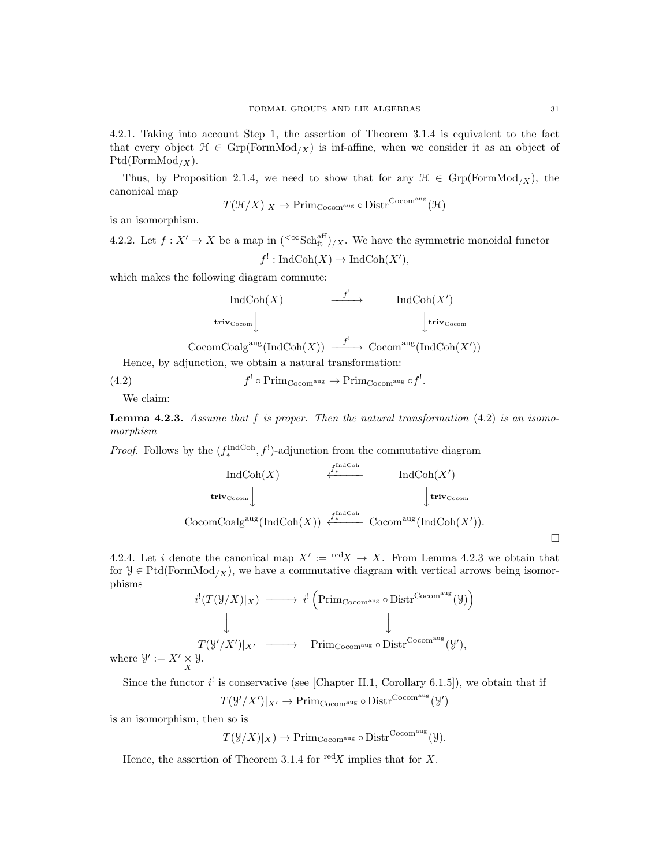4.2.1. Taking into account Step 1, the assertion of Theorem 3.1.4 is equivalent to the fact that every object  $\mathcal{H} \in \text{Grp}(\text{FormMod}_X)$  is inf-affine, when we consider it as an object of  $Ptd(FormMod/x).$ 

Thus, by Proposition 2.1.4, we need to show that for any  $\mathcal{H} \in \text{Grp}(\text{FormMod}_X)$ , the canonical map

$$
T(\mathcal{H}/X)|_X \to \text{Prim}_{\text{Cocom}^{\text{aug}}} \circ \text{Distr}^{\text{Cocom}^{\text{aug}}}(\mathcal{H})
$$

is an isomorphism.

4.2.2. Let  $f: X' \to X$  be a map in  $({}^{<\infty} {\rm Sch}^{\rm aff}_{\rm ft})/X$ . We have the symmetric monoidal functor  $f' : \text{IndCoh}(X) \to \text{IndCoh}(X'),$ 

which makes the following diagram commute:

$$
\operatorname{IndCoh}(X) \qquad \xrightarrow{f'} \qquad \operatorname{IndCoh}(X')
$$
  
triv<sub>Cocom</sub>  $\downarrow$   
CocomCoalg<sup>aug</sup>(IndCoh(X))  $\xrightarrow{f'} \operatorname{Cocom}^{\operatorname{aug}}(\operatorname{IndCoh}(X'))$ 

Hence, by adjunction, we obtain a natural transformation:

 $(4.2)$  ${}^! \circ \text{Prim}_{\text{Cocom}^{\text{aug}}} \to \text{Prim}_{\text{Cocom}^{\text{aug}}} \circ f^!.$ 

We claim:

**Lemma 4.2.3.** Assume that f is proper. Then the natural transformation  $(4.2)$  is an isomomorphism

*Proof.* Follows by the  $(f_*^{\text{IndCoh}}, f')$ -adjunction from the commutative diagram

$$
\text{IndCoh}(X) \qquad \xleftarrow{f_*^{\text{IndCoh}}} \text{IndCoh}(X')
$$
\n
$$
\text{triv}_{\text{Cocom}} \downarrow \text{triv}_{\text{Cocom}}
$$
\n
$$
\text{CocomCoalg}^{\text{aug}}(\text{IndCoh}(X)) \xleftarrow{f_*^{\text{IndCoh}}} \text{Cocom}^{\text{aug}}(\text{IndCoh}(X')).
$$

4.2.4. Let i denote the canonical map  $X' := \text{red}X \to X$ . From Lemma 4.2.3 we obtain that for  $\mathcal{Y} \in \text{Ptd}(\text{FormMod}_X)$ , we have a commutative diagram with vertical arrows being isomorphisms

$$
i^{!}(T(\mathcal{Y}/X)|_{X}) \longrightarrow i^{!}(\text{Prim}_{\text{Cocom}^{\text{aug}}} \circ \text{Distr}^{\text{Cocom}^{\text{aug}}}(\mathcal{Y}))
$$
  
\n
$$
\downarrow \qquad \qquad \downarrow
$$
  
\n
$$
T(\mathcal{Y}'/X')|_{X'} \longrightarrow \text{Prim}_{\text{Cocom}^{\text{aug}}} \circ \text{Distr}^{\text{Cocom}^{\text{aug}}}(\mathcal{Y}'),
$$
  
\n
$$
\times \mathcal{Y}.
$$

where  $\mathcal{Y}' := X' \underset{X}{\times}$ 

Since the functor  $i^!$  is conservative (see [Chapter II.1, Corollary 6.1.5]), we obtain that if

 $T(\mathcal{Y}'/X')|_{X'} \to \mathrm{Prim}_{\mathrm{Cocom}^{\mathrm{aug}}} \circ \mathrm{Distr}^{\mathrm{Cocom}^{\mathrm{aug}}}(\mathcal{Y}')$ 

is an isomorphism, then so is

 $T(\mathcal{Y}/X)|_X) \to \text{Prim}_{\text{Cocom}^{\text{aug}}} \circ \text{Distr}^{\text{Cocom}^{\text{aug}}}(\mathcal{Y}).$ 

Hence, the assertion of Theorem 3.1.4 for  $\text{red}X$  implies that for X.

 $\Box$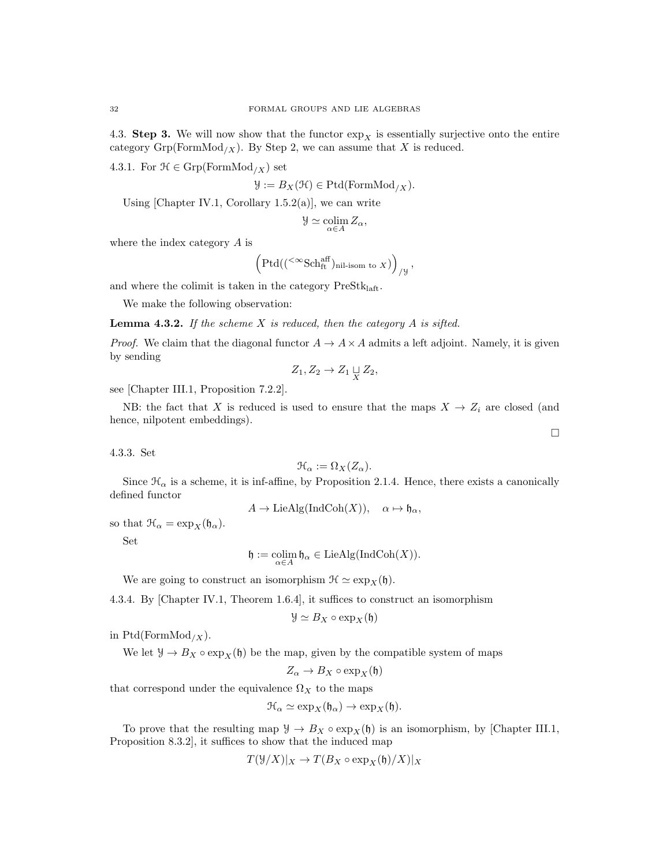4.3. Step 3. We will now show that the functor  $\exp_X$  is essentially surjective onto the entire category  $\mathrm{Grp}(\mathrm{FormMod}_{/X})$ . By Step 2, we can assume that X is reduced.

4.3.1. For  $\mathcal{H} \in \text{Grp}(\text{FormMod}_X)$  set

$$
\mathcal{Y} := B_X(\mathcal{H}) \in \mathrm{Ptd}(\mathrm{FormMod}_{/X}).
$$

Using [Chapter IV.1, Corollary 1.5.2(a)], we can write

$$
\mathcal Y \simeq \operatornamewithlimits{colim}_{\alpha \in A} Z_\alpha,
$$

where the index category A is

$$
\left(\mathrm{Ptd}((\mathbf{C}^{\infty}\mathrm{Sch}^{\mathrm{aff}}_{\mathrm{ft}})_{\mathrm{nil\text{-}isom to}\;X})\right)_{/y},
$$

and where the colimit is taken in the category  $\mathrm{PreStk}_{\mathrm{laft}}.$ 

We make the following observation:

**Lemma 4.3.2.** If the scheme  $X$  is reduced, then the category  $A$  is sifted.

*Proof.* We claim that the diagonal functor  $A \rightarrow A \times A$  admits a left adjoint. Namely, it is given by sending

$$
Z_1, Z_2 \to Z_1 \sqcup_X Z_2,
$$

see [Chapter III.1, Proposition 7.2.2].

NB: the fact that X is reduced is used to ensure that the maps  $X \to Z_i$  are closed (and hence, nilpotent embeddings).

 $\Box$ 

4.3.3. Set

$$
\mathfrak{H}_{\alpha} := \Omega_X(Z_{\alpha}).
$$

Since  $\mathcal{H}_{\alpha}$  is a scheme, it is inf-affine, by Proposition 2.1.4. Hence, there exists a canonically defined functor

$$
A \to \mathop{\mathrm{LieAlg}}\nolimits(\mathop{\mathrm{Ind}}\nolimits \mathop{\mathrm{Coh}}\nolimits(X)), \quad \alpha \mapsto \mathfrak{h}_{\alpha},
$$

so that  $\mathcal{H}_{\alpha} = \exp_{X}(\mathfrak{h}_{\alpha}).$ 

Set

$$
\mathfrak{h}:=\operatornamewithlimits{colim}_{\alpha\in A}\mathfrak{h}_\alpha\in\operatorname{LieAlg}(\operatorname{IndCoh}(X)).
$$

We are going to construct an isomorphism  $\mathcal{H} \simeq \exp_X(\mathfrak{h}).$ 

4.3.4. By [Chapter IV.1, Theorem 1.6.4], it suffices to construct an isomorphism

$$
\mathcal{Y} \simeq B_X \circ \exp_X(\mathfrak{h})
$$

in  $Ptd(FormMod_{/X}).$ 

We let  $\mathcal{Y} \to B_X \circ \exp_X(\mathfrak{h})$  be the map, given by the compatible system of maps

$$
Z_{\alpha} \to B_X \circ \exp_X(\mathfrak{h})
$$

that correspond under the equivalence  $\Omega_X$  to the maps

$$
\mathfrak{H}_{\alpha} \simeq \exp_X(\mathfrak{h}_{\alpha}) \to \exp_X(\mathfrak{h}).
$$

To prove that the resulting map  $\mathcal{Y} \to B_X \circ \exp_X(\mathfrak{h})$  is an isomorphism, by [Chapter III.1, Proposition 8.3.2], it suffices to show that the induced map

$$
T(\mathcal{Y}/X)|_X \to T(B_X \circ \exp_X(\mathfrak{h})/X)|_X
$$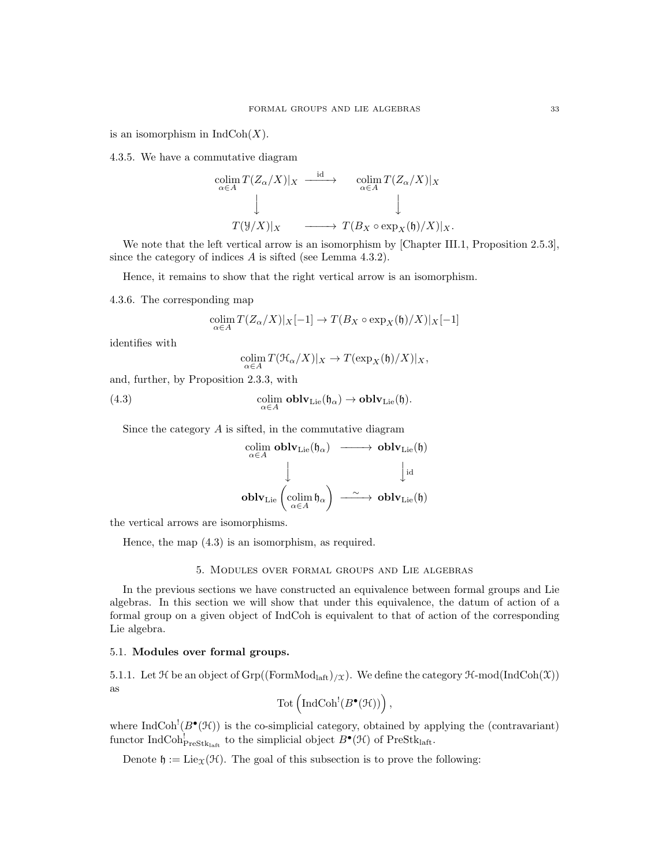is an isomorphism in  $IndCoh(X)$ .

4.3.5. We have a commutative diagram

$$
\begin{array}{ccc}\n\operatorname{colim}_{\alpha \in A} T(Z_{\alpha}/X)|_{X} & \xrightarrow{\operatorname{id}} & \operatorname{colim}_{\alpha \in A} T(Z_{\alpha}/X)|_{X} \\
\downarrow & & \downarrow \\
T(Y|X)|_{X} & \xrightarrow{\qquad \qquad} T(B_{X} \circ \exp_{X}(\mathfrak{h})/X)|_{X}.\n\end{array}
$$

We note that the left vertical arrow is an isomorphism by [Chapter III.1, Proposition 2.5.3], since the category of indices A is sifted (see Lemma 4.3.2).

Hence, it remains to show that the right vertical arrow is an isomorphism.

4.3.6. The corresponding map

$$
\operatorname*{colim}_{\alpha\in A} T(Z_{\alpha}/X)|_X[-1] \to T(B_X\circ \exp_X(\mathfrak{h})/X)|_X[-1]
$$

identifies with

$$
\operatornamewithlimits{colim}_{\alpha\in A}T({\mathcal H}_\alpha/X)|_X\to T(\exp_X({\mathfrak h})/X)|_X,
$$

and, further, by Proposition 2.3.3, with

(4.3) 
$$
\underset{\alpha \in A}{\text{colim}} \text{oblv}_{\text{Lie}}(\mathfrak{h}_{\alpha}) \to \text{oblv}_{\text{Lie}}(\mathfrak{h}).
$$

Since the category A is sifted, in the commutative diagram

$$
\begin{array}{ccc}\text{colim} & \textbf{oblv}_{\mathrm{Lie}}(\mathfrak{h}_{\alpha}) & \longrightarrow & \textbf{oblv}_{\mathrm{Lie}}(\mathfrak{h})\\ & & \downarrow & & \downarrow \text{id}\\ & & \textbf{oblv}_{\mathrm{Lie}}\left(\underset{\alpha\in A}{\mathrm{colim}}\,\mathfrak{h}_{\alpha}\right) & \xrightarrow{\sim} & \textbf{oblv}_{\mathrm{Lie}}(\mathfrak{h})\end{array}
$$

the vertical arrows are isomorphisms.

Hence, the map (4.3) is an isomorphism, as required.

### 5. Modules over formal groups and Lie algebras

In the previous sections we have constructed an equivalence between formal groups and Lie algebras. In this section we will show that under this equivalence, the datum of action of a formal group on a given object of IndCoh is equivalent to that of action of the corresponding Lie algebra.

### 5.1. Modules over formal groups.

5.1.1. Let  $\mathcal H$  be an object of  $\mathrm{Grp}((\mathrm{FormMod}_{\mathrm{laff}})_{/\mathfrak X})$ . We define the category  $\mathcal H\text{-mod}(\mathrm{IndCoh}(\mathfrak X))$ as

$$
\mathrm{Tot}\left(\mathrm{IndCoh}^!(B^\bullet(\mathfrak{H}))\right),
$$

where  $\text{IndCoh}^!(B^{\bullet}(\mathcal{H}))$  is the co-simplicial category, obtained by applying the (contravariant) functor IndCoh<sup>!</sup><sub>PreStk<sub>laft</sub> to the simplicial object  $B^{\bullet}(\mathcal{H})$  of PreStk<sub>laft</sub>.</sub>

Denote  $\mathfrak{h} := \text{Lie}_{\Upsilon}(\mathcal{H})$ . The goal of this subsection is to prove the following: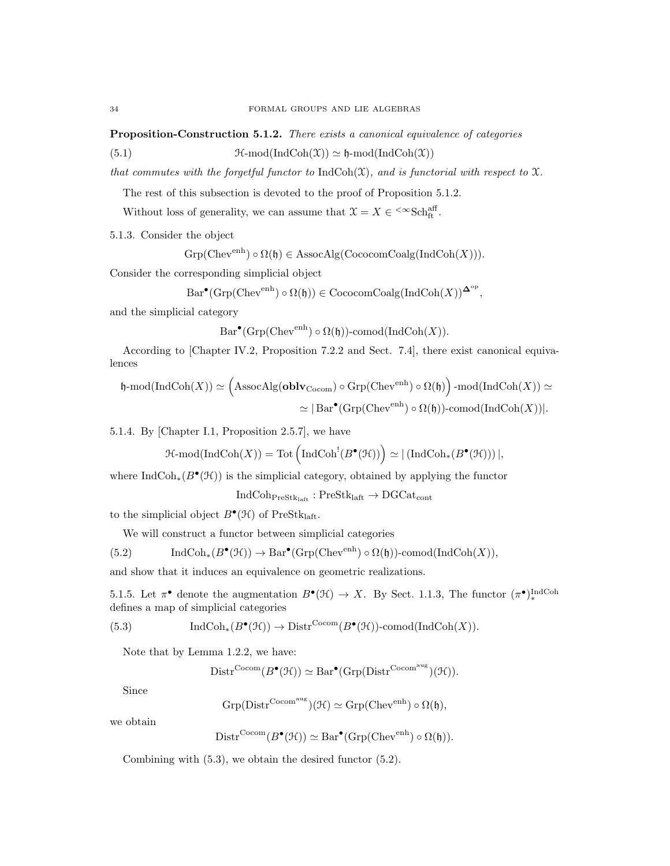Proposition-Construction 5.1.2. There exists a canonical equivalence of categories

(5.1)  $\mathfrak{H}\text{-mod}(\text{IndCoh}(\mathfrak{X})) \simeq \mathfrak{h}\text{-mod}(\text{IndCoh}(\mathfrak{X}))$ 

that commutes with the forgetful functor to  $\text{IndCoh}(\mathfrak{X})$ , and is functorial with respect to  $\mathfrak{X}$ .

The rest of this subsection is devoted to the proof of Proposition 5.1.2.

Without loss of generality, we can assume that  $\mathfrak{X} = X \in \leftarrow^{\infty} \text{Sch}^{\text{aff}}_{\text{ft}}$ .

5.1.3. Consider the object

 $Grp(Chev^{enh}) \circ \Omega(\mathfrak{h}) \in \text{AssocAlg}(\text{CococomCoalg}(\text{IndCoh}(X))).$ 

Consider the corresponding simplicial object

$$
Bar^{\bullet}(\text{Grp}(\text{Chev}^{\text{enh}}) \circ \Omega(\mathfrak{h})) \in \text{CococomCoalg}(\text{IndCoh}(X))^{\Delta^{\text{op}}},
$$

and the simplicial category

$$
Bar^{\bullet}(\text{Grp}(\text{Chev}^{\text{enh}}) \circ \Omega(\mathfrak{h}))\text{-comod}(\text{Ind}\text{Coh}(X)).
$$

According to [Chapter IV.2, Proposition 7.2.2 and Sect. 7.4], there exist canonical equivalences

$$
\mathfrak{h}\text{-mod}(\text{IndCoh}(X)) \simeq \left(\text{AssocAlg}(\text{oblv}_{\text{Cocom}}) \circ \text{Grp}(\text{Chev}^{\text{enh}}) \circ \Omega(\mathfrak{h})\right) \cdot \text{mod}(\text{IndCoh}(X)) \simeq
$$

$$
\simeq |\text{Bar}^{\bullet}(\text{Grp}(\text{Chev}^{\text{enh}}) \circ \Omega(\mathfrak{h})) \cdot \text{comod}(\text{IndCoh}(X))|.
$$

5.1.4. By [Chapter I.1, Proposition 2.5.7], we have

$$
\operatorname{\mathcal{H}-mod}(\operatorname{IndCoh}(X))=\operatorname{Tot}\left(\operatorname{IndCoh}^!(B^\bullet(\mathfrak{H}))\right)\simeq |\left(\operatorname{IndCoh}_*(B^\bullet(\mathfrak{H}))\right)|,
$$

where  $\text{IndCoh}_*(B^{\bullet}(\mathcal{H}))$  is the simplicial category, obtained by applying the functor

$$
\mathrm{IndCoh}_{\mathrm{PreStk}_{\mathrm{laff}}} : \mathrm{PreStk}_{\mathrm{laff}} \to \mathrm{DGCat}_{\mathrm{cont}}
$$

to the simplicial object  $B^{\bullet}(\mathcal{H})$  of PreStklaft.

We will construct a functor between simplicial categories

(5.2) 
$$
\operatorname{IndCoh}_*(B^{\bullet}(\mathcal{H})) \to \operatorname{Bar}^{\bullet}(\operatorname{Grp}(\operatorname{Chev}^{\text{enh}}) \circ \Omega(\mathfrak{h}))\text{-comod}(\operatorname{IndCoh}(X)),
$$

and show that it induces an equivalence on geometric realizations.

5.1.5. Let  $\pi^{\bullet}$  denote the augmentation  $B^{\bullet}(\mathcal{H}) \to X$ . By Sect. 1.1.3, The functor  $(\pi^{\bullet})_*^{\text{IndCoh}}$ defines a map of simplicial categories

(5.3) 
$$
\operatorname{IndCoh}_*(B^{\bullet}(\mathcal{H})) \to \operatorname{Distr}^{\operatorname{Cocom}}(B^{\bullet}(\mathcal{H}))\text{-comod}(\operatorname{IndCoh}(X)).
$$

Note that by Lemma 1.2.2, we have:

$$
\mathrm{Distr}^{\mathrm{Cocom}}(B^{\bullet}(\mathcal{H})) \simeq \mathrm{Bar}^{\bullet}(\mathrm{Grp}(\mathrm{Distr}^{\mathrm{Cocom}^{\mathrm{aug}}})(\mathcal{H})).
$$

Since

$$
\mathrm{Grp}(\mathrm{Distr}^{\mathrm{Cocom^{aug}}})(\mathcal{H}) \simeq \mathrm{Grp}(\mathrm{Chev}^{\mathrm{enh}}) \circ \Omega(\mathfrak{h}),
$$

we obtain

$$
Distr^{Cocom}(B^{\bullet}(\mathcal{H})) \simeq Bar^{\bullet}(Grp(Chev^{enh}) \circ \Omega(\mathfrak{h})).
$$

Combining with (5.3), we obtain the desired functor (5.2).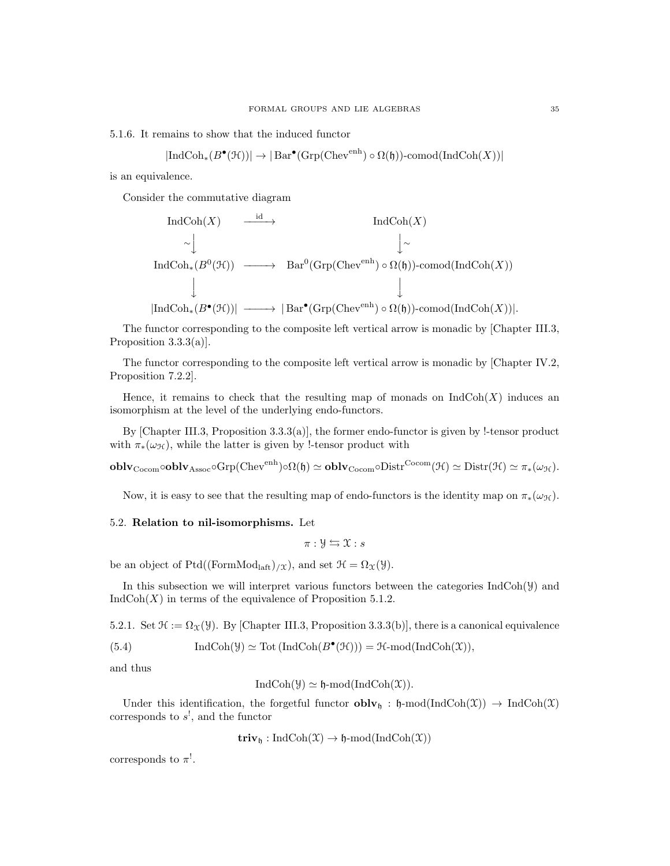5.1.6. It remains to show that the induced functor

$$
|\text{IndCoh}_*(B^{\bullet}(\mathcal{H}))| \to |\text{Bar}^{\bullet}(\text{Grp}(\text{Chev}^{\text{enh}}) \circ \Omega(\mathfrak{h}))\text{-comod}(\text{IndCoh}(X))|
$$

is an equivalence.

Consider the commutative diagram

$$
\operatorname{IndCoh}(X) \xrightarrow{\operatorname{id}} \operatorname{IndCoh}(X)
$$
\n
$$
\sim \downarrow \qquad \qquad \downarrow \sim
$$
\n
$$
\operatorname{IndCoh}_*(B^0(\mathcal{H})) \xrightarrow{\qquad \qquad \text{Bar}^0(\operatorname{Grp}(\operatorname{Chev}^{\operatorname{enh}}) \circ \Omega(\mathfrak{h}))\text{-comod}(\operatorname{IndCoh}(X))}
$$
\n
$$
\downarrow \qquad \qquad \downarrow
$$
\n
$$
|\operatorname{IndCoh}_*(B^{\bullet}(\mathcal{H}))| \xrightarrow{\qquad \qquad} |\operatorname{Bar}^{\bullet}(\operatorname{Grp}(\operatorname{Chev}^{\operatorname{enh}}) \circ \Omega(\mathfrak{h}))\text{-comod}(\operatorname{IndCoh}(X))|.
$$

The functor corresponding to the composite left vertical arrow is monadic by [Chapter III.3, Proposition 3.3.3(a)].

The functor corresponding to the composite left vertical arrow is monadic by [Chapter IV.2, Proposition 7.2.2].

Hence, it remains to check that the resulting map of monads on  $IndCoh(X)$  induces an isomorphism at the level of the underlying endo-functors.

By [Chapter III.3, Proposition 3.3.3(a)], the former endo-functor is given by !-tensor product with  $\pi_*(\omega_{\mathcal{H}})$ , while the latter is given by !-tensor product with

 $\textbf{oblv}_{\text{Cocom}}\circ \textbf{oblv}_{\text{Assoc}}\circ \text{Grp}(\text{Chev}^{\text{enh}})\circ \Omega(\mathfrak{h})\simeq \textbf{oblv}_{\text{Cocom}}\circ \text{Dist}^{\text{Cocom}}(\mathcal{H})\simeq \text{Distr}(\mathcal{H})\simeq \pi_*(\omega_{\mathcal{H}}).$ 

Now, it is easy to see that the resulting map of endo-functors is the identity map on  $\pi_*(\omega_{\mathcal{H}})$ .

# 5.2. Relation to nil-isomorphisms. Let

$$
\pi: \mathcal{Y} \leftrightarrows \mathcal{X}: s
$$

be an object of Ptd((FormMod<sub>laft</sub>)<sub>/ $\chi$ </sub>), and set  $\mathcal{H} = \Omega_{\mathcal{X}}(\mathcal{Y})$ .

In this subsection we will interpret various functors between the categories  $\text{IndCoh}(\mathcal{Y})$  and  $IndCoh(X)$  in terms of the equivalence of Proposition 5.1.2.

5.2.1. Set  $\mathcal{H} := \Omega_{\mathcal{X}}(\mathcal{Y})$ . By [Chapter III.3, Proposition 3.3.3(b)], there is a canonical equivalence

(5.4) 
$$
\operatorname{IndCoh}(\mathcal{Y}) \simeq \operatorname{Tot}(\operatorname{IndCoh}(B^{\bullet}(\mathcal{H}))) = \mathcal{H}\text{-mod}(\operatorname{IndCoh}(\mathcal{X})),
$$

and thus

$$
IndCoh(\mathcal{Y}) \simeq \mathfrak{h}\text{-mod}(IndCoh(\mathcal{X})).
$$

Under this identification, the forgetful functor  $\textbf{oblv}_{\mathfrak{h}} : \mathfrak{h}\text{-mod}(\text{IndCoh}(\mathfrak{X})) \to \text{IndCoh}(\mathfrak{X})$ corresponds to  $s^!,$  and the functor

$$
\mathbf{triv}_{\mathfrak{h}}: \mathrm{IndCoh}(\mathfrak{X}) \to \mathfrak{h}\text{-}\mathrm{mod}(\mathrm{IndCoh}(\mathfrak{X}))
$$

corresponds to  $\pi^!$ .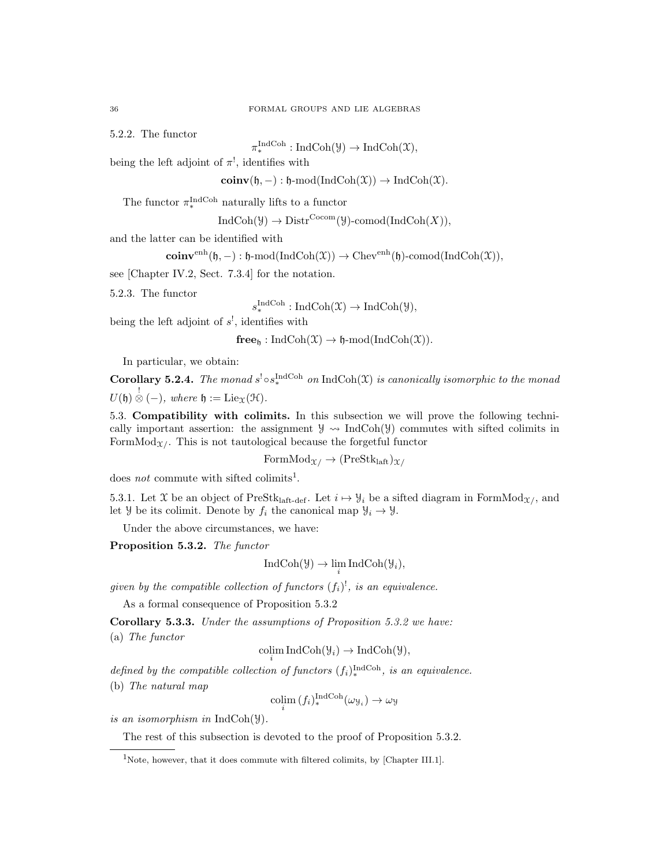5.2.2. The functor

 $\pi_*^{\text{IndCoh}} : \text{IndCoh}(\mathcal{Y}) \to \text{IndCoh}(\mathcal{X}),$ 

being the left adjoint of  $\pi^!,$  identifies with

 $\mathbf{coinv}(\mathfrak{h}, -): \mathfrak{h}\text{-mod}(\mathrm{IndCoh}(\mathfrak{X})) \to \mathrm{IndCoh}(\mathfrak{X}).$ 

The functor  $\pi_*^{\text{IndCoh}}$  naturally lifts to a functor

 $IndCoh(\mathcal{Y}) \to Dist^{Cocom}(\mathcal{Y})$ -comod $(IndCoh(X)),$ 

and the latter can be identified with

$$
\mathbf{coinv}^{\mathrm{enh}}(\mathfrak{h}, -): \mathfrak{h}\text{-}\mathrm{mod}(\mathrm{IndCoh}(\mathfrak{X})) \to \mathrm{Chev}^{\mathrm{enh}}(\mathfrak{h})\text{-}\mathrm{comod}(\mathrm{IndCoh}(\mathfrak{X})),
$$

see [Chapter IV.2, Sect. 7.3.4] for the notation.

5.2.3. The functor

 $s_*^{\text{IndCoh}}: \text{IndCoh}(\mathfrak{X}) \to \text{IndCoh}(\mathcal{Y}),$ 

being the left adjoint of  $s^!$ , identifies with

 $free_h: IndCoh(\mathfrak{X}) \to \mathfrak{h}\text{-mod}(IndCoh(\mathfrak{X})).$ 

In particular, we obtain:

**Corollary 5.2.4.** The monad  $s^! \circ s_*^{\text{IndCoh}}$  on  $\text{IndCoh}(\mathfrak{X})$  is canonically isomorphic to the monad  $U(\mathfrak{h}) \overset{!}{\otimes} (-)$ , where  $\mathfrak{h} := \mathrm{Lie}_{\mathfrak{X}}(\mathfrak{H}).$ 

5.3. Compatibility with colimits. In this subsection we will prove the following technically important assertion: the assignment  $\mathcal{Y} \rightarrow \text{IndCoh}(\mathcal{Y})$  commutes with sifted colimits in FormMod<sub> $\chi$ </sub>. This is not tautological because the forgetful functor

 $FormMod_{\mathcal{X}} \rightarrow (PreStk<sub>laff</sub>)_{\mathcal{X}}$ 

does *not* commute with sifted colimits<sup>1</sup>.

5.3.1. Let X be an object of PreStk<sub>laft-def</sub>. Let  $i \mapsto \mathcal{Y}_i$  be a sifted diagram in FormMod<sub>X</sub>/, and let *Y* be its colimit. Denote by  $f_i$  the canonical map  $\mathcal{Y}_i \to \mathcal{Y}$ .

Under the above circumstances, we have:

Proposition 5.3.2. The functor

$$
IndCoh(\mathcal{Y}) \to \lim_{i} IndCoh(\mathcal{Y}_{i}),
$$

given by the compatible collection of functors  $(f_i)$ <sup>1</sup>, is an equivalence.

As a formal consequence of Proposition 5.3.2

Corollary 5.3.3. Under the assumptions of Proposition 5.3.2 we have: (a) The functor

$$
\underset{i}{\text{colim}} \operatorname{IndCoh}(\mathcal{Y}_i) \to \operatorname{IndCoh}(\mathcal{Y}),
$$

defined by the compatible collection of functors  $(f_i)_*^{\text{IndCoh}}$ , is an equivalence.

(b) The natural map

$$
\operatorname{colim}_{i} (f_{i})_{*}^{\operatorname{IndCoh}}(\omega_{\mathcal{Y}_{i}}) \to \omega_{\mathcal{Y}}
$$

is an isomorphism in IndCoh(Y).

The rest of this subsection is devoted to the proof of Proposition 5.3.2.

<sup>&</sup>lt;sup>1</sup>Note, however, that it does commute with filtered colimits, by [Chapter III.1].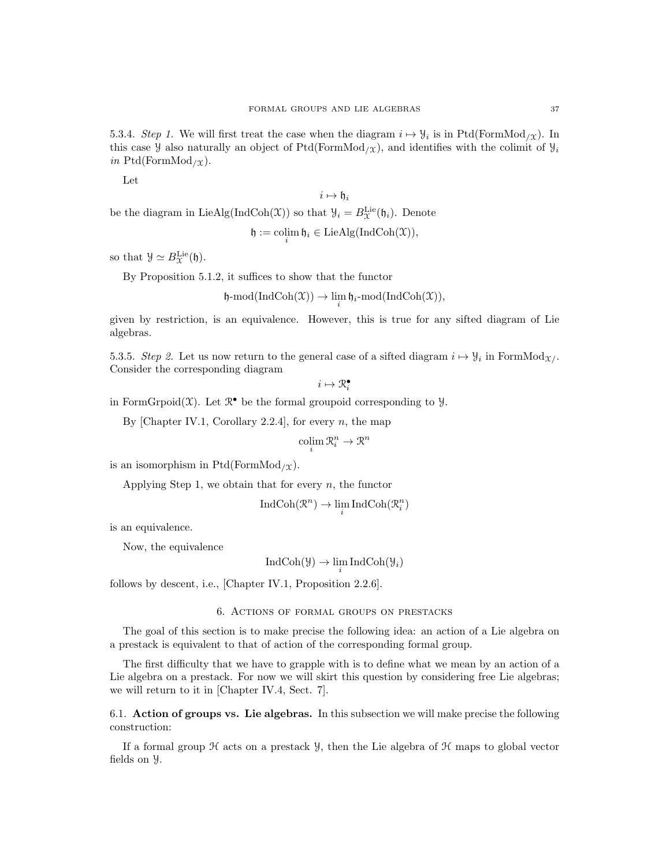5.3.4. Step 1. We will first treat the case when the diagram  $i \mapsto \mathcal{Y}_i$  is in Ptd(FormMod<sub>/X</sub>). In this case y also naturally an object of Ptd(FormMod<sub>/X</sub>), and identifies with the colimit of  $y_i$ in Ptd(FormMod<sub>/X</sub>).

Let

$$
i\mapsto \mathfrak{h}_i
$$

be the diagram in Lie Alg(IndCoh(X)) so that  $\mathcal{Y}_i = B_{\mathcal{X}}^{\text{Lie}}(\mathfrak{h}_i)$ . Denote

$$
\mathfrak{h} := \operatorname*{colim}_i \mathfrak{h}_i \in \operatorname{LieAlg}(\operatorname{IndCoh}(\mathfrak{X})),
$$

so that  $\mathcal{Y} \simeq B_{\mathcal{X}}^{\text{Lie}}(\mathfrak{h}).$ 

By Proposition 5.1.2, it suffices to show that the functor

$$
\mathfrak{h}\text{-mod}(\text{IndCoh}(\mathfrak{X})) \to \lim_{i} \mathfrak{h}_{i}\text{-mod}(\text{IndCoh}(\mathfrak{X})),
$$

given by restriction, is an equivalence. However, this is true for any sifted diagram of Lie algebras.

5.3.5. Step 2. Let us now return to the general case of a sifted diagram  $i \mapsto \mathcal{Y}_i$  in FormMod<sub>X</sub>. Consider the corresponding diagram

 $i \mapsto \mathcal{R}_i^{\bullet}$ 

in FormGrpoid $(\mathfrak{X})$ . Let  $\mathbb{R}^{\bullet}$  be the formal groupoid corresponding to  $\mathcal{Y}$ .

By [Chapter IV.1, Corollary 2.2.4], for every  $n$ , the map

$$
\operatorname{colim}_{i} \mathcal{R}_{i}^{n} \to \mathcal{R}^{n}
$$

is an isomorphism in Ptd(FormMod<sub>/X</sub>).

Applying Step 1, we obtain that for every  $n$ , the functor

$$
\operatorname{IndCoh}(\mathcal{R}^n)\to \lim_i\operatorname{IndCoh}(\mathcal{R}_i^n)
$$

is an equivalence.

Now, the equivalence

$$
IndCoh(\mathcal{Y}) \to \lim_{i} IndCoh(\mathcal{Y}_{i})
$$

follows by descent, i.e., [Chapter IV.1, Proposition 2.2.6].

6. Actions of formal groups on prestacks

The goal of this section is to make precise the following idea: an action of a Lie algebra on a prestack is equivalent to that of action of the corresponding formal group.

The first difficulty that we have to grapple with is to define what we mean by an action of a Lie algebra on a prestack. For now we will skirt this question by considering free Lie algebras; we will return to it in [Chapter IV.4, Sect. 7].

6.1. Action of groups vs. Lie algebras. In this subsection we will make precise the following construction:

If a formal group  $H$  acts on a prestack  $\mathcal{Y}$ , then the Lie algebra of  $\mathcal{H}$  maps to global vector fields on Y.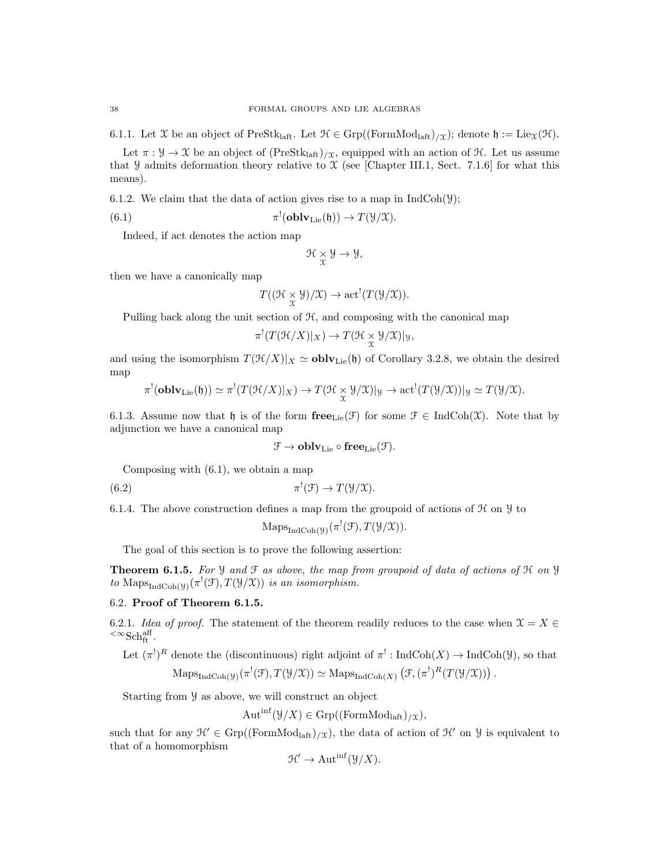6.1.1. Let X be an object of PreStklaft. Let  $\mathcal{H} \in \text{Grp}((\text{FormMod}_{\text{latt}})/\chi)$ ; denote  $\mathfrak{h} := \text{Lie}_{\mathcal{X}}(\mathcal{H})$ .

Let  $\pi : \mathcal{Y} \to \mathcal{X}$  be an object of  $(PreStk<sub>laff</sub>)_{\mathcal{X}}$ , equipped with an action of  $\mathcal{H}$ . Let us assume that Y admits deformation theory relative to  $\mathfrak X$  (see [Chapter III.1, Sect. 7.1.6] for what this means).

6.1.2. We claim that the data of action gives rise to a map in  $IndCoh(\mathcal{Y})$ ;

(6.1) 
$$
\pi^!(\mathbf{oblv}_{\mathbf{Lie}}(\mathfrak{h})) \to T(\mathcal{Y}/\mathcal{X}).
$$

Indeed, if act denotes the action map

$$
\mathcal{H}\underset{\mathfrak{X}}{\times}\mathcal{Y}\rightarrow\mathcal{Y},
$$

then we have a canonically map

$$
T((\mathfrak{H}\times_{\mathfrak{X}}\mathfrak{Y})/\mathfrak{X})\to\mathrm{act}^!(T(\mathfrak{Y}/\mathfrak{X})).
$$

Pulling back along the unit section of  $H$ , and composing with the canonical map

$$
\pi^!(T(\mathcal{H}/X)|_X) \to T(\mathcal{H} \underset{\mathcal{X}}{\times} \mathcal{Y}/\mathcal{X})|_{\mathcal{Y}},
$$

and using the isomorphism  $T(\mathcal{H}/X)|_X \simeq \mathbf{oblv}_{\text{Lie}}(\mathfrak{h})$  of Corollary 3.2.8, we obtain the desired map

$$
\pi^!(\mathbf{oblv}_\mathrm{Lie}(\mathfrak{h}))\simeq \pi^!(T(\mathfrak{H}/X)|_X)\rightarrow T(\mathfrak{H}\underset{\chi}{\times}\mathcal{Y}/\mathfrak{X})|_\mathcal{Y}\rightarrow \mathrm{act}^!(T(\mathcal{Y}/\mathfrak{X}))|_\mathcal{Y}\simeq T(\mathcal{Y}/\mathfrak{X}).
$$

6.1.3. Assume now that h is of the form  $\mathbf{free}_{\text{Lie}}(\mathcal{F})$  for some  $\mathcal{F} \in \text{IndCoh}(\mathcal{X})$ . Note that by adjunction we have a canonical map

$$
\mathfrak{F}\rightarrow \mathbf{oblv}_\mathrm{Lie}\circ\mathbf{free}_\mathrm{Lie}(\mathfrak{F}).
$$

Composing with (6.1), we obtain a map

(6.2) 
$$
\pi^!(\mathfrak{F}) \to T(\mathfrak{Y}/\mathfrak{X}).
$$

6.1.4. The above construction defines a map from the groupoid of actions of  $\mathcal H$  on  $\mathcal Y$  to

$$
Maps_{IndCoh(\mathcal{Y})}(\pi^{!}(\mathcal{F}), T(\mathcal{Y}/\mathcal{X})).
$$

The goal of this section is to prove the following assertion:

**Theorem 6.1.5.** For  $\mathcal{Y}$  and  $\mathcal{F}$  as above, the map from groupoid of data of actions of  $\mathcal{H}$  on  $\mathcal{Y}$ to Maps<sub>IndCoh(y)</sub> $(\pi^!(\mathfrak{F}), T(\mathcal{Y}/\mathfrak{X}))$  is an isomorphism.

# 6.2. Proof of Theorem 6.1.5.

6.2.1. Idea of proof. The statement of the theorem readily reduces to the case when  $\mathcal{X} = X \in$  ${}^{<\infty}{\rm Sch}^{\rm aff}_{\rm ft}.$ 

Let  $(\pi^!)^R$  denote the (discontinuous) right adjoint of  $\pi^!: \text{IndCoh}(X) \to \text{IndCoh}(\mathcal{Y})$ , so that  $\mathrm{Maps}_{\mathrm{IndCoh}(\mathcal{Y})}(\pi^!(\mathcal{F}), T(\mathcal{Y}/\mathcal{X})) \simeq \mathrm{Maps}_{\mathrm{IndCoh}(X)}(\mathcal{F}, (\pi^!)^R(T(\mathcal{Y}/\mathcal{X})))$ .

Starting from Y as above, we will construct an object

$$
Autinf(\mathcal{Y}/X) \in Grp((FormModleft)/X),
$$

such that for any  $\mathcal{H}' \in \text{Grp}((\text{FormMod}_{\text{laff}})_{X})$ , the data of action of  $\mathcal{H}'$  on  $\mathcal{Y}$  is equivalent to that of a homomorphism

$$
\mathcal{H}' \to \operatorname{Aut}^{\text{inf}}(\mathcal{Y}/X).
$$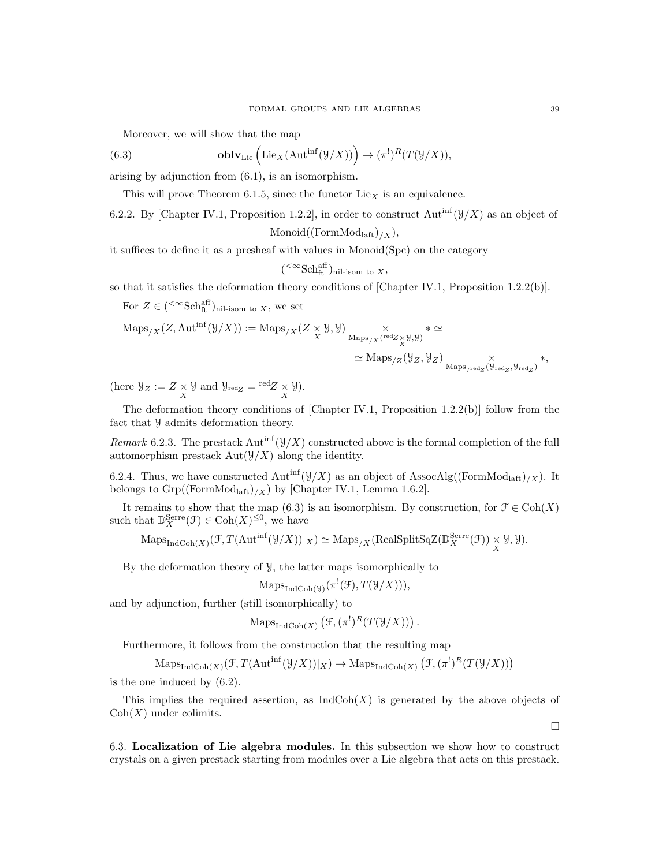Moreover, we will show that the map

(6.3) **oblv**<sub>Lie</sub> 
$$
(\text{Lie}_X(\text{Aut}^{\text{inf}}(\mathcal{Y}/X))) \rightarrow (\pi^!)^R(T(\mathcal{Y}/X)),
$$

arising by adjunction from (6.1), is an isomorphism.

This will prove Theorem 6.1.5, since the functor  $Lie_X$  is an equivalence.

6.2.2. By [Chapter IV.1, Proposition 1.2.2], in order to construct  $\text{Aut}^{\text{inf}}(\mathcal{Y}/X)$  as an object of

$$
\mathrm{Monoid}((\mathrm{FormMod}_{\mathrm{laft}})_{/X}),
$$

it suffices to define it as a presheaf with values in Monoid(Spc) on the category

$$
({}^{<\infty}{\rm Sch}^{{\rm aff}}_{\rm ft})_{\rm nil-isom \ to \ X},
$$

so that it satisfies the deformation theory conditions of [Chapter IV.1, Proposition 1.2.2(b)].

For  $Z \in ({}^{\text{&}<\infty} \text{Sch}^{\text{aff}}_{\text{ft}})_{\text{nil-isom to }X}$ , we set

$$
\begin{split} \text{Maps}_{/X}(Z, \text{Aut}^{\text{inf}}(\mathcal{Y}/X)) &:= \text{Maps}_{/X}(Z \times \mathcal{Y}, \mathcal{Y}) \underset{\text{Maps}_{/X}(\text{red}_{Z} \times \mathcal{Y}, \mathcal{Y})}{\times} * \simeq \\ &\simeq \text{Maps}_{/Z}(\mathcal{Y}_Z, \mathcal{Y}_Z) \underset{\text{Maps}_{/\text{red}_Z}(\mathcal{Y}_{\text{red}_Z}, \mathcal{Y}_{\text{red}_Z})}{\times} *, \end{split}
$$

(here  $\mathcal{Y}_Z := Z \underset{X}{\times} \mathcal{Y}$  and  $\mathcal{Y}_{\text{red}Z} = \text{red}Z \underset{X}{\times} \mathcal{Y}$ ).

The deformation theory conditions of [Chapter IV.1, Proposition 1.2.2(b)] follow from the fact that Y admits deformation theory.

Remark 6.2.3. The prestack  $\text{Aut}^{\text{inf}}(\mathcal{Y}/X)$  constructed above is the formal completion of the full automorphism prestack  $Aut(\mathcal{Y}/X)$  along the identity.

6.2.4. Thus, we have constructed Aut<sup>inf</sup>( $\mathcal{Y}/X$ ) as an object of AssocAlg((FormMod<sub>laft</sub>)<sub>/X</sub>). It belongs to  $Grp((FormMod<sub>laff</sub>)/X)$  by [Chapter IV.1, Lemma 1.6.2].

It remains to show that the map (6.3) is an isomorphism. By construction, for  $\mathcal{F} \in \text{Coh}(X)$ such that  $\mathbb{D}_{X}^{\text{Serre}}(\mathcal{F}) \in \text{Coh}(X)^{\leq 0}$ , we have

 $\mathrm{Maps}_{\mathrm{IndCoh}(X)}(\mathcal{F}, T(\mathrm{Aut}^{\inf}(\mathcal{Y}/X))|_X) \simeq \mathrm{Maps}_{/X}(\mathrm{RealSplitSqZ}(\mathbb{D}_X^{\mathrm{Serre}}(\mathcal{F})) \times \mathcal{Y}, \mathcal{Y}).$ 

By the deformation theory of  $\mathcal{Y}$ , the latter maps isomorphically to

$$
Maps_{IndCoh(\mathcal{Y})}(\pi^{!}(\mathcal{F}), T(\mathcal{Y}/X))),
$$

and by adjunction, further (still isomorphically) to

$$
\operatorname{Maps}_{\operatorname{IndCoh}(X)}(\mathcal{F}, (\pi^!)^R(T(\mathcal{Y}/X))).
$$

Furthermore, it follows from the construction that the resulting map

 $\operatorname{Maps}_{\operatorname{IndCoh}(X)}(\mathcal{F}, T(\operatorname{Aut}^{\operatorname{inf}}(\mathcal{Y}/X))|_X) \to \operatorname{Maps}_{\operatorname{IndCoh}(X)}(\mathcal{F}, (\pi^!)^R(T(\mathcal{Y}/X)))$ 

is the one induced by (6.2).

This implies the required assertion, as  $\text{IndCoh}(X)$  is generated by the above objects of  $Coh(X)$  under colimits.

6.3. Localization of Lie algebra modules. In this subsection we show how to construct crystals on a given prestack starting from modules over a Lie algebra that acts on this prestack.

 $\Box$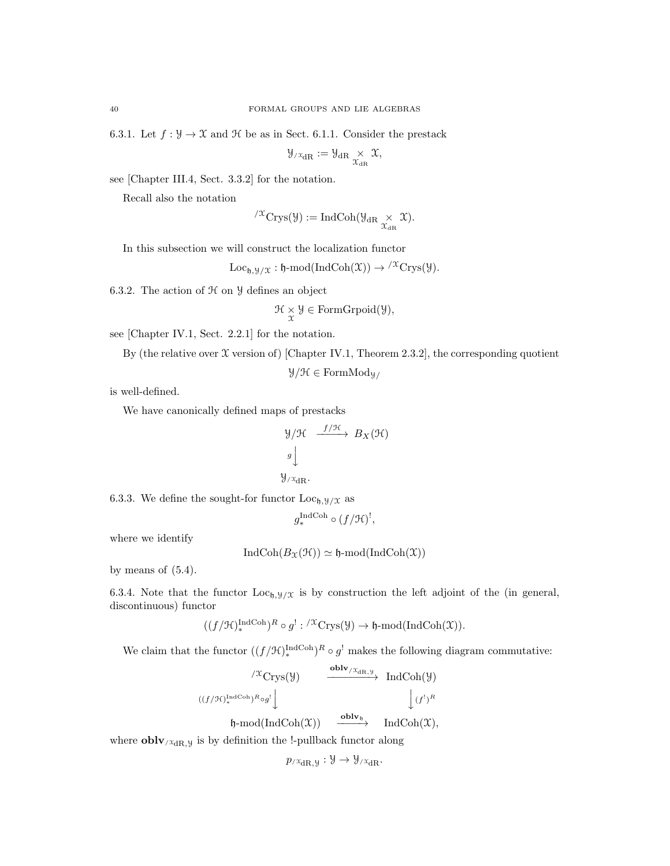6.3.1. Let  $f: \mathcal{Y} \to \mathcal{X}$  and  $\mathcal{H}$  be as in Sect. 6.1.1. Consider the prestack

$$
\mathcal{Y}_{/\mathfrak{X}_{\mathrm{dR}}}:=\mathcal{Y}_{\mathrm{dR}}\underset{\mathcal{X}_{\mathrm{dR}}}{\times}\mathcal{X},
$$

see [Chapter III.4, Sect. 3.3.2] for the notation.

Recall also the notation

$$
{}^{/\mathfrak{X}}\mathrm{Crys}(\mathcal{Y}):=\mathrm{IndCoh}(\mathcal{Y}_{\mathrm{dR}}\underset{\mathcal{X}_{\mathrm{dR}}}{\times}\mathfrak{X}).
$$

In this subsection we will construct the localization functor

$$
Loc_{\mathfrak{h}, \mathfrak{Y}/\mathfrak{X}} : \mathfrak{h}\text{-mod}(\mathrm{IndCoh}(\mathfrak{X})) \to {}^{/\mathfrak{X}}\mathrm{Crys}(\mathfrak{Y}).
$$

6.3.2. The action of  $H$  on  $\mathcal Y$  defines an object

$$
\mathcal{H} \underset{\mathfrak{X}}{\times} \mathcal{Y} \in FormGrpoid(\mathcal{Y}),
$$

see [Chapter IV.1, Sect. 2.2.1] for the notation.

By (the relative over  $\mathfrak X$  version of) [Chapter IV.1, Theorem 2.3.2], the corresponding quotient

 $\mathcal{Y}/\mathcal{H} \in \mathrm{FormMod}_{\mathcal{Y}}$ /

is well-defined.

We have canonically defined maps of prestacks

$$
\mathcal{Y}/\mathcal{H} \xrightarrow{f/\mathcal{H}} B_X(\mathcal{H})
$$
\n
$$
\mathcal{Y}
$$
\n
$$
\mathcal{Y}/\mathcal{X}_{dR}.
$$

6.3.3. We define the sought-for functor  $Loc_{h,y/X}$  as

$$
g_*^{\operatorname{IndCoh}} \circ (f/{\mathcal H})^!,
$$

where we identify

$$
IndCoh(B_{\mathfrak{X}}(\mathcal{H})) \simeq \mathfrak{h}\text{-mod}(IndCoh(\mathfrak{X}))
$$

by means of  $(5.4)$ .

6.3.4. Note that the functor  $Loc_{\mathfrak{h},\mathfrak{Y}/\mathfrak{X}}$  is by construction the left adjoint of the (in general, discontinuous) functor

$$
((f/\mathcal{H})_*^{\text{IndCoh}})^R \circ g^! : {}'^{\mathfrak{X}}\text{Crys}(\mathcal{Y}) \to \mathfrak{h}\text{-mod}(\text{IndCoh}(\mathfrak{X})).
$$

We claim that the functor  $((f/\mathcal{H})_*^{\text{IndCoh}})^R \circ g^!$  makes the following diagram commutative:

$$
\begin{array}{ccc}\n\sqrt{x}\operatorname{Crys}(\mathcal Y)&\xrightarrow{\operatorname{\bf oblv}_{/\mathcal X_{\mathrm{dR},\mathcal Y}}}\operatorname{IndCoh}(\mathcal Y)\\ \n((f/\mathcal H)^{\operatorname{IndCoh}})^R\circ g^{!}\Big\downarrow&&\Big\downarrow(f^{!})^R\\ \n\mathfrak h\text{-mod}(\operatorname{IndCoh}(\mathcal X))&\xrightarrow{\operatorname{\bf oblv}_{\mathfrak h}}&\operatorname{IndCoh}(\mathcal X),\n\end{array}
$$

where  $\textbf{oblv}_{/\mathfrak{X}_{\text{dR},\mathcal{Y}}}$  is by definition the !-pullback functor along

$$
p_{/\mathfrak{X}_{\mathrm{dR}}, \mathfrak{Y}} : \mathfrak{Y} \to \mathfrak{Y}_{/\mathfrak{X}_{\mathrm{dR}}}.
$$